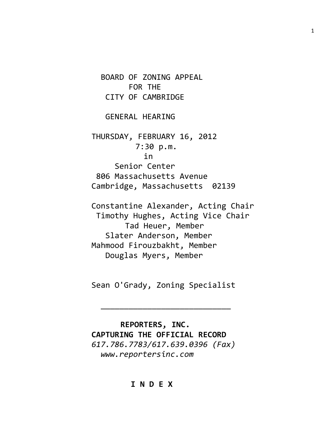BOARD OF ZONING APPEAL FOR THE CITY OF CAMBRIDGE

GENERAL HEARING

THURSDAY, FEBRUARY 16, 2012 7:30 p.m. in Senior Center 806 Massachusetts Avenue Cambridge, Massachusetts 02139

Constantine Alexander, Acting Chair Timothy Hughes, Acting Vice Chair Tad Heuer, Member Slater Anderson, Member Mahmood Firouzbakht, Member Douglas Myers, Member

Sean O'Grady, Zoning Specialist

\_\_\_\_\_\_\_\_\_\_\_\_\_\_\_\_\_\_\_\_\_\_\_\_\_\_\_\_

 **REPORTERS, INC. CAPTURING THE OFFICIAL RECORD** *617.786.7783/617.639.0396 (Fax) www.reportersinc.com*

## **I N D E X**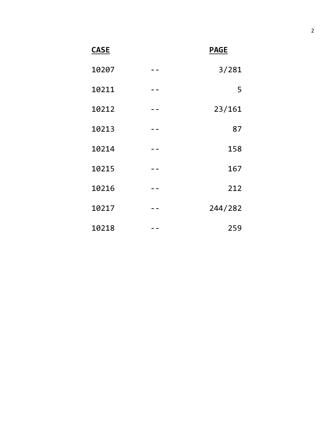**CASE PAGE**

|   | 3/281   | 10207 |  |
|---|---------|-------|--|
| 5 |         | 10211 |  |
|   | 23/161  | 10212 |  |
|   | 87      | 10213 |  |
|   | 158     | 10214 |  |
|   | 167     | 10215 |  |
|   | 212     | 10216 |  |
|   | 244/282 | 10217 |  |
|   | 259     | 10218 |  |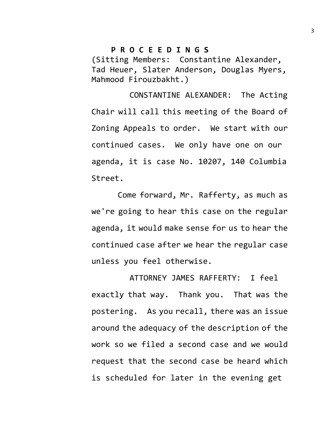## **P R O C E E D I N G S**

(Sitting Members: Constantine Alexander, Tad Heuer, Slater Anderson, Douglas Myers, Mahmood Firouzbakht.)

CONSTANTINE ALEXANDER: The Acting Chair will call this meeting of the Board of Zoning Appeals to order. We start with our continued cases. We only have one on our agenda, it is case No. 10207, 140 Columbia Street.

Come forward, Mr. Rafferty, as much as we're going to hear this case on the regular agenda, it would make sense for us to hear the continued case after we hear the regular case unless you feel otherwise.

ATTORNEY JAMES RAFFERTY: I feel exactly that way. Thank you. That was the postering. As you recall, there was an issue around the adequacy of the description of the work so we filed a second case and we would request that the second case be heard which is scheduled for later in the evening get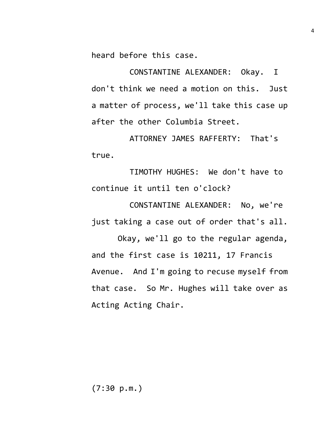heard before this case.

CONSTANTINE ALEXANDER: Okay. I don't think we need a motion on this. Just a matter of process, we'll take this case up after the other Columbia Street.

ATTORNEY JAMES RAFFERTY: That's true.

TIMOTHY HUGHES: We don't have to continue it until ten o'clock?

CONSTANTINE ALEXANDER: No, we're just taking a case out of order that's all.

Okay, we'll go to the regular agenda, and the first case is 10211, 17 Francis Avenue. And I'm going to recuse myself from that case. So Mr. Hughes will take over as Acting Acting Chair.

(7:30 p.m.)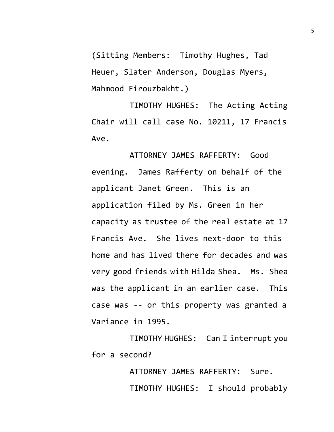(Sitting Members: Timothy Hughes, Tad Heuer, Slater Anderson, Douglas Myers, Mahmood Firouzbakht.)

TIMOTHY HUGHES: The Acting Acting Chair will call case No. 10211, 17 Francis Ave.

ATTORNEY JAMES RAFFERTY: Good evening. James Rafferty on behalf of the applicant Janet Green. This is an application filed by Ms. Green in her capacity as trustee of the real estate at 17 Francis Ave. She lives next-door to this home and has lived there for decades and was very good friends with Hilda Shea. Ms. Shea was the applicant in an earlier case. This case was -- or this property was granted a Variance in 1995.

TIMOTHY HUGHES: Can I interrupt you for a second?

> ATTORNEY JAMES RAFFERTY: Sure. TIMOTHY HUGHES: I should probably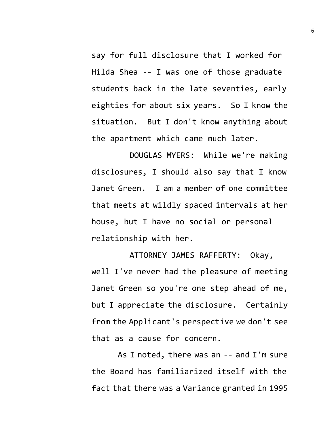say for full disclosure that I worked for Hilda Shea -- I was one of those graduate students back in the late seventies, early eighties for about six years. So I know the situation. But I don't know anything about the apartment which came much later.

DOUGLAS MYERS: While we're making disclosures, I should also say that I know Janet Green. I am a member of one committee that meets at wildly spaced intervals at her house, but I have no social or personal relationship with her.

ATTORNEY JAMES RAFFERTY: Okay, well I've never had the pleasure of meeting Janet Green so you're one step ahead of me, but I appreciate the disclosure. Certainly from the Applicant's perspective we don't see that as a cause for concern.

As I noted, there was an -- and I'm sure the Board has familiarized itself with the fact that there was a Variance granted in 1995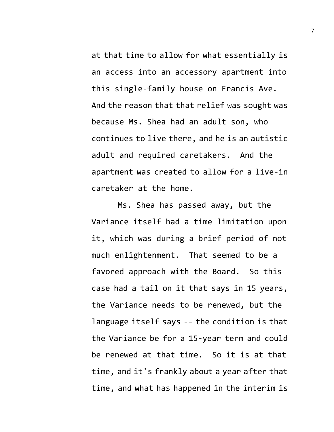at that time to allow for what essentially is an access into an accessory apartment into this single-family house on Francis Ave. And the reason that that relief was sought was because Ms. Shea had an adult son, who continues to live there, and he is an autistic adult and required caretakers. And the apartment was created to allow for a live-in caretaker at the home.

Ms. Shea has passed away, but the Variance itself had a time limitation upon it, which was during a brief period of not much enlightenment. That seemed to be a favored approach with the Board. So this case had a tail on it that says in 15 years, the Variance needs to be renewed, but the language itself says -- the condition is that the Variance be for a 15-year term and could be renewed at that time. So it is at that time, and it's frankly about a year after that time, and what has happened in the interim is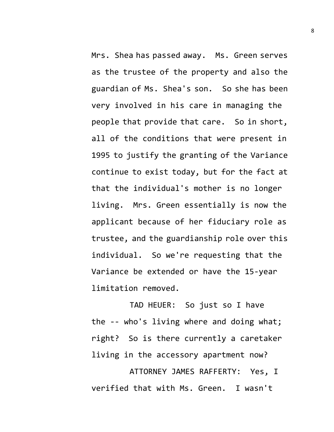Mrs. Shea has passed away. Ms. Green serves as the trustee of the property and also the guardian of Ms. Shea's son. So she has been very involved in his care in managing the people that provide that care. So in short, all of the conditions that were present in 1995 to justify the granting of the Variance continue to exist today, but for the fact at that the individual's mother is no longer living. Mrs. Green essentially is now the applicant because of her fiduciary role as trustee, and the guardianship role over this individual. So we're requesting that the Variance be extended or have the 15-year limitation removed.

TAD HEUER: So just so I have the -- who's living where and doing what; right? So is there currently a caretaker living in the accessory apartment now?

ATTORNEY JAMES RAFFERTY: Yes, I verified that with Ms. Green. I wasn't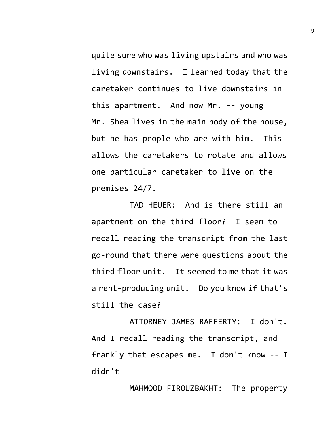quite sure who was living upstairs and who was living downstairs. I learned today that the caretaker continues to live downstairs in this apartment. And now Mr. -- young Mr. Shea lives in the main body of the house, but he has people who are with him. This allows the caretakers to rotate and allows one particular caretaker to live on the premises 24/7.

TAD HEUER: And is there still an apartment on the third floor? I seem to recall reading the transcript from the last go-round that there were questions about the third floor unit. It seemed to me that it was a rent-producing unit. Do you know if that's still the case?

ATTORNEY JAMES RAFFERTY: I don't. And I recall reading the transcript, and frankly that escapes me. I don't know -- I didn't --

MAHMOOD FIROUZBAKHT: The property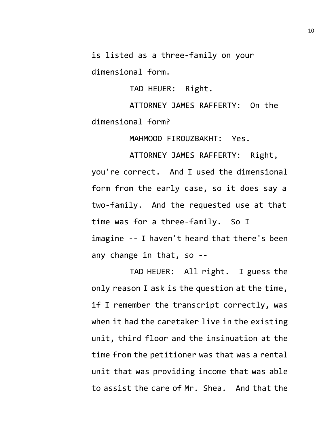is listed as a three-family on your

dimensional form.

TAD HEUER: Right.

ATTORNEY JAMES RAFFERTY: On the dimensional form?

MAHMOOD FIROUZBAKHT: Yes.

ATTORNEY JAMES RAFFERTY: Right, you're correct. And I used the dimensional form from the early case, so it does say a two-family. And the requested use at that time was for a three-family. So I imagine -- I haven't heard that there's been any change in that, so --

TAD HEUER: All right. I guess the only reason I ask is the question at the time, if I remember the transcript correctly, was when it had the caretaker live in the existing unit, third floor and the insinuation at the time from the petitioner was that was a rental unit that was providing income that was able to assist the care of Mr. Shea. And that the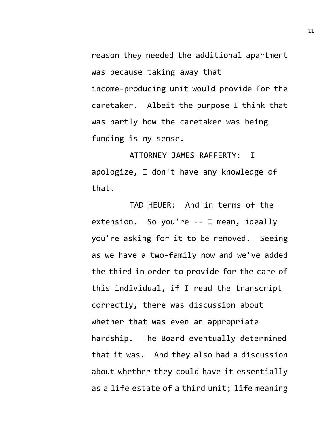reason they needed the additional apartment was because taking away that income-producing unit would provide for the caretaker. Albeit the purpose I think that was partly how the caretaker was being funding is my sense.

ATTORNEY JAMES RAFFERTY: I apologize, I don't have any knowledge of that.

TAD HEUER: And in terms of the extension. So you're -- I mean, ideally you're asking for it to be removed. Seeing as we have a two-family now and we've added the third in order to provide for the care of this individual, if I read the transcript correctly, there was discussion about whether that was even an appropriate hardship. The Board eventually determined that it was. And they also had a discussion about whether they could have it essentially as a life estate of a third unit; life meaning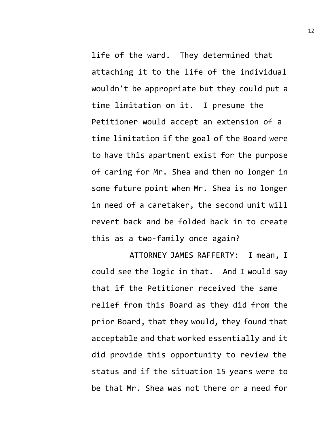life of the ward. They determined that attaching it to the life of the individual wouldn't be appropriate but they could put a time limitation on it. I presume the Petitioner would accept an extension of a time limitation if the goal of the Board were to have this apartment exist for the purpose of caring for Mr. Shea and then no longer in some future point when Mr. Shea is no longer in need of a caretaker, the second unit will revert back and be folded back in to create this as a two-family once again?

ATTORNEY JAMES RAFFERTY: I mean, I could see the logic in that. And I would say that if the Petitioner received the same relief from this Board as they did from the prior Board, that they would, they found that acceptable and that worked essentially and it did provide this opportunity to review the status and if the situation 15 years were to be that Mr. Shea was not there or a need for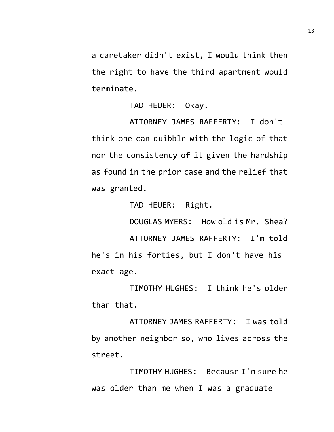a caretaker didn't exist, I would think then the right to have the third apartment would terminate.

TAD HEUER: Okay.

ATTORNEY JAMES RAFFERTY: I don't think one can quibble with the logic of that nor the consistency of it given the hardship as found in the prior case and the relief that was granted.

TAD HEUER: Right.

DOUGLAS MYERS: How old is Mr. Shea?

ATTORNEY JAMES RAFFERTY: I'm told he's in his forties, but I don't have his exact age.

TIMOTHY HUGHES: I think he's older than that.

ATTORNEY JAMES RAFFERTY: I was told by another neighbor so, who lives across the street.

TIMOTHY HUGHES: Because I'm sure he was older than me when I was a graduate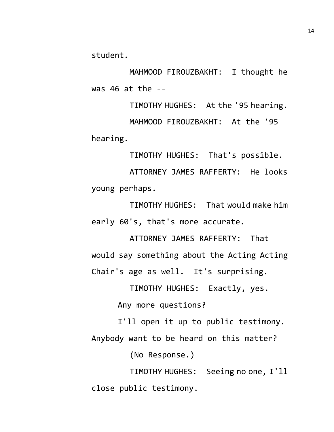student.

MAHMOOD FIROUZBAKHT: I thought he was 46 at the --

TIMOTHY HUGHES: At the '95 hearing. MAHMOOD FIROUZBAKHT: At the '95 hearing.

TIMOTHY HUGHES: That's possible.

ATTORNEY JAMES RAFFERTY: He looks young perhaps.

TIMOTHY HUGHES: That would make him early 60's, that's more accurate.

ATTORNEY JAMES RAFFERTY: That would say something about the Acting Acting Chair's age as well. It's surprising.

TIMOTHY HUGHES: Exactly, yes.

Any more questions?

I'll open it up to public testimony. Anybody want to be heard on this matter?

(No Response.)

TIMOTHY HUGHES: Seeing no one, I'll close public testimony.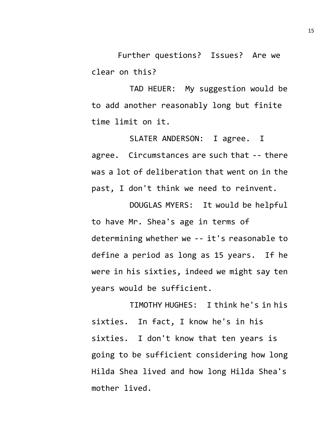Further questions? Issues? Are we clear on this?

TAD HEUER: My suggestion would be to add another reasonably long but finite time limit on it.

SLATER ANDERSON: I agree. I agree. Circumstances are such that -- there was a lot of deliberation that went on in the past, I don't think we need to reinvent.

DOUGLAS MYERS: It would be helpful to have Mr. Shea's age in terms of determining whether we -- it's reasonable to define a period as long as 15 years. If he were in his sixties, indeed we might say ten years would be sufficient.

TIMOTHY HUGHES: I think he's in his sixties. In fact, I know he's in his sixties. I don't know that ten years is going to be sufficient considering how long Hilda Shea lived and how long Hilda Shea's mother lived.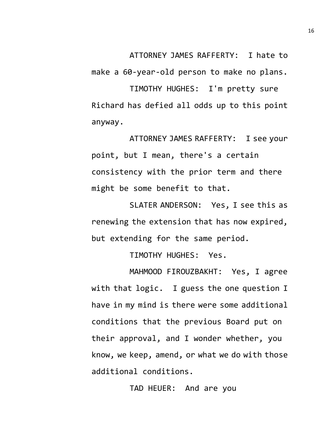ATTORNEY JAMES RAFFERTY: I hate to

make a 60-year-old person to make no plans.

TIMOTHY HUGHES: I'm pretty sure Richard has defied all odds up to this point anyway.

ATTORNEY JAMES RAFFERTY: I see your point, but I mean, there's a certain consistency with the prior term and there might be some benefit to that.

SLATER ANDERSON: Yes, I see this as renewing the extension that has now expired, but extending for the same period.

TIMOTHY HUGHES: Yes.

MAHMOOD FIROUZBAKHT: Yes, I agree with that logic. I guess the one question I have in my mind is there were some additional conditions that the previous Board put on their approval, and I wonder whether, you know, we keep, amend, or what we do with those additional conditions.

TAD HEUER: And are you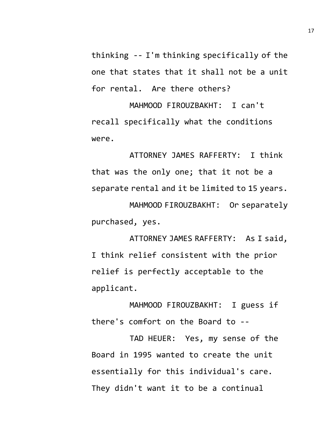thinking -- I'm thinking specifically of the one that states that it shall not be a unit for rental. Are there others?

MAHMOOD FIROUZBAKHT: I can't recall specifically what the conditions were.

ATTORNEY JAMES RAFFERTY: I think that was the only one; that it not be a separate rental and it be limited to 15 years.

MAHMOOD FIROUZBAKHT: Or separately purchased, yes.

ATTORNEY JAMES RAFFERTY: As I said, I think relief consistent with the prior relief is perfectly acceptable to the applicant.

MAHMOOD FIROUZBAKHT: I guess if there's comfort on the Board to --

TAD HEUER: Yes, my sense of the Board in 1995 wanted to create the unit essentially for this individual's care. They didn't want it to be a continual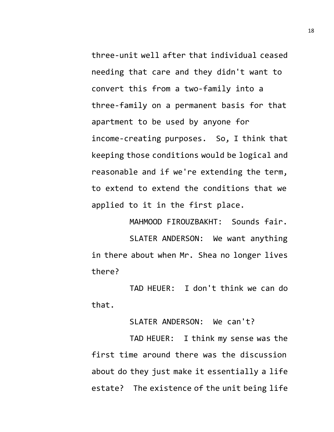three-unit well after that individual ceased needing that care and they didn't want to convert this from a two-family into a three-family on a permanent basis for that apartment to be used by anyone for income-creating purposes. So, I think that keeping those conditions would be logical and reasonable and if we're extending the term, to extend to extend the conditions that we applied to it in the first place.

MAHMOOD FIROUZBAKHT: Sounds fair. SLATER ANDERSON: We want anything in there about when Mr. Shea no longer lives there?

TAD HEUER: I don't think we can do that.

SLATER ANDERSON: We can't?

TAD HEUER: I think my sense was the first time around there was the discussion about do they just make it essentially a life estate? The existence of the unit being life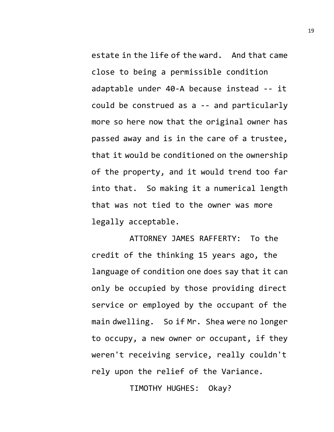estate in the life of the ward. And that came close to being a permissible condition adaptable under 40-A because instead -- it could be construed as a -- and particularly more so here now that the original owner has passed away and is in the care of a trustee, that it would be conditioned on the ownership of the property, and it would trend too far into that. So making it a numerical length that was not tied to the owner was more legally acceptable.

ATTORNEY JAMES RAFFERTY: To the credit of the thinking 15 years ago, the language of condition one does say that it can only be occupied by those providing direct service or employed by the occupant of the main dwelling. So if Mr. Shea were no longer to occupy, a new owner or occupant, if they weren't receiving service, really couldn't rely upon the relief of the Variance.

TIMOTHY HUGHES: Okay?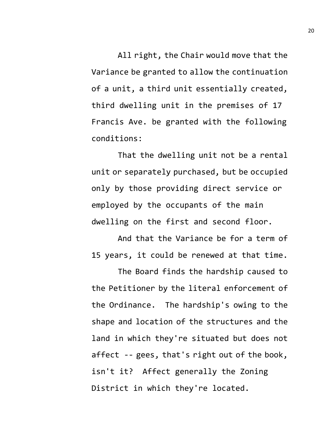All right, the Chair would move that the Variance be granted to allow the continuation of a unit, a third unit essentially created, third dwelling unit in the premises of 17 Francis Ave. be granted with the following conditions:

That the dwelling unit not be a rental unit or separately purchased, but be occupied only by those providing direct service or employed by the occupants of the main dwelling on the first and second floor.

And that the Variance be for a term of 15 years, it could be renewed at that time.

The Board finds the hardship caused to the Petitioner by the literal enforcement of the Ordinance. The hardship's owing to the shape and location of the structures and the land in which they're situated but does not affect -- gees, that's right out of the book, isn't it? Affect generally the Zoning District in which they're located.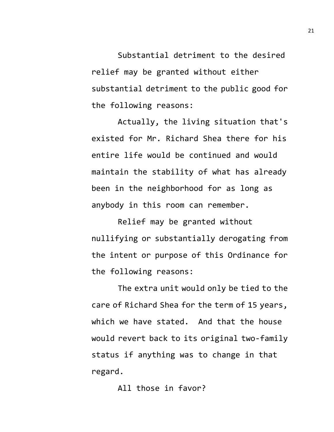Substantial detriment to the desired relief may be granted without either substantial detriment to the public good for the following reasons:

Actually, the living situation that's existed for Mr. Richard Shea there for his entire life would be continued and would maintain the stability of what has already been in the neighborhood for as long as anybody in this room can remember.

Relief may be granted without nullifying or substantially derogating from the intent or purpose of this Ordinance for the following reasons:

The extra unit would only be tied to the care of Richard Shea for the term of 15 years, which we have stated. And that the house would revert back to its original two-family status if anything was to change in that regard.

All those in favor?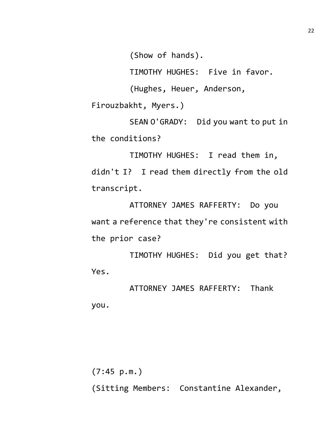(Show of hands).

TIMOTHY HUGHES: Five in favor.

(Hughes, Heuer, Anderson,

Firouzbakht, Myers.)

SEAN O'GRADY: Did you want to put in the conditions?

TIMOTHY HUGHES: I read them in, didn't I? I read them directly from the old transcript.

ATTORNEY JAMES RAFFERTY: Do you want a reference that they're consistent with the prior case?

TIMOTHY HUGHES: Did you get that? Yes.

ATTORNEY JAMES RAFFERTY: Thank you.

(7:45 p.m.) (Sitting Members: Constantine Alexander,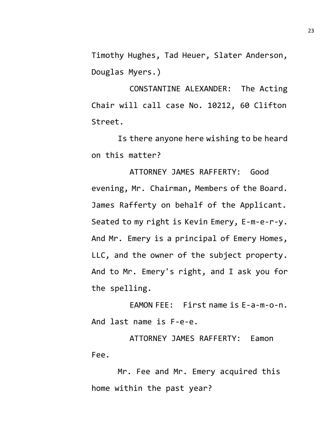Timothy Hughes, Tad Heuer, Slater Anderson, Douglas Myers.)

CONSTANTINE ALEXANDER: The Acting Chair will call case No. 10212, 60 Clifton Street.

Is there anyone here wishing to be heard on this matter?

ATTORNEY JAMES RAFFERTY: Good evening, Mr. Chairman, Members of the Board. James Rafferty on behalf of the Applicant. Seated to my right is Kevin Emery, E-m-e-r-y. And Mr. Emery is a principal of Emery Homes, LLC, and the owner of the subject property. And to Mr. Emery's right, and I ask you for the spelling.

EAMON FEE: First name is E-a-m-o-n. And last name is F-e-e.

ATTORNEY JAMES RAFFERTY: Eamon Fee.

Mr. Fee and Mr. Emery acquired this home within the past year?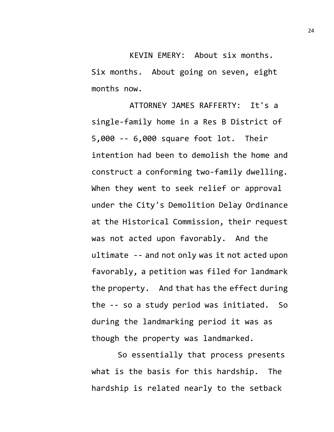KEVIN EMERY: About six months. Six months. About going on seven, eight months now.

ATTORNEY JAMES RAFFERTY: It's a single-family home in a Res B District of 5,000 -- 6,000 square foot lot. Their intention had been to demolish the home and construct a conforming two-family dwelling. When they went to seek relief or approval under the City's Demolition Delay Ordinance at the Historical Commission, their request was not acted upon favorably. And the ultimate -- and not only was it not acted upon favorably, a petition was filed for landmark the property. And that has the effect during the -- so a study period was initiated. So during the landmarking period it was as though the property was landmarked.

So essentially that process presents what is the basis for this hardship. The hardship is related nearly to the setback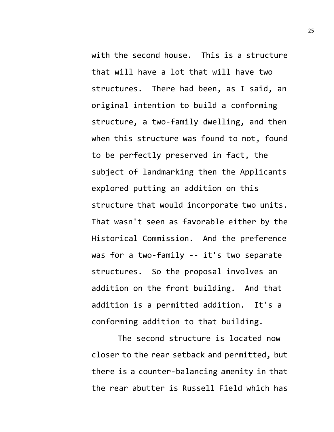with the second house. This is a structure that will have a lot that will have two structures. There had been, as I said, an original intention to build a conforming structure, a two-family dwelling, and then when this structure was found to not, found to be perfectly preserved in fact, the subject of landmarking then the Applicants explored putting an addition on this structure that would incorporate two units. That wasn't seen as favorable either by the Historical Commission. And the preference was for a two-family -- it's two separate structures. So the proposal involves an addition on the front building. And that addition is a permitted addition. It's a conforming addition to that building.

The second structure is located now closer to the rear setback and permitted, but there is a counter-balancing amenity in that the rear abutter is Russell Field which has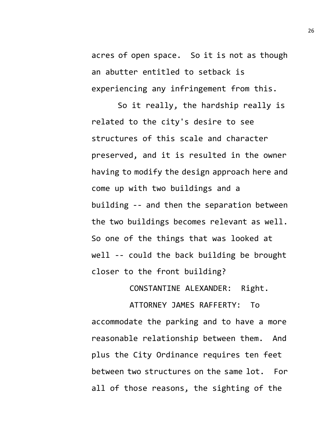acres of open space. So it is not as though an abutter entitled to setback is experiencing any infringement from this.

So it really, the hardship really is related to the city's desire to see structures of this scale and character preserved, and it is resulted in the owner having to modify the design approach here and come up with two buildings and a building -- and then the separation between the two buildings becomes relevant as well. So one of the things that was looked at well -- could the back building be brought closer to the front building?

CONSTANTINE ALEXANDER: Right.

ATTORNEY JAMES RAFFERTY: To accommodate the parking and to have a more reasonable relationship between them. And plus the City Ordinance requires ten feet between two structures on the same lot. For all of those reasons, the sighting of the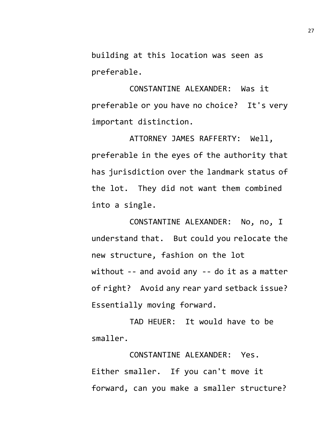building at this location was seen as preferable.

CONSTANTINE ALEXANDER: Was it preferable or you have no choice? It's very important distinction.

ATTORNEY JAMES RAFFERTY: Well, preferable in the eyes of the authority that has jurisdiction over the landmark status of the lot. They did not want them combined into a single.

CONSTANTINE ALEXANDER: No, no, I understand that. But could you relocate the new structure, fashion on the lot without -- and avoid any -- do it as a matter of right? Avoid any rear yard setback issue? Essentially moving forward.

TAD HEUER: It would have to be smaller.

CONSTANTINE ALEXANDER: Yes. Either smaller. If you can't move it forward, can you make a smaller structure?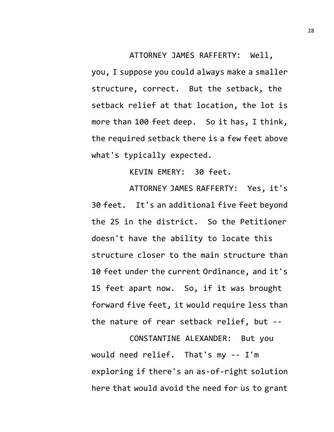ATTORNEY JAMES RAFFERTY: Well, you, I suppose you could always make a smaller structure, correct. But the setback, the setback relief at that location, the lot is more than 100 feet deep. So it has, I think, the required setback there is a few feet above what's typically expected.

KEVIN EMERY: 30 feet.

ATTORNEY JAMES RAFFERTY: Yes, it's 30 feet. It's an additional five feet beyond the 25 in the district. So the Petitioner doesn't have the ability to locate this structure closer to the main structure than 10 feet under the current Ordinance, and it's 15 feet apart now. So, if it was brought forward five feet, it would require less than the nature of rear setback relief, but --

CONSTANTINE ALEXANDER: But you would need relief. That's my -- I'm exploring if there's an as-of-right solution here that would avoid the need for us to grant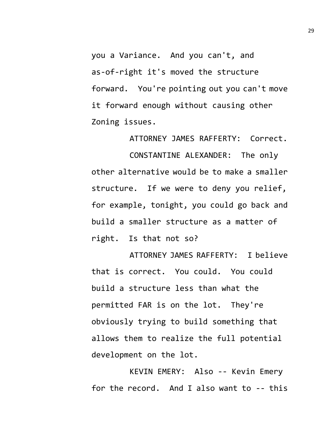you a Variance. And you can't, and as-of-right it's moved the structure forward. You're pointing out you can't move it forward enough without causing other Zoning issues.

ATTORNEY JAMES RAFFERTY: Correct.

CONSTANTINE ALEXANDER: The only other alternative would be to make a smaller structure. If we were to deny you relief, for example, tonight, you could go back and build a smaller structure as a matter of right. Is that not so?

ATTORNEY JAMES RAFFERTY: I believe that is correct. You could. You could build a structure less than what the permitted FAR is on the lot. They're obviously trying to build something that allows them to realize the full potential development on the lot.

KEVIN EMERY: Also -- Kevin Emery for the record. And I also want to -- this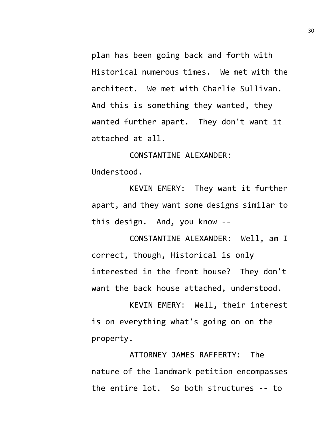plan has been going back and forth with Historical numerous times. We met with the architect. We met with Charlie Sullivan. And this is something they wanted, they wanted further apart. They don't want it attached at all.

CONSTANTINE ALEXANDER: Understood.

KEVIN EMERY: They want it further apart, and they want some designs similar to this design. And, you know --

CONSTANTINE ALEXANDER: Well, am I correct, though, Historical is only interested in the front house? They don't want the back house attached, understood.

KEVIN EMERY: Well, their interest is on everything what's going on on the property.

ATTORNEY JAMES RAFFERTY: The nature of the landmark petition encompasses the entire lot. So both structures -- to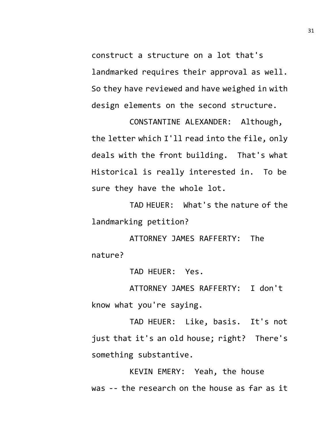construct a structure on a lot that's landmarked requires their approval as well. So they have reviewed and have weighed in with design elements on the second structure.

CONSTANTINE ALEXANDER: Although, the letter which I'll read into the file, only deals with the front building. That's what Historical is really interested in. To be sure they have the whole lot.

TAD HEUER: What's the nature of the landmarking petition?

ATTORNEY JAMES RAFFERTY: The nature?

TAD HEUER: Yes.

ATTORNEY JAMES RAFFERTY: I don't know what you're saying.

TAD HEUER: Like, basis. It's not just that it's an old house; right? There's something substantive.

KEVIN EMERY: Yeah, the house was -- the research on the house as far as it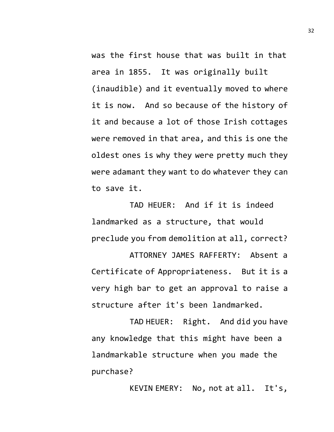was the first house that was built in that area in 1855. It was originally built (inaudible) and it eventually moved to where it is now. And so because of the history of it and because a lot of those Irish cottages were removed in that area, and this is one the oldest ones is why they were pretty much they were adamant they want to do whatever they can to save it.

TAD HEUER: And if it is indeed landmarked as a structure, that would preclude you from demolition at all, correct? ATTORNEY JAMES RAFFERTY: Absent a

Certificate of Appropriateness. But it is a very high bar to get an approval to raise a structure after it's been landmarked.

TAD HEUER: Right. And did you have any knowledge that this might have been a landmarkable structure when you made the purchase?

KEVIN EMERY: No, not at all. It's,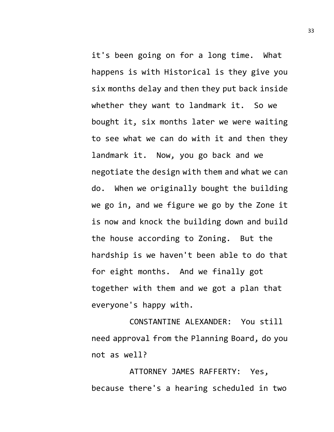it's been going on for a long time. What happens is with Historical is they give you six months delay and then they put back inside whether they want to landmark it. So we bought it, six months later we were waiting to see what we can do with it and then they landmark it. Now, you go back and we negotiate the design with them and what we can do. When we originally bought the building we go in, and we figure we go by the Zone it is now and knock the building down and build the house according to Zoning. But the hardship is we haven't been able to do that for eight months. And we finally got together with them and we got a plan that everyone's happy with.

CONSTANTINE ALEXANDER: You still need approval from the Planning Board, do you not as well?

ATTORNEY JAMES RAFFERTY: Yes, because there's a hearing scheduled in two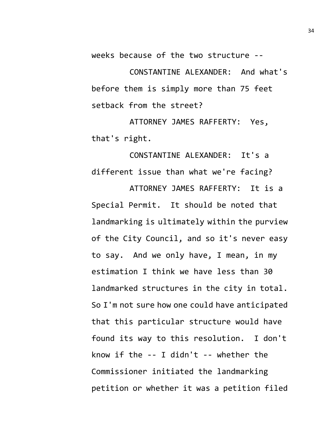weeks because of the two structure --

CONSTANTINE ALEXANDER: And what's before them is simply more than 75 feet setback from the street?

ATTORNEY JAMES RAFFERTY: Yes, that's right.

CONSTANTINE ALEXANDER: It's a different issue than what we're facing?

ATTORNEY JAMES RAFFERTY: It is a Special Permit. It should be noted that landmarking is ultimately within the purview of the City Council, and so it's never easy to say. And we only have, I mean, in my estimation I think we have less than 30 landmarked structures in the city in total. So I'm not sure how one could have anticipated that this particular structure would have found its way to this resolution. I don't know if the -- I didn't -- whether the Commissioner initiated the landmarking petition or whether it was a petition filed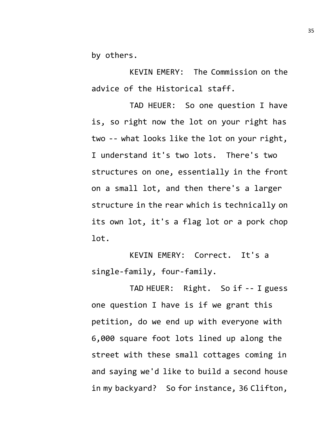by others.

KEVIN EMERY: The Commission on the advice of the Historical staff.

TAD HEUER: So one question I have is, so right now the lot on your right has two -- what looks like the lot on your right, I understand it's two lots. There's two structures on one, essentially in the front on a small lot, and then there's a larger structure in the rear which is technically on its own lot, it's a flag lot or a pork chop lot.

KEVIN EMERY: Correct. It's a single-family, four-family.

TAD HEUER: Right. So if -- I guess one question I have is if we grant this petition, do we end up with everyone with 6,000 square foot lots lined up along the street with these small cottages coming in and saying we'd like to build a second house in my backyard? So for instance, 36 Clifton,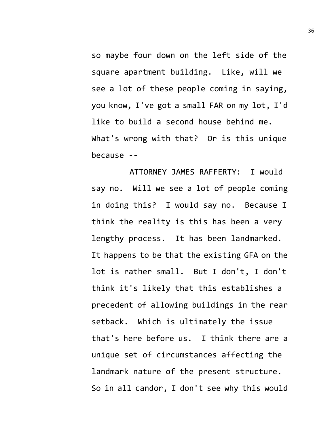so maybe four down on the left side of the square apartment building. Like, will we see a lot of these people coming in saying, you know, I've got a small FAR on my lot, I'd like to build a second house behind me. What's wrong with that? Or is this unique because --

ATTORNEY JAMES RAFFERTY: I would say no. Will we see a lot of people coming in doing this? I would say no. Because I think the reality is this has been a very lengthy process. It has been landmarked. It happens to be that the existing GFA on the lot is rather small. But I don't, I don't think it's likely that this establishes a precedent of allowing buildings in the rear setback. Which is ultimately the issue that's here before us. I think there are a unique set of circumstances affecting the landmark nature of the present structure. So in all candor, I don't see why this would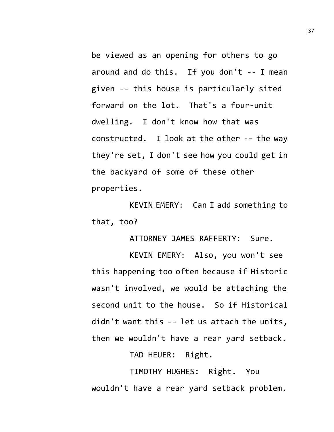be viewed as an opening for others to go around and do this. If you don't -- I mean given -- this house is particularly sited forward on the lot. That's a four-unit dwelling. I don't know how that was constructed. I look at the other -- the way they're set, I don't see how you could get in the backyard of some of these other properties.

KEVIN EMERY: Can I add something to that, too?

ATTORNEY JAMES RAFFERTY: Sure.

KEVIN EMERY: Also, you won't see this happening too often because if Historic wasn't involved, we would be attaching the second unit to the house. So if Historical didn't want this -- let us attach the units, then we wouldn't have a rear yard setback.

TAD HEUER: Right.

TIMOTHY HUGHES: Right. You wouldn't have a rear yard setback problem.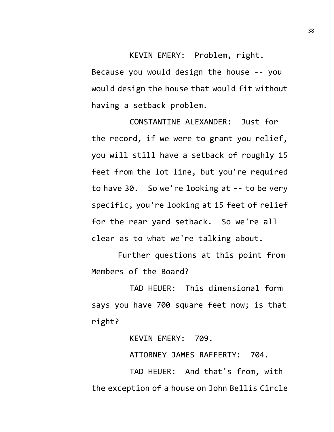KEVIN EMERY: Problem, right. Because you would design the house -- you would design the house that would fit without having a setback problem.

CONSTANTINE ALEXANDER: Just for the record, if we were to grant you relief, you will still have a setback of roughly 15 feet from the lot line, but you're required to have 30. So we're looking at -- to be very specific, you're looking at 15 feet of relief for the rear yard setback. So we're all clear as to what we're talking about.

Further questions at this point from Members of the Board?

TAD HEUER: This dimensional form says you have 700 square feet now; is that right?

KEVIN EMERY: 709.

ATTORNEY JAMES RAFFERTY: 704.

TAD HEUER: And that's from, with the exception of a house on John Bellis Circle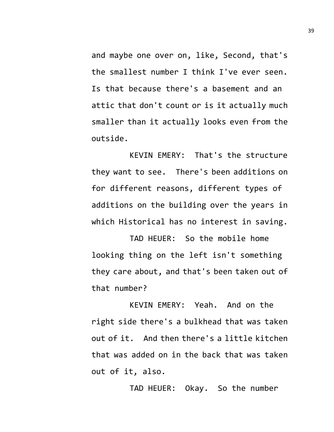and maybe one over on, like, Second, that's the smallest number I think I've ever seen. Is that because there's a basement and an attic that don't count or is it actually much smaller than it actually looks even from the outside.

KEVIN EMERY: That's the structure they want to see. There's been additions on for different reasons, different types of additions on the building over the years in which Historical has no interest in saving.

TAD HEUER: So the mobile home looking thing on the left isn't something they care about, and that's been taken out of that number?

KEVIN EMERY: Yeah. And on the right side there's a bulkhead that was taken out of it. And then there's a little kitchen that was added on in the back that was taken out of it, also.

TAD HEUER: Okay. So the number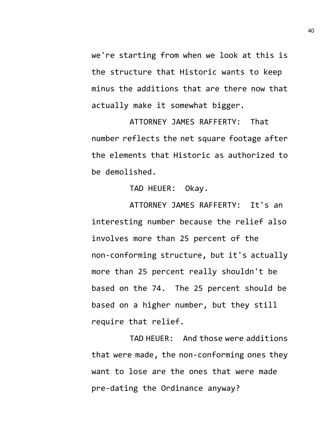we're starting from when we look at this is the structure that Historic wants to keep minus the additions that are there now that actually make it somewhat bigger.

ATTORNEY JAMES RAFFERTY: That number reflects the net square footage after the elements that Historic as authorized to be demolished.

TAD HEUER: Okay.

ATTORNEY JAMES RAFFERTY: It's an interesting number because the relief also involves more than 25 percent of the non-conforming structure, but it's actually more than 25 percent really shouldn't be based on the 74. The 25 percent should be based on a higher number, but they still require that relief.

TAD HEUER: And those were additions that were made, the non-conforming ones they want to lose are the ones that were made pre-dating the Ordinance anyway?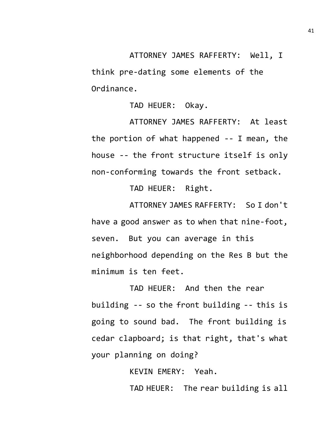ATTORNEY JAMES RAFFERTY: Well, I

think pre-dating some elements of the Ordinance.

TAD HEUER: Okay.

ATTORNEY JAMES RAFFERTY: At least the portion of what happened -- I mean, the house -- the front structure itself is only non-conforming towards the front setback.

TAD HEUER: Right.

ATTORNEY JAMES RAFFERTY: So I don't have a good answer as to when that nine-foot, seven. But you can average in this neighborhood depending on the Res B but the minimum is ten feet.

TAD HEUER: And then the rear building -- so the front building -- this is going to sound bad. The front building is cedar clapboard; is that right, that's what your planning on doing?

KEVIN EMERY: Yeah.

TAD HEUER: The rear building is all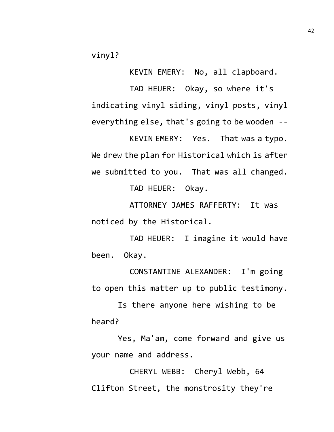vinyl?

KEVIN EMERY: No, all clapboard.

TAD HEUER: Okay, so where it's indicating vinyl siding, vinyl posts, vinyl everything else, that's going to be wooden --

KEVIN EMERY: Yes. That was a typo. We drew the plan for Historical which is after we submitted to you. That was all changed.

TAD HEUER: Okay.

ATTORNEY JAMES RAFFERTY: It was noticed by the Historical.

TAD HEUER: I imagine it would have been. Okay.

CONSTANTINE ALEXANDER: I'm going to open this matter up to public testimony.

Is there anyone here wishing to be heard?

Yes, Ma'am, come forward and give us your name and address.

CHERYL WEBB: Cheryl Webb, 64 Clifton Street, the monstrosity they're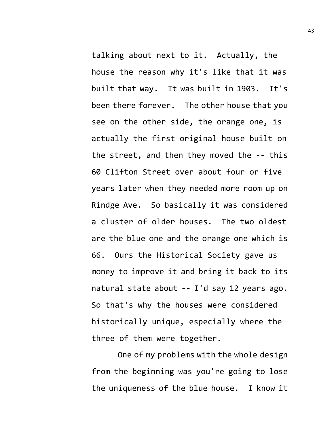talking about next to it. Actually, the house the reason why it's like that it was built that way. It was built in 1903. It's been there forever. The other house that you see on the other side, the orange one, is actually the first original house built on the street, and then they moved the -- this 60 Clifton Street over about four or five years later when they needed more room up on Rindge Ave. So basically it was considered a cluster of older houses. The two oldest are the blue one and the orange one which is 66. Ours the Historical Society gave us money to improve it and bring it back to its natural state about -- I'd say 12 years ago. So that's why the houses were considered historically unique, especially where the three of them were together.

One of my problems with the whole design from the beginning was you're going to lose the uniqueness of the blue house. I know it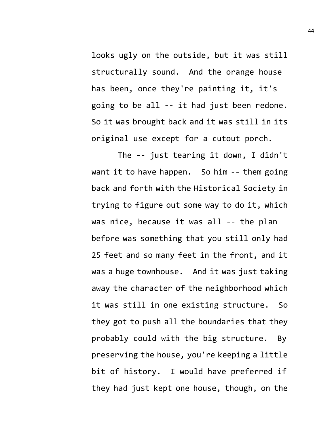looks ugly on the outside, but it was still structurally sound. And the orange house has been, once they're painting it, it's going to be all -- it had just been redone. So it was brought back and it was still in its original use except for a cutout porch.

The -- just tearing it down, I didn't want it to have happen. So him -- them going back and forth with the Historical Society in trying to figure out some way to do it, which was nice, because it was all -- the plan before was something that you still only had 25 feet and so many feet in the front, and it was a huge townhouse. And it was just taking away the character of the neighborhood which it was still in one existing structure. So they got to push all the boundaries that they probably could with the big structure. By preserving the house, you're keeping a little bit of history. I would have preferred if they had just kept one house, though, on the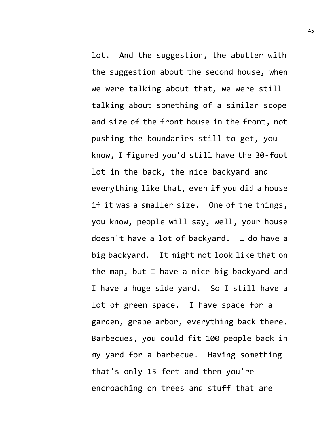lot. And the suggestion, the abutter with the suggestion about the second house, when we were talking about that, we were still talking about something of a similar scope and size of the front house in the front, not pushing the boundaries still to get, you know, I figured you'd still have the 30-foot lot in the back, the nice backyard and everything like that, even if you did a house if it was a smaller size. One of the things, you know, people will say, well, your house doesn't have a lot of backyard. I do have a big backyard. It might not look like that on the map, but I have a nice big backyard and I have a huge side yard. So I still have a lot of green space. I have space for a garden, grape arbor, everything back there. Barbecues, you could fit 100 people back in my yard for a barbecue. Having something that's only 15 feet and then you're encroaching on trees and stuff that are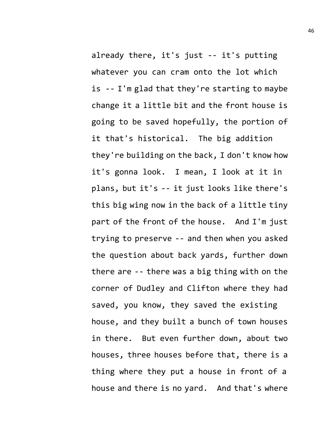already there, it's just -- it's putting whatever you can cram onto the lot which is -- I'm glad that they're starting to maybe change it a little bit and the front house is going to be saved hopefully, the portion of it that's historical. The big addition they're building on the back, I don't know how it's gonna look. I mean, I look at it in plans, but it's -- it just looks like there's this big wing now in the back of a little tiny part of the front of the house. And I'm just trying to preserve -- and then when you asked the question about back yards, further down there are -- there was a big thing with on the corner of Dudley and Clifton where they had saved, you know, they saved the existing house, and they built a bunch of town houses in there. But even further down, about two houses, three houses before that, there is a

thing where they put a house in front of a house and there is no yard. And that's where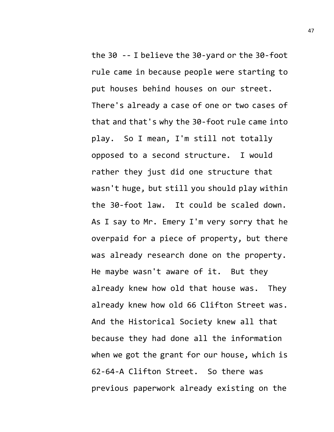the 30 -- I believe the 30-yard or the 30-foot rule came in because people were starting to put houses behind houses on our street. There's already a case of one or two cases of that and that's why the 30-foot rule came into play. So I mean, I'm still not totally opposed to a second structure. I would rather they just did one structure that wasn't huge, but still you should play within the 30-foot law. It could be scaled down. As I say to Mr. Emery I'm very sorry that he overpaid for a piece of property, but there was already research done on the property. He maybe wasn't aware of it. But they already knew how old that house was. They already knew how old 66 Clifton Street was. And the Historical Society knew all that because they had done all the information when we got the grant for our house, which is 62-64-A Clifton Street. So there was previous paperwork already existing on the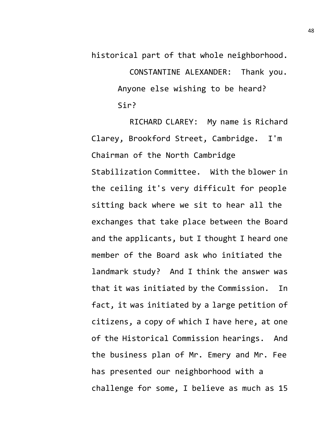historical part of that whole neighborhood.

CONSTANTINE ALEXANDER: Thank you. Anyone else wishing to be heard? Sir?

RICHARD CLAREY: My name is Richard Clarey, Brookford Street, Cambridge. I'm Chairman of the North Cambridge Stabilization Committee. With the blower in the ceiling it's very difficult for people sitting back where we sit to hear all the exchanges that take place between the Board and the applicants, but I thought I heard one member of the Board ask who initiated the landmark study? And I think the answer was that it was initiated by the Commission. In fact, it was initiated by a large petition of citizens, a copy of which I have here, at one of the Historical Commission hearings. And the business plan of Mr. Emery and Mr. Fee has presented our neighborhood with a challenge for some, I believe as much as 15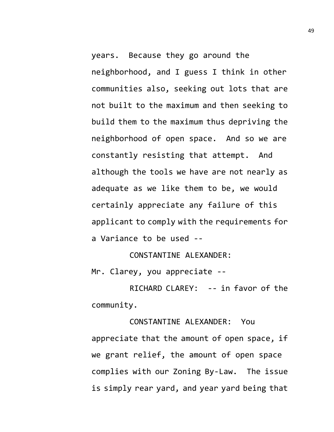years. Because they go around the neighborhood, and I guess I think in other communities also, seeking out lots that are not built to the maximum and then seeking to build them to the maximum thus depriving the neighborhood of open space. And so we are constantly resisting that attempt. And although the tools we have are not nearly as adequate as we like them to be, we would certainly appreciate any failure of this applicant to comply with the requirements for a Variance to be used --

CONSTANTINE ALEXANDER:

Mr. Clarey, you appreciate --

RICHARD CLAREY: -- in favor of the community.

CONSTANTINE ALEXANDER: You appreciate that the amount of open space, if we grant relief, the amount of open space complies with our Zoning By-Law. The issue is simply rear yard, and year yard being that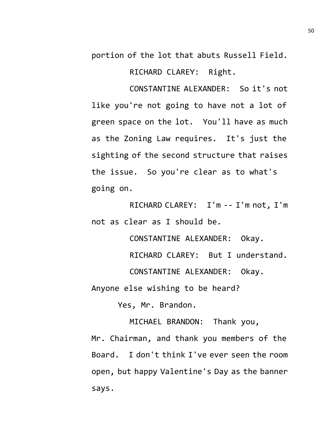portion of the lot that abuts Russell Field.

RICHARD CLAREY: Right.

CONSTANTINE ALEXANDER: So it's not like you're not going to have not a lot of green space on the lot. You'll have as much as the Zoning Law requires. It's just the sighting of the second structure that raises the issue. So you're clear as to what's going on.

RICHARD CLAREY: I'm -- I'm not, I'm not as clear as I should be.

CONSTANTINE ALEXANDER: Okay.

RICHARD CLAREY: But I understand.

CONSTANTINE ALEXANDER: Okay.

Anyone else wishing to be heard?

Yes, Mr. Brandon.

MICHAEL BRANDON: Thank you,

Mr. Chairman, and thank you members of the Board. I don't think I've ever seen the room open, but happy Valentine's Day as the banner says.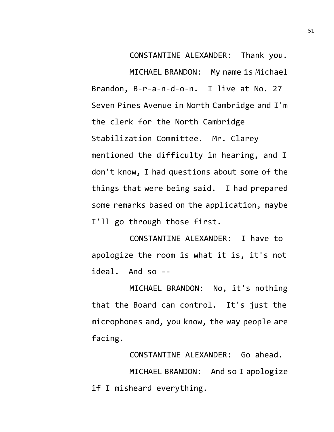CONSTANTINE ALEXANDER: Thank you.

MICHAEL BRANDON: My name is Michael Brandon, B-r-a-n-d-o-n. I live at No. 27 Seven Pines Avenue in North Cambridge and I'm the clerk for the North Cambridge Stabilization Committee. Mr. Clarey mentioned the difficulty in hearing, and I don't know, I had questions about some of the things that were being said. I had prepared some remarks based on the application, maybe I'll go through those first.

CONSTANTINE ALEXANDER: I have to apologize the room is what it is, it's not ideal. And so --

MICHAEL BRANDON: No, it's nothing that the Board can control. It's just the microphones and, you know, the way people are facing.

CONSTANTINE ALEXANDER: Go ahead.

MICHAEL BRANDON: And so I apologize if I misheard everything.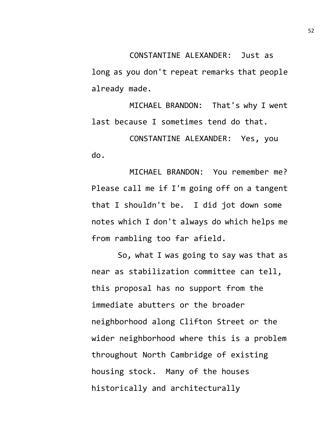long as you don't repeat remarks that people already made.

MICHAEL BRANDON: That's why I went last because I sometimes tend do that.

CONSTANTINE ALEXANDER: Yes, you do.

MICHAEL BRANDON: You remember me? Please call me if I'm going off on a tangent that I shouldn't be. I did jot down some notes which I don't always do which helps me from rambling too far afield.

So, what I was going to say was that as near as stabilization committee can tell, this proposal has no support from the immediate abutters or the broader neighborhood along Clifton Street or the wider neighborhood where this is a problem throughout North Cambridge of existing housing stock. Many of the houses historically and architecturally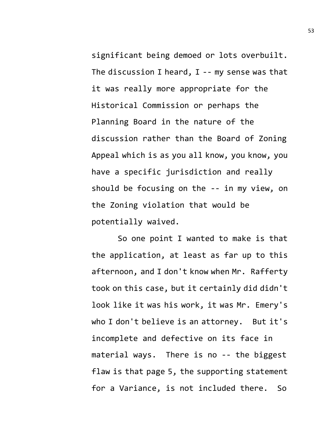significant being demoed or lots overbuilt. The discussion I heard,  $I - - mV$  sense was that it was really more appropriate for the Historical Commission or perhaps the Planning Board in the nature of the discussion rather than the Board of Zoning Appeal which is as you all know, you know, you have a specific jurisdiction and really should be focusing on the -- in my view, on the Zoning violation that would be potentially waived.

So one point I wanted to make is that the application, at least as far up to this afternoon, and I don't know when Mr. Rafferty took on this case, but it certainly did didn't look like it was his work, it was Mr. Emery's who I don't believe is an attorney. But it's incomplete and defective on its face in material ways. There is no -- the biggest flaw is that page 5, the supporting statement for a Variance, is not included there. So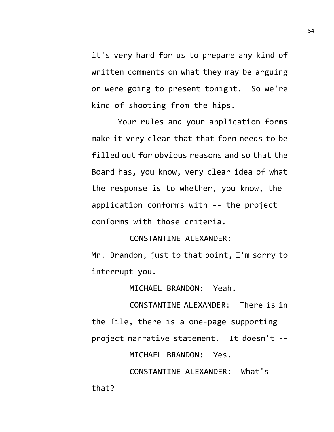it's very hard for us to prepare any kind of written comments on what they may be arguing or were going to present tonight. So we're kind of shooting from the hips.

Your rules and your application forms make it very clear that that form needs to be filled out for obvious reasons and so that the Board has, you know, very clear idea of what the response is to whether, you know, the application conforms with -- the project conforms with those criteria.

CONSTANTINE ALEXANDER:

Mr. Brandon, just to that point, I'm sorry to interrupt you.

MICHAEL BRANDON: Yeah.

CONSTANTINE ALEXANDER: There is in the file, there is a one-page supporting project narrative statement. It doesn't --

MICHAEL BRANDON: Yes.

CONSTANTINE ALEXANDER: What's that?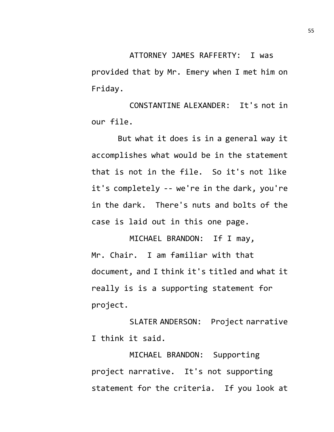ATTORNEY JAMES RAFFERTY: I was provided that by Mr. Emery when I met him on Friday.

CONSTANTINE ALEXANDER: It's not in our file.

But what it does is in a general way it accomplishes what would be in the statement that is not in the file. So it's not like it's completely -- we're in the dark, you're in the dark. There's nuts and bolts of the case is laid out in this one page.

MICHAEL BRANDON: If I may, Mr. Chair. I am familiar with that document, and I think it's titled and what it really is is a supporting statement for project.

SLATER ANDERSON: Project narrative I think it said.

MICHAEL BRANDON: Supporting project narrative. It's not supporting statement for the criteria. If you look at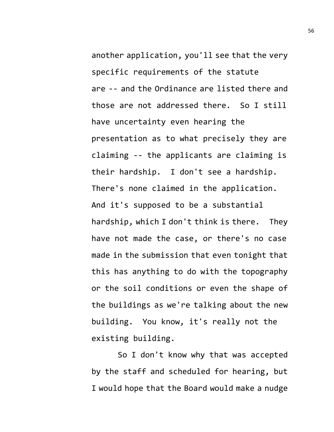another application, you'll see that the very specific requirements of the statute are -- and the Ordinance are listed there and those are not addressed there. So I still have uncertainty even hearing the presentation as to what precisely they are claiming -- the applicants are claiming is their hardship. I don't see a hardship. There's none claimed in the application. And it's supposed to be a substantial hardship, which I don't think is there. They have not made the case, or there's no case made in the submission that even tonight that this has anything to do with the topography or the soil conditions or even the shape of the buildings as we're talking about the new building. You know, it's really not the existing building.

So I don't know why that was accepted by the staff and scheduled for hearing, but I would hope that the Board would make a nudge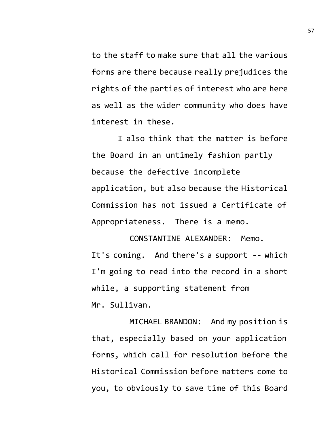to the staff to make sure that all the various forms are there because really prejudices the rights of the parties of interest who are here as well as the wider community who does have interest in these.

I also think that the matter is before the Board in an untimely fashion partly because the defective incomplete application, but also because the Historical Commission has not issued a Certificate of Appropriateness. There is a memo.

CONSTANTINE ALEXANDER: Memo. It's coming. And there's a support -- which I'm going to read into the record in a short while, a supporting statement from Mr. Sullivan.

MICHAEL BRANDON: And my position is that, especially based on your application forms, which call for resolution before the Historical Commission before matters come to you, to obviously to save time of this Board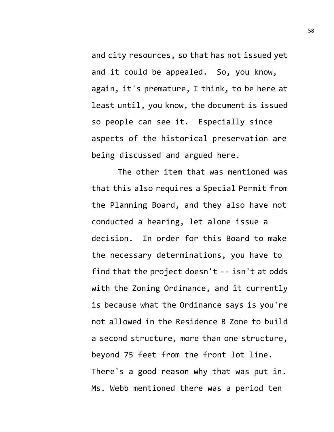and city resources, so that has not issued yet and it could be appealed. So, you know, again, it's premature, I think, to be here at least until, you know, the document is issued so people can see it. Especially since aspects of the historical preservation are being discussed and argued here.

The other item that was mentioned was that this also requires a Special Permit from the Planning Board, and they also have not conducted a hearing, let alone issue a decision. In order for this Board to make the necessary determinations, you have to find that the project doesn't -- isn't at odds with the Zoning Ordinance, and it currently is because what the Ordinance says is you're not allowed in the Residence B Zone to build a second structure, more than one structure, beyond 75 feet from the front lot line. There's a good reason why that was put in. Ms. Webb mentioned there was a period ten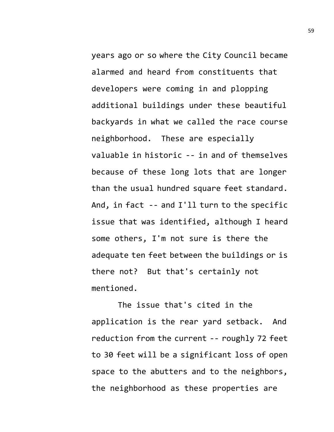years ago or so where the City Council became alarmed and heard from constituents that developers were coming in and plopping additional buildings under these beautiful backyards in what we called the race course neighborhood. These are especially valuable in historic -- in and of themselves because of these long lots that are longer than the usual hundred square feet standard. And, in fact -- and I'll turn to the specific issue that was identified, although I heard some others, I'm not sure is there the adequate ten feet between the buildings or is there not? But that's certainly not mentioned.

The issue that's cited in the application is the rear yard setback. And reduction from the current -- roughly 72 feet to 30 feet will be a significant loss of open space to the abutters and to the neighbors, the neighborhood as these properties are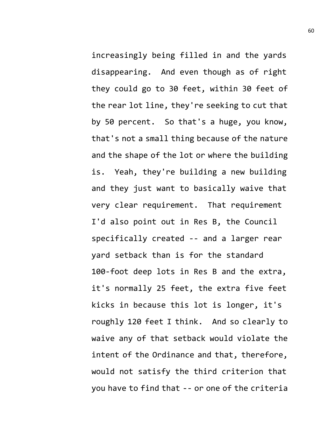increasingly being filled in and the yards disappearing. And even though as of right they could go to 30 feet, within 30 feet of the rear lot line, they're seeking to cut that by 50 percent. So that's a huge, you know, that's not a small thing because of the nature and the shape of the lot or where the building is. Yeah, they're building a new building and they just want to basically waive that very clear requirement. That requirement I'd also point out in Res B, the Council specifically created -- and a larger rear yard setback than is for the standard 100-foot deep lots in Res B and the extra, it's normally 25 feet, the extra five feet kicks in because this lot is longer, it's roughly 120 feet I think. And so clearly to waive any of that setback would violate the intent of the Ordinance and that, therefore, would not satisfy the third criterion that you have to find that -- or one of the criteria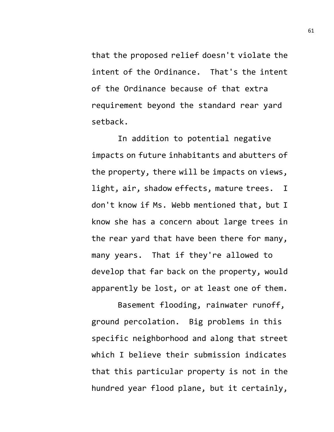that the proposed relief doesn't violate the intent of the Ordinance. That's the intent of the Ordinance because of that extra requirement beyond the standard rear yard setback.

In addition to potential negative impacts on future inhabitants and abutters of the property, there will be impacts on views, light, air, shadow effects, mature trees. I don't know if Ms. Webb mentioned that, but I know she has a concern about large trees in the rear yard that have been there for many, many years. That if they're allowed to develop that far back on the property, would apparently be lost, or at least one of them.

Basement flooding, rainwater runoff, ground percolation. Big problems in this specific neighborhood and along that street which I believe their submission indicates that this particular property is not in the hundred year flood plane, but it certainly,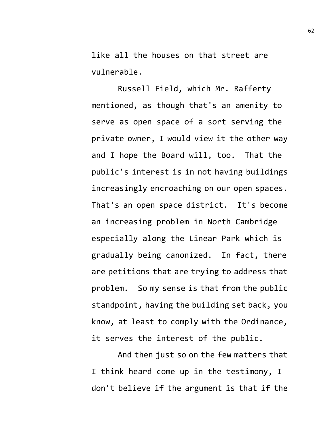like all the houses on that street are vulnerable.

Russell Field, which Mr. Rafferty mentioned, as though that's an amenity to serve as open space of a sort serving the private owner, I would view it the other way and I hope the Board will, too. That the public's interest is in not having buildings increasingly encroaching on our open spaces. That's an open space district. It's become an increasing problem in North Cambridge especially along the Linear Park which is gradually being canonized. In fact, there are petitions that are trying to address that problem. So my sense is that from the public standpoint, having the building set back, you know, at least to comply with the Ordinance, it serves the interest of the public.

And then just so on the few matters that I think heard come up in the testimony, I don't believe if the argument is that if the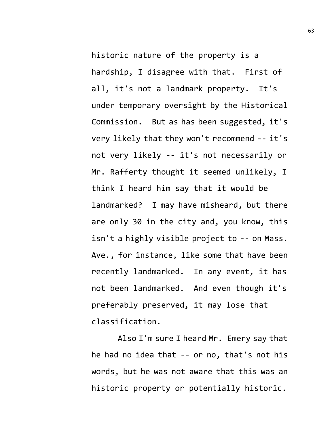historic nature of the property is a hardship, I disagree with that. First of all, it's not a landmark property. It's under temporary oversight by the Historical Commission. But as has been suggested, it's very likely that they won't recommend -- it's not very likely -- it's not necessarily or Mr. Rafferty thought it seemed unlikely, I think I heard him say that it would be landmarked? I may have misheard, but there are only 30 in the city and, you know, this isn't a highly visible project to -- on Mass. Ave., for instance, like some that have been recently landmarked. In any event, it has not been landmarked. And even though it's preferably preserved, it may lose that classification.

Also I'm sure I heard Mr. Emery say that he had no idea that -- or no, that's not his words, but he was not aware that this was an historic property or potentially historic.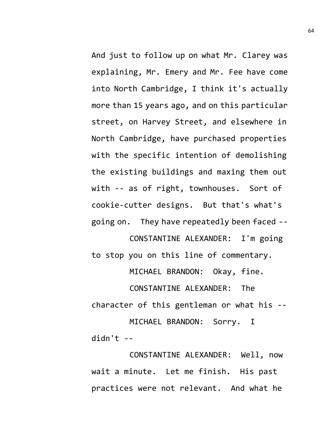And just to follow up on what Mr. Clarey was explaining, Mr. Emery and Mr. Fee have come into North Cambridge, I think it's actually more than 15 years ago, and on this particular street, on Harvey Street, and elsewhere in North Cambridge, have purchased properties with the specific intention of demolishing the existing buildings and maxing them out with -- as of right, townhouses. Sort of cookie-cutter designs. But that's what's going on. They have repeatedly been faced --

CONSTANTINE ALEXANDER: I'm going to stop you on this line of commentary. MICHAEL BRANDON: Okay, fine.

CONSTANTINE ALEXANDER: The character of this gentleman or what his -- MICHAEL BRANDON: Sorry. I  $d$ idn't --

CONSTANTINE ALEXANDER: Well, now wait a minute. Let me finish. His past practices were not relevant. And what he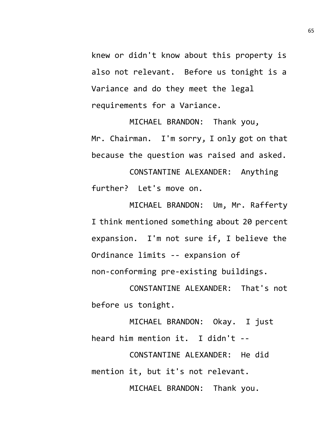knew or didn't know about this property is also not relevant. Before us tonight is a Variance and do they meet the legal requirements for a Variance.

MICHAEL BRANDON: Thank you, Mr. Chairman. I'm sorry, I only got on that because the question was raised and asked.

CONSTANTINE ALEXANDER: Anything further? Let's move on.

MICHAEL BRANDON: Um, Mr. Rafferty I think mentioned something about 20 percent expansion. I'm not sure if, I believe the Ordinance limits -- expansion of non-conforming pre-existing buildings.

CONSTANTINE ALEXANDER: That's not before us tonight.

MICHAEL BRANDON: Okay. I just heard him mention it. I didn't --

CONSTANTINE ALEXANDER: He did mention it, but it's not relevant.

MICHAEL BRANDON: Thank you.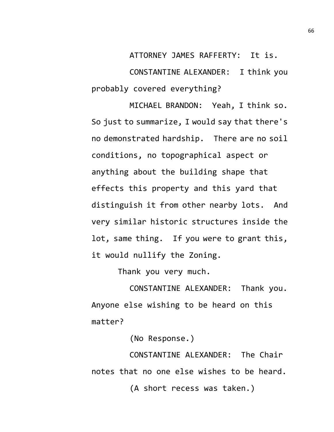ATTORNEY JAMES RAFFERTY: It is. CONSTANTINE ALEXANDER: I think you probably covered everything?

MICHAEL BRANDON: Yeah, I think so. So just to summarize, I would say that there's no demonstrated hardship. There are no soil conditions, no topographical aspect or anything about the building shape that effects this property and this yard that distinguish it from other nearby lots. And very similar historic structures inside the lot, same thing. If you were to grant this, it would nullify the Zoning.

Thank you very much.

CONSTANTINE ALEXANDER: Thank you. Anyone else wishing to be heard on this matter?

(No Response.)

CONSTANTINE ALEXANDER: The Chair notes that no one else wishes to be heard.

(A short recess was taken.)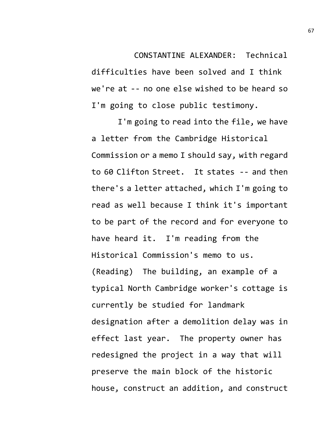CONSTANTINE ALEXANDER: Technical difficulties have been solved and I think we're at -- no one else wished to be heard so I'm going to close public testimony.

I'm going to read into the file, we have a letter from the Cambridge Historical Commission or a memo I should say, with regard to 60 Clifton Street. It states -- and then there's a letter attached, which I'm going to read as well because I think it's important to be part of the record and for everyone to have heard it. I'm reading from the Historical Commission's memo to us. (Reading) The building, an example of a typical North Cambridge worker's cottage is currently be studied for landmark designation after a demolition delay was in effect last year. The property owner has redesigned the project in a way that will preserve the main block of the historic house, construct an addition, and construct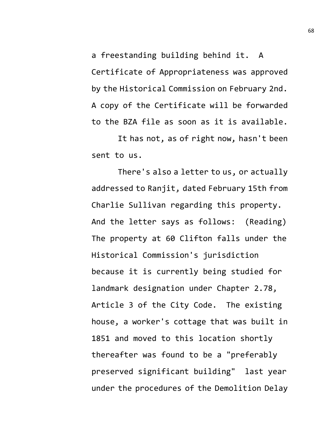a freestanding building behind it. A Certificate of Appropriateness was approved by the Historical Commission on February 2nd. A copy of the Certificate will be forwarded to the BZA file as soon as it is available.

It has not, as of right now, hasn't been sent to us.

There's also a letter to us, or actually addressed to Ranjit, dated February 15th from Charlie Sullivan regarding this property. And the letter says as follows: (Reading) The property at 60 Clifton falls under the Historical Commission's jurisdiction because it is currently being studied for landmark designation under Chapter 2.78, Article 3 of the City Code. The existing house, a worker's cottage that was built in 1851 and moved to this location shortly thereafter was found to be a "preferably preserved significant building" last year under the procedures of the Demolition Delay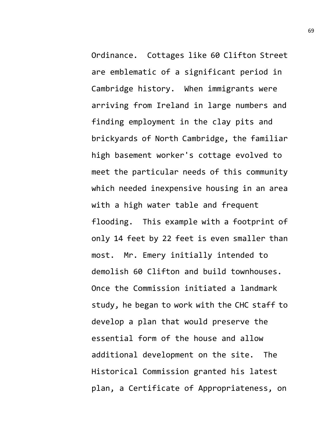Ordinance. Cottages like 60 Clifton Street are emblematic of a significant period in Cambridge history. When immigrants were arriving from Ireland in large numbers and finding employment in the clay pits and brickyards of North Cambridge, the familiar high basement worker's cottage evolved to meet the particular needs of this community which needed inexpensive housing in an area with a high water table and frequent flooding. This example with a footprint of only 14 feet by 22 feet is even smaller than most. Mr. Emery initially intended to demolish 60 Clifton and build townhouses. Once the Commission initiated a landmark study, he began to work with the CHC staff to develop a plan that would preserve the essential form of the house and allow additional development on the site. The Historical Commission granted his latest plan, a Certificate of Appropriateness, on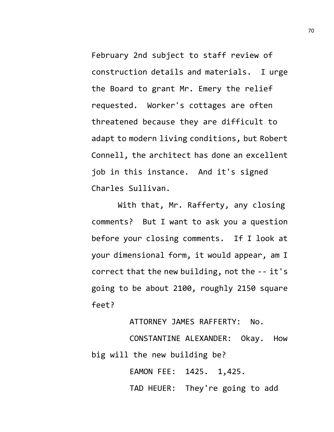February 2nd subject to staff review of construction details and materials. I urge the Board to grant Mr. Emery the relief requested. Worker's cottages are often threatened because they are difficult to adapt to modern living conditions, but Robert Connell, the architect has done an excellent job in this instance. And it's signed Charles Sullivan.

With that, Mr. Rafferty, any closing comments? But I want to ask you a question before your closing comments. If I look at your dimensional form, it would appear, am I correct that the new building, not the -- it's going to be about 2100, roughly 2150 square feet?

ATTORNEY JAMES RAFFERTY: No.

CONSTANTINE ALEXANDER: Okay. How big will the new building be?

EAMON FEE: 1425. 1,425.

TAD HEUER: They're going to add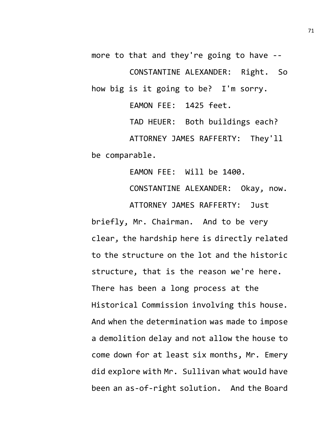more to that and they're going to have -- CONSTANTINE ALEXANDER: Right. So how big is it going to be? I'm sorry. EAMON FEE: 1425 feet.

TAD HEUER: Both buildings each? ATTORNEY JAMES RAFFERTY: They'll be comparable.

EAMON FEE: Will be 1400. CONSTANTINE ALEXANDER: Okay, now. ATTORNEY JAMES RAFFERTY: Just briefly, Mr. Chairman. And to be very clear, the hardship here is directly related

to the structure on the lot and the historic structure, that is the reason we're here. There has been a long process at the Historical Commission involving this house. And when the determination was made to impose a demolition delay and not allow the house to come down for at least six months, Mr. Emery did explore with Mr. Sullivan what would have been an as-of-right solution. And the Board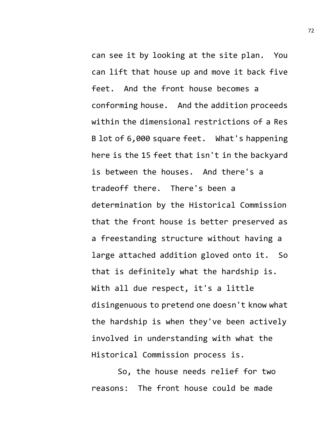can see it by looking at the site plan. You can lift that house up and move it back five feet. And the front house becomes a conforming house. And the addition proceeds within the dimensional restrictions of a Res B lot of 6,000 square feet. What's happening here is the 15 feet that isn't in the backyard is between the houses. And there's a tradeoff there. There's been a determination by the Historical Commission that the front house is better preserved as a freestanding structure without having a large attached addition gloved onto it. So that is definitely what the hardship is. With all due respect, it's a little disingenuous to pretend one doesn't know what the hardship is when they've been actively involved in understanding with what the Historical Commission process is.

So, the house needs relief for two reasons: The front house could be made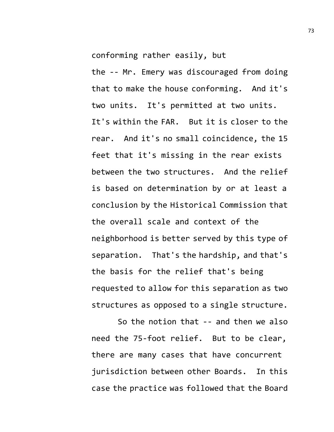conforming rather easily, but

the -- Mr. Emery was discouraged from doing that to make the house conforming. And it's two units. It's permitted at two units. It's within the FAR. But it is closer to the rear. And it's no small coincidence, the 15 feet that it's missing in the rear exists between the two structures. And the relief is based on determination by or at least a conclusion by the Historical Commission that the overall scale and context of the neighborhood is better served by this type of separation. That's the hardship, and that's the basis for the relief that's being requested to allow for this separation as two structures as opposed to a single structure.

So the notion that -- and then we also need the 75-foot relief. But to be clear, there are many cases that have concurrent jurisdiction between other Boards. In this case the practice was followed that the Board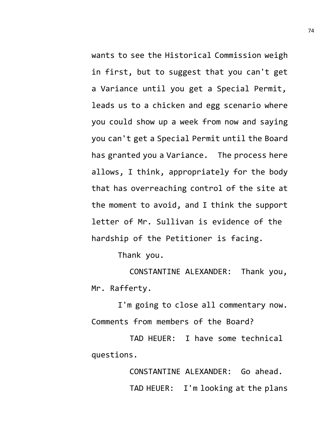wants to see the Historical Commission weigh in first, but to suggest that you can't get a Variance until you get a Special Permit, leads us to a chicken and egg scenario where you could show up a week from now and saying you can't get a Special Permit until the Board has granted you a Variance. The process here allows, I think, appropriately for the body that has overreaching control of the site at the moment to avoid, and I think the support letter of Mr. Sullivan is evidence of the hardship of the Petitioner is facing.

Thank you.

CONSTANTINE ALEXANDER: Thank you, Mr. Rafferty.

I'm going to close all commentary now. Comments from members of the Board?

TAD HEUER: I have some technical questions.

> CONSTANTINE ALEXANDER: Go ahead. TAD HEUER: I'm looking at the plans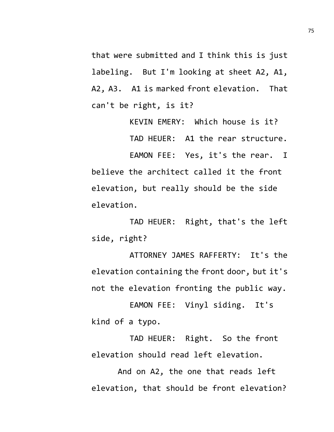that were submitted and I think this is just labeling. But I'm looking at sheet A2, A1, A2, A3. A1 is marked front elevation. That can't be right, is it?

> KEVIN EMERY: Which house is it? TAD HEUER: A1 the rear structure.

EAMON FEE: Yes, it's the rear. I believe the architect called it the front elevation, but really should be the side elevation.

TAD HEUER: Right, that's the left side, right?

ATTORNEY JAMES RAFFERTY: It's the elevation containing the front door, but it's not the elevation fronting the public way.

EAMON FEE: Vinyl siding. It's kind of a typo.

TAD HEUER: Right. So the front elevation should read left elevation.

And on A2, the one that reads left elevation, that should be front elevation?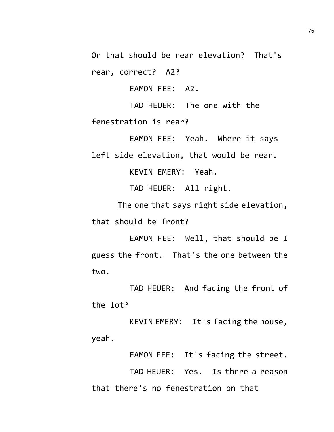Or that should be rear elevation? That's rear, correct? A2?

EAMON FEE: A2.

TAD HEUER: The one with the fenestration is rear?

EAMON FEE: Yeah. Where it says left side elevation, that would be rear.

KEVIN EMERY: Yeah.

TAD HEUER: All right.

The one that says right side elevation, that should be front?

EAMON FEE: Well, that should be I guess the front. That's the one between the two.

TAD HEUER: And facing the front of the lot?

KEVIN EMERY: It's facing the house, yeah.

EAMON FEE: It's facing the street.

TAD HEUER: Yes. Is there a reason that there's no fenestration on that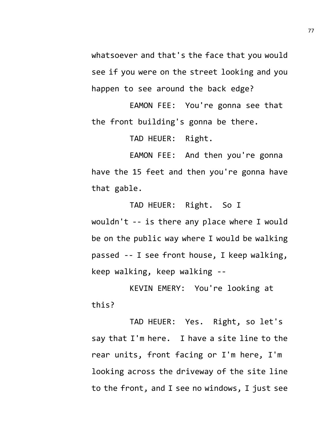whatsoever and that's the face that you would see if you were on the street looking and you happen to see around the back edge?

EAMON FEE: You're gonna see that the front building's gonna be there.

TAD HEUER: Right.

EAMON FEE: And then you're gonna have the 15 feet and then you're gonna have that gable.

TAD HEUER: Right. So I wouldn't -- is there any place where I would be on the public way where I would be walking passed -- I see front house, I keep walking, keep walking, keep walking --

KEVIN EMERY: You're looking at this?

TAD HEUER: Yes. Right, so let's say that I'm here. I have a site line to the rear units, front facing or I'm here, I'm looking across the driveway of the site line to the front, and I see no windows, I just see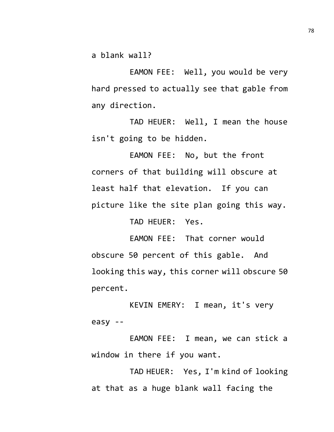a blank wall?

EAMON FEE: Well, you would be very hard pressed to actually see that gable from any direction.

TAD HEUER: Well, I mean the house isn't going to be hidden.

EAMON FEE: No, but the front corners of that building will obscure at least half that elevation. If you can picture like the site plan going this way.

TAD HEUER: Yes.

EAMON FEE: That corner would obscure 50 percent of this gable. And looking this way, this corner will obscure 50 percent.

KEVIN EMERY: I mean, it's very easy --

EAMON FEE: I mean, we can stick a window in there if you want.

TAD HEUER: Yes, I'm kind of looking at that as a huge blank wall facing the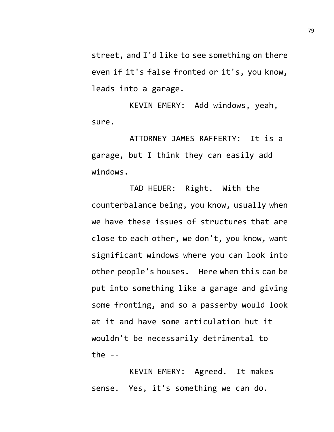street, and I'd like to see something on there even if it's false fronted or it's, you know, leads into a garage.

KEVIN EMERY: Add windows, yeah, sure.

ATTORNEY JAMES RAFFERTY: It is a garage, but I think they can easily add windows.

TAD HEUER: Right. With the counterbalance being, you know, usually when we have these issues of structures that are close to each other, we don't, you know, want significant windows where you can look into other people's houses. Here when this can be put into something like a garage and giving some fronting, and so a passerby would look at it and have some articulation but it wouldn't be necessarily detrimental to the  $-$ 

KEVIN EMERY: Agreed. It makes sense. Yes, it's something we can do.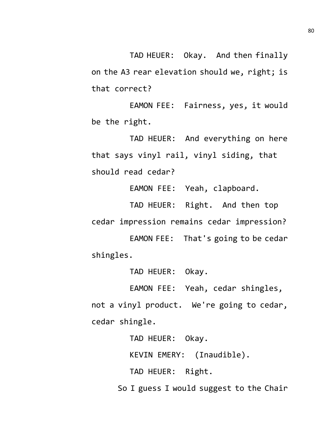TAD HEUER: Okay. And then finally on the A3 rear elevation should we, right; is that correct?

EAMON FEE: Fairness, yes, it would be the right.

TAD HEUER: And everything on here that says vinyl rail, vinyl siding, that should read cedar?

EAMON FEE: Yeah, clapboard.

TAD HEUER: Right. And then top cedar impression remains cedar impression?

EAMON FEE: That's going to be cedar shingles.

TAD HEUER: Okay.

EAMON FEE: Yeah, cedar shingles, not a vinyl product. We're going to cedar, cedar shingle.

TAD HEUER: Okay.

KEVIN EMERY: (Inaudible).

TAD HEUER: Right.

So I guess I would suggest to the Chair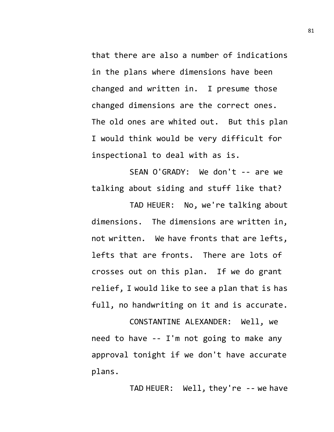that there are also a number of indications in the plans where dimensions have been changed and written in. I presume those changed dimensions are the correct ones. The old ones are whited out. But this plan I would think would be very difficult for inspectional to deal with as is.

SEAN O'GRADY: We don't -- are we talking about siding and stuff like that?

TAD HEUER: No, we're talking about dimensions. The dimensions are written in, not written. We have fronts that are lefts, lefts that are fronts. There are lots of crosses out on this plan. If we do grant relief, I would like to see a plan that is has full, no handwriting on it and is accurate.

CONSTANTINE ALEXANDER: Well, we need to have -- I'm not going to make any approval tonight if we don't have accurate plans.

TAD HEUER: Well, they're -- we have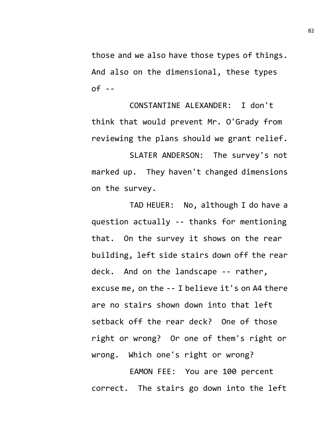those and we also have those types of things. And also on the dimensional, these types  $of - -$ 

CONSTANTINE ALEXANDER: I don't think that would prevent Mr. O'Grady from reviewing the plans should we grant relief.

SLATER ANDERSON: The survey's not marked up. They haven't changed dimensions on the survey.

TAD HEUER: No, although I do have a question actually -- thanks for mentioning that. On the survey it shows on the rear building, left side stairs down off the rear deck. And on the landscape -- rather, excuse me, on the -- I believe it's on A4 there are no stairs shown down into that left setback off the rear deck? One of those right or wrong? Or one of them's right or wrong. Which one's right or wrong?

EAMON FEE: You are 100 percent correct. The stairs go down into the left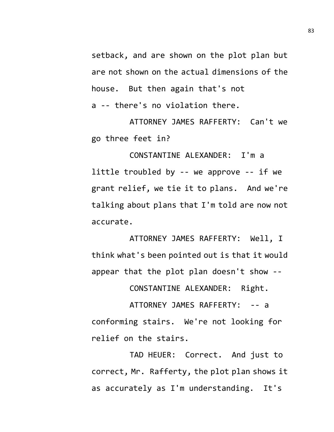setback, and are shown on the plot plan but are not shown on the actual dimensions of the house. But then again that's not a -- there's no violation there.

ATTORNEY JAMES RAFFERTY: Can't we go three feet in?

CONSTANTINE ALEXANDER: I'm a little troubled by -- we approve -- if we grant relief, we tie it to plans. And we're talking about plans that I'm told are now not accurate.

ATTORNEY JAMES RAFFERTY: Well, I think what's been pointed out is that it would appear that the plot plan doesn't show --

CONSTANTINE ALEXANDER: Right.

ATTORNEY JAMES RAFFERTY: -- a conforming stairs. We're not looking for relief on the stairs.

TAD HEUER: Correct. And just to correct, Mr. Rafferty, the plot plan shows it as accurately as I'm understanding. It's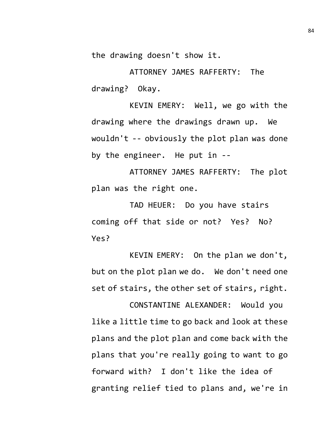the drawing doesn't show it.

ATTORNEY JAMES RAFFERTY: The drawing? Okay.

KEVIN EMERY: Well, we go with the drawing where the drawings drawn up. We wouldn't -- obviously the plot plan was done by the engineer. He put in --

ATTORNEY JAMES RAFFERTY: The plot plan was the right one.

TAD HEUER: Do you have stairs coming off that side or not? Yes? No? Yes?

KEVIN EMERY: On the plan we don't, but on the plot plan we do. We don't need one set of stairs, the other set of stairs, right.

CONSTANTINE ALEXANDER: Would you like a little time to go back and look at these plans and the plot plan and come back with the plans that you're really going to want to go forward with? I don't like the idea of granting relief tied to plans and, we're in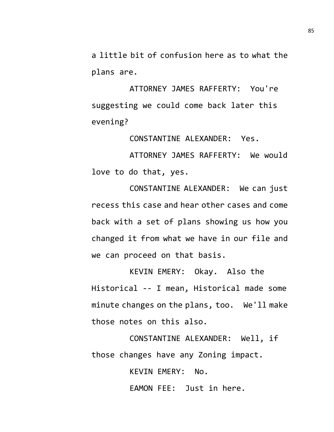a little bit of confusion here as to what the plans are.

ATTORNEY JAMES RAFFERTY: You're suggesting we could come back later this evening?

CONSTANTINE ALEXANDER: Yes.

ATTORNEY JAMES RAFFERTY: We would love to do that, yes.

CONSTANTINE ALEXANDER: We can just recess this case and hear other cases and come back with a set of plans showing us how you changed it from what we have in our file and we can proceed on that basis.

KEVIN EMERY: Okay. Also the Historical -- I mean, Historical made some minute changes on the plans, too. We'll make those notes on this also.

CONSTANTINE ALEXANDER: Well, if those changes have any Zoning impact.

KEVIN EMERY: No.

EAMON FEE: Just in here.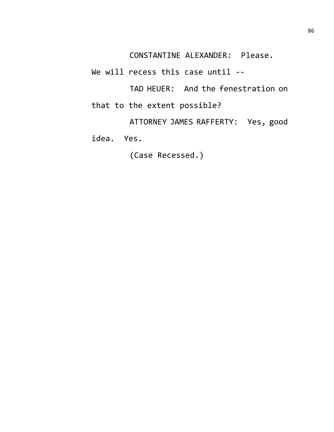CONSTANTINE ALEXANDER: Please.

We will recess this case until --

TAD HEUER: And the fenestration on that to the extent possible?

ATTORNEY JAMES RAFFERTY: Yes, good idea. Yes.

(Case Recessed.)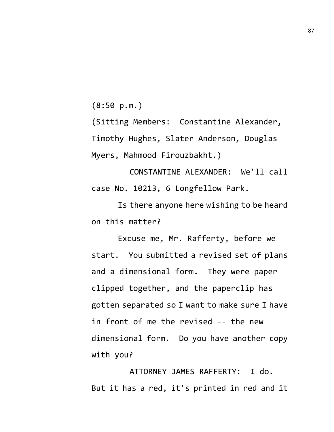(8:50 p.m.)

(Sitting Members: Constantine Alexander, Timothy Hughes, Slater Anderson, Douglas Myers, Mahmood Firouzbakht.)

CONSTANTINE ALEXANDER: We'll call case No. 10213, 6 Longfellow Park.

Is there anyone here wishing to be heard on this matter?

Excuse me, Mr. Rafferty, before we start. You submitted a revised set of plans and a dimensional form. They were paper clipped together, and the paperclip has gotten separated so I want to make sure I have in front of me the revised -- the new dimensional form. Do you have another copy with you?

ATTORNEY JAMES RAFFERTY: I do. But it has a red, it's printed in red and it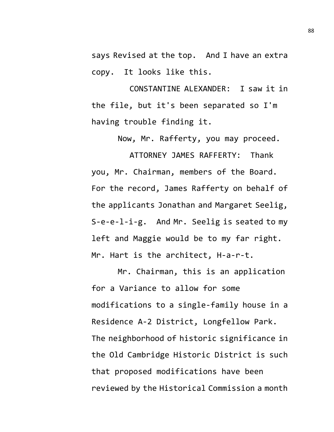says Revised at the top. And I have an extra copy. It looks like this.

CONSTANTINE ALEXANDER: I saw it in the file, but it's been separated so I'm having trouble finding it.

Now, Mr. Rafferty, you may proceed.

ATTORNEY JAMES RAFFERTY: Thank you, Mr. Chairman, members of the Board. For the record, James Rafferty on behalf of the applicants Jonathan and Margaret Seelig, S-e-e-l-i-g. And Mr. Seelig is seated to my left and Maggie would be to my far right. Mr. Hart is the architect, H-a-r-t.

Mr. Chairman, this is an application for a Variance to allow for some modifications to a single-family house in a Residence A-2 District, Longfellow Park. The neighborhood of historic significance in the Old Cambridge Historic District is such that proposed modifications have been reviewed by the Historical Commission a month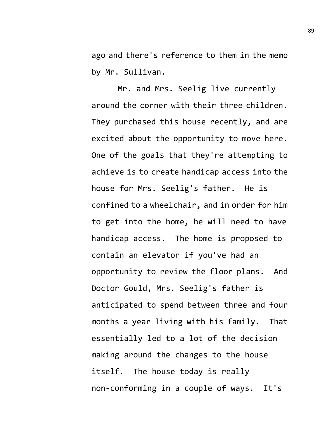ago and there's reference to them in the memo by Mr. Sullivan.

Mr. and Mrs. Seelig live currently around the corner with their three children. They purchased this house recently, and are excited about the opportunity to move here. One of the goals that they're attempting to achieve is to create handicap access into the house for Mrs. Seelig's father. He is confined to a wheelchair, and in order for him to get into the home, he will need to have handicap access. The home is proposed to contain an elevator if you've had an opportunity to review the floor plans. And Doctor Gould, Mrs. Seelig's father is anticipated to spend between three and four months a year living with his family. That essentially led to a lot of the decision making around the changes to the house itself. The house today is really non-conforming in a couple of ways. It's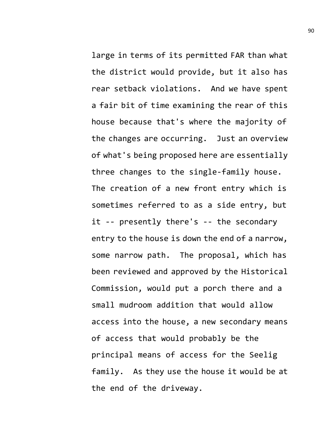large in terms of its permitted FAR than what the district would provide, but it also has rear setback violations. And we have spent a fair bit of time examining the rear of this house because that's where the majority of the changes are occurring. Just an overview of what's being proposed here are essentially three changes to the single-family house. The creation of a new front entry which is sometimes referred to as a side entry, but it -- presently there's -- the secondary entry to the house is down the end of a narrow, some narrow path. The proposal, which has been reviewed and approved by the Historical Commission, would put a porch there and a small mudroom addition that would allow access into the house, a new secondary means of access that would probably be the principal means of access for the Seelig family. As they use the house it would be at the end of the driveway.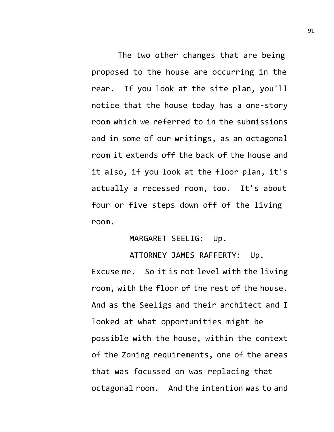The two other changes that are being proposed to the house are occurring in the rear. If you look at the site plan, you'll notice that the house today has a one-story room which we referred to in the submissions and in some of our writings, as an octagonal room it extends off the back of the house and it also, if you look at the floor plan, it's actually a recessed room, too. It's about four or five steps down off of the living room.

## MARGARET SEELIG: Up.

ATTORNEY JAMES RAFFERTY: Up. Excuse me. So it is not level with the living room, with the floor of the rest of the house. And as the Seeligs and their architect and I looked at what opportunities might be possible with the house, within the context of the Zoning requirements, one of the areas that was focussed on was replacing that octagonal room. And the intention was to and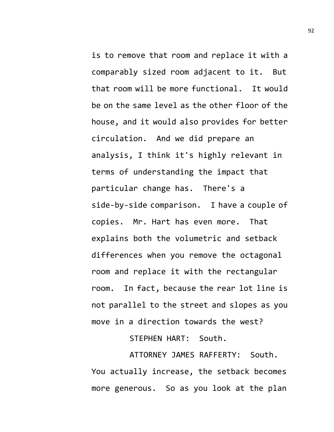is to remove that room and replace it with a comparably sized room adjacent to it. But that room will be more functional. It would be on the same level as the other floor of the house, and it would also provides for better circulation. And we did prepare an analysis, I think it's highly relevant in terms of understanding the impact that particular change has. There's a side-by-side comparison. I have a couple of copies. Mr. Hart has even more. That explains both the volumetric and setback differences when you remove the octagonal room and replace it with the rectangular room. In fact, because the rear lot line is not parallel to the street and slopes as you move in a direction towards the west?

STEPHEN HART: South.

ATTORNEY JAMES RAFFERTY: South. You actually increase, the setback becomes more generous. So as you look at the plan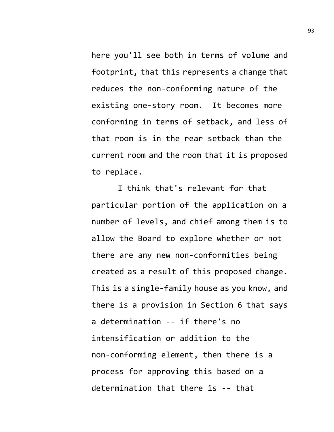here you'll see both in terms of volume and footprint, that this represents a change that reduces the non-conforming nature of the existing one-story room. It becomes more conforming in terms of setback, and less of that room is in the rear setback than the current room and the room that it is proposed to replace.

I think that's relevant for that particular portion of the application on a number of levels, and chief among them is to allow the Board to explore whether or not there are any new non-conformities being created as a result of this proposed change. This is a single-family house as you know, and there is a provision in Section 6 that says a determination -- if there's no intensification or addition to the non-conforming element, then there is a process for approving this based on a determination that there is -- that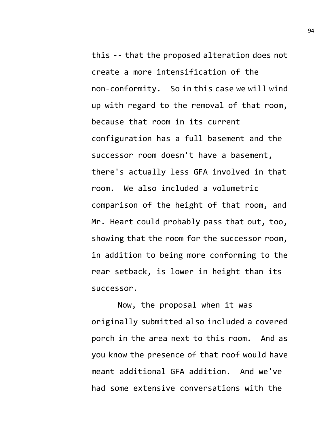this -- that the proposed alteration does not create a more intensification of the non-conformity. So in this case we will wind up with regard to the removal of that room, because that room in its current configuration has a full basement and the successor room doesn't have a basement, there's actually less GFA involved in that room. We also included a volumetric comparison of the height of that room, and Mr. Heart could probably pass that out, too, showing that the room for the successor room, in addition to being more conforming to the rear setback, is lower in height than its successor.

Now, the proposal when it was originally submitted also included a covered porch in the area next to this room. And as you know the presence of that roof would have meant additional GFA addition. And we've had some extensive conversations with the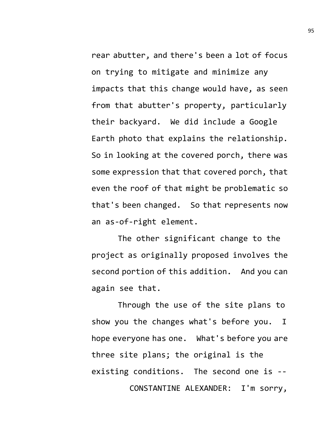rear abutter, and there's been a lot of focus on trying to mitigate and minimize any impacts that this change would have, as seen from that abutter's property, particularly their backyard. We did include a Google Earth photo that explains the relationship. So in looking at the covered porch, there was some expression that that covered porch, that even the roof of that might be problematic so that's been changed. So that represents now an as-of-right element.

The other significant change to the project as originally proposed involves the second portion of this addition. And you can again see that.

Through the use of the site plans to show you the changes what's before you. I hope everyone has one. What's before you are three site plans; the original is the existing conditions. The second one is -- CONSTANTINE ALEXANDER: I'm sorry,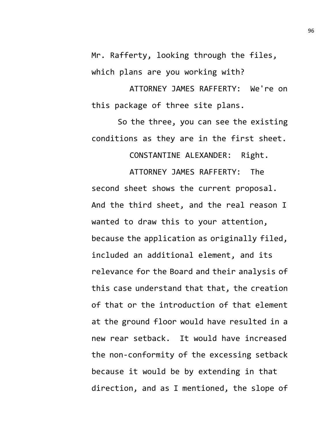Mr. Rafferty, looking through the files, which plans are you working with?

ATTORNEY JAMES RAFFERTY: We're on this package of three site plans.

So the three, you can see the existing conditions as they are in the first sheet.

CONSTANTINE ALEXANDER: Right.

ATTORNEY JAMES RAFFERTY: The second sheet shows the current proposal. And the third sheet, and the real reason I wanted to draw this to your attention, because the application as originally filed, included an additional element, and its relevance for the Board and their analysis of this case understand that that, the creation of that or the introduction of that element at the ground floor would have resulted in a new rear setback. It would have increased the non-conformity of the excessing setback because it would be by extending in that direction, and as I mentioned, the slope of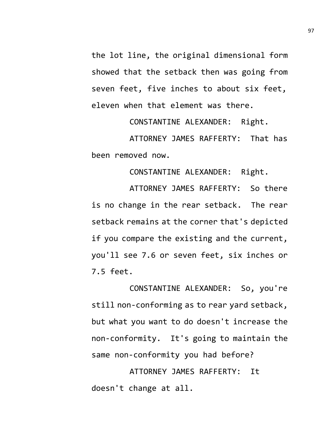the lot line, the original dimensional form showed that the setback then was going from seven feet, five inches to about six feet, eleven when that element was there.

CONSTANTINE ALEXANDER: Right.

ATTORNEY JAMES RAFFERTY: That has been removed now.

CONSTANTINE ALEXANDER: Right.

ATTORNEY JAMES RAFFERTY: So there is no change in the rear setback. The rear setback remains at the corner that's depicted if you compare the existing and the current, you'll see 7.6 or seven feet, six inches or 7.5 feet.

CONSTANTINE ALEXANDER: So, you're still non-conforming as to rear yard setback, but what you want to do doesn't increase the non-conformity. It's going to maintain the same non-conformity you had before?

ATTORNEY JAMES RAFFERTY: It doesn't change at all.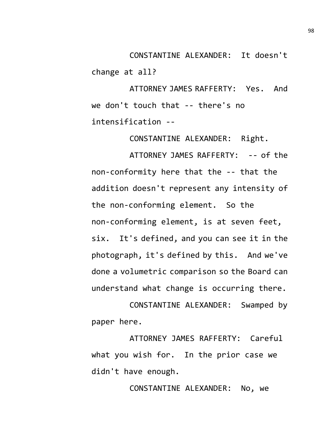CONSTANTINE ALEXANDER: It doesn't change at all?

ATTORNEY JAMES RAFFERTY: Yes. And we don't touch that -- there's no intensification --

CONSTANTINE ALEXANDER: Right.

ATTORNEY JAMES RAFFERTY: -- of the non-conformity here that the -- that the addition doesn't represent any intensity of the non-conforming element. So the non-conforming element, is at seven feet, six. It's defined, and you can see it in the photograph, it's defined by this. And we've done a volumetric comparison so the Board can understand what change is occurring there.

CONSTANTINE ALEXANDER: Swamped by paper here.

ATTORNEY JAMES RAFFERTY: Careful what you wish for. In the prior case we didn't have enough.

CONSTANTINE ALEXANDER: No, we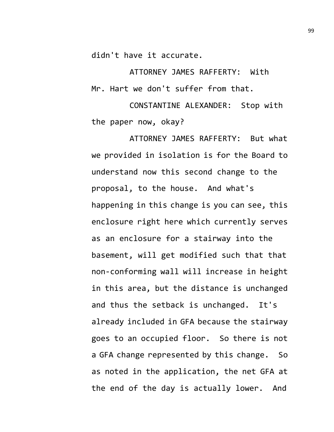didn't have it accurate.

ATTORNEY JAMES RAFFERTY: With Mr. Hart we don't suffer from that.

CONSTANTINE ALEXANDER: Stop with the paper now, okay?

ATTORNEY JAMES RAFFERTY: But what we provided in isolation is for the Board to understand now this second change to the proposal, to the house. And what's happening in this change is you can see, this enclosure right here which currently serves as an enclosure for a stairway into the basement, will get modified such that that non-conforming wall will increase in height in this area, but the distance is unchanged and thus the setback is unchanged. It's already included in GFA because the stairway goes to an occupied floor. So there is not a GFA change represented by this change. So as noted in the application, the net GFA at the end of the day is actually lower. And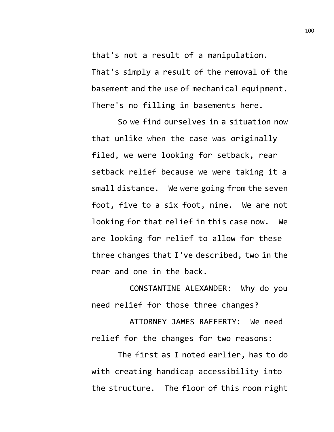that's not a result of a manipulation. That's simply a result of the removal of the basement and the use of mechanical equipment. There's no filling in basements here.

So we find ourselves in a situation now that unlike when the case was originally filed, we were looking for setback, rear setback relief because we were taking it a small distance. We were going from the seven foot, five to a six foot, nine. We are not looking for that relief in this case now. We are looking for relief to allow for these three changes that I've described, two in the rear and one in the back.

CONSTANTINE ALEXANDER: Why do you need relief for those three changes?

ATTORNEY JAMES RAFFERTY: We need relief for the changes for two reasons:

The first as I noted earlier, has to do with creating handicap accessibility into the structure. The floor of this room right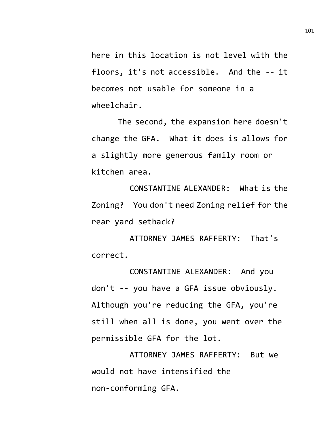here in this location is not level with the floors, it's not accessible. And the -- it becomes not usable for someone in a wheelchair.

The second, the expansion here doesn't change the GFA. What it does is allows for a slightly more generous family room or kitchen area.

CONSTANTINE ALEXANDER: What is the Zoning? You don't need Zoning relief for the rear yard setback?

ATTORNEY JAMES RAFFERTY: That's correct.

CONSTANTINE ALEXANDER: And you don't -- you have a GFA issue obviously. Although you're reducing the GFA, you're still when all is done, you went over the permissible GFA for the lot.

ATTORNEY JAMES RAFFERTY: But we would not have intensified the non-conforming GFA.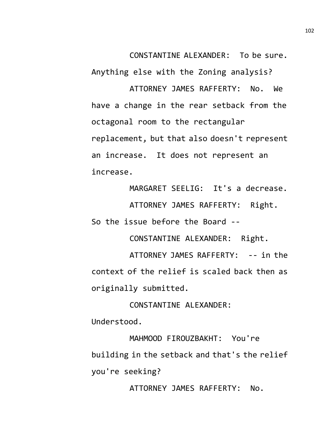CONSTANTINE ALEXANDER: To be sure. Anything else with the Zoning analysis?

ATTORNEY JAMES RAFFERTY: No. We have a change in the rear setback from the octagonal room to the rectangular replacement, but that also doesn't represent an increase. It does not represent an increase.

MARGARET SEELIG: It's a decrease.

ATTORNEY JAMES RAFFERTY: Right. So the issue before the Board --

CONSTANTINE ALEXANDER: Right.

ATTORNEY JAMES RAFFERTY: -- in the context of the relief is scaled back then as originally submitted.

CONSTANTINE ALEXANDER:

Understood.

MAHMOOD FIROUZBAKHT: You're building in the setback and that's the relief you're seeking?

ATTORNEY JAMES RAFFERTY: No.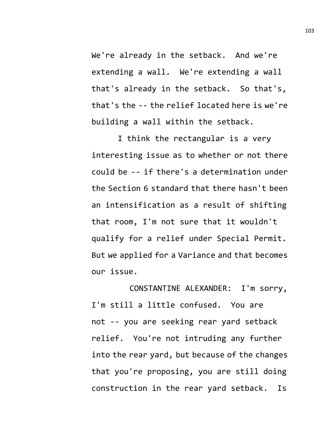We're already in the setback. And we're extending a wall. We're extending a wall that's already in the setback. So that's, that's the -- the relief located here is we're building a wall within the setback.

I think the rectangular is a very interesting issue as to whether or not there could be -- if there's a determination under the Section 6 standard that there hasn't been an intensification as a result of shifting that room, I'm not sure that it wouldn't qualify for a relief under Special Permit. But we applied for a Variance and that becomes our issue.

CONSTANTINE ALEXANDER: I'm sorry, I'm still a little confused. You are not -- you are seeking rear yard setback relief. You're not intruding any further into the rear yard, but because of the changes that you're proposing, you are still doing construction in the rear yard setback. Is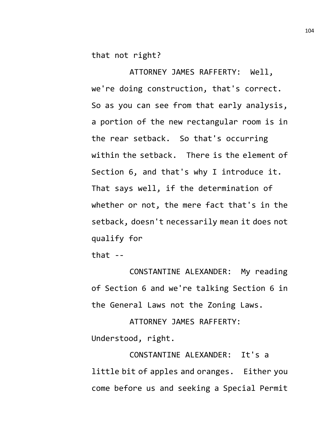that not right?

ATTORNEY JAMES RAFFERTY: Well, we're doing construction, that's correct. So as you can see from that early analysis, a portion of the new rectangular room is in the rear setback. So that's occurring within the setback. There is the element of Section 6, and that's why I introduce it. That says well, if the determination of whether or not, the mere fact that's in the setback, doesn't necessarily mean it does not qualify for

that  $-$ 

CONSTANTINE ALEXANDER: My reading of Section 6 and we're talking Section 6 in the General Laws not the Zoning Laws.

ATTORNEY JAMES RAFFERTY: Understood, right.

CONSTANTINE ALEXANDER: It's a little bit of apples and oranges. Either you come before us and seeking a Special Permit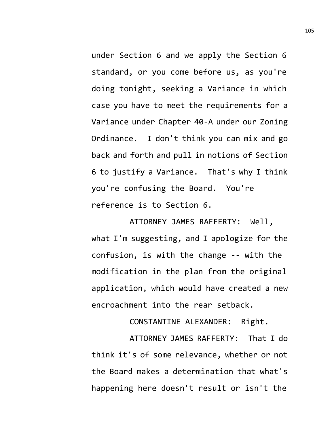under Section 6 and we apply the Section 6 standard, or you come before us, as you're doing tonight, seeking a Variance in which case you have to meet the requirements for a Variance under Chapter 40-A under our Zoning Ordinance. I don't think you can mix and go back and forth and pull in notions of Section 6 to justify a Variance. That's why I think you're confusing the Board. You're reference is to Section 6.

ATTORNEY JAMES RAFFERTY: Well, what I'm suggesting, and I apologize for the confusion, is with the change -- with the modification in the plan from the original application, which would have created a new encroachment into the rear setback.

CONSTANTINE ALEXANDER: Right.

ATTORNEY JAMES RAFFERTY: That I do think it's of some relevance, whether or not the Board makes a determination that what's happening here doesn't result or isn't the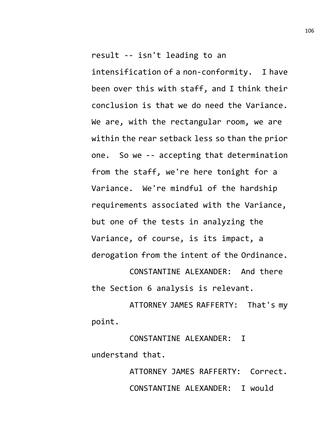result -- isn't leading to an intensification of a non-conformity. I have been over this with staff, and I think their conclusion is that we do need the Variance. We are, with the rectangular room, we are within the rear setback less so than the prior one. So we -- accepting that determination from the staff, we're here tonight for a Variance. We're mindful of the hardship requirements associated with the Variance, but one of the tests in analyzing the Variance, of course, is its impact, a derogation from the intent of the Ordinance.

CONSTANTINE ALEXANDER: And there the Section 6 analysis is relevant.

ATTORNEY JAMES RAFFERTY: That's my point.

CONSTANTINE ALEXANDER: I understand that.

> ATTORNEY JAMES RAFFERTY: Correct. CONSTANTINE ALEXANDER: I would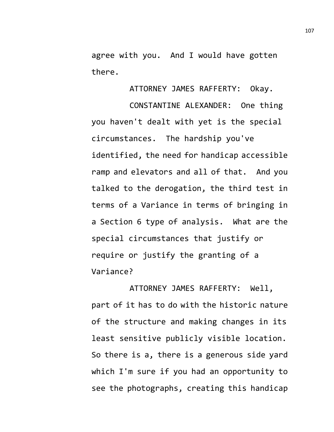agree with you. And I would have gotten there.

ATTORNEY JAMES RAFFERTY: Okay.

CONSTANTINE ALEXANDER: One thing you haven't dealt with yet is the special circumstances. The hardship you've identified, the need for handicap accessible ramp and elevators and all of that. And you talked to the derogation, the third test in terms of a Variance in terms of bringing in a Section 6 type of analysis. What are the special circumstances that justify or require or justify the granting of a Variance?

ATTORNEY JAMES RAFFERTY: Well, part of it has to do with the historic nature of the structure and making changes in its least sensitive publicly visible location. So there is a, there is a generous side yard which I'm sure if you had an opportunity to see the photographs, creating this handicap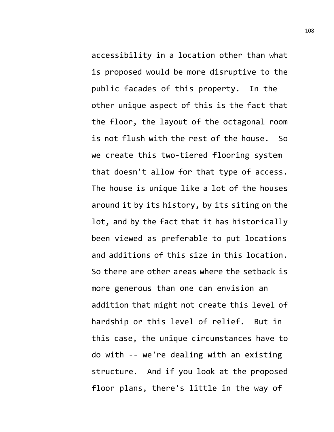accessibility in a location other than what is proposed would be more disruptive to the public facades of this property. In the other unique aspect of this is the fact that the floor, the layout of the octagonal room is not flush with the rest of the house. So we create this two-tiered flooring system that doesn't allow for that type of access. The house is unique like a lot of the houses around it by its history, by its siting on the lot, and by the fact that it has historically been viewed as preferable to put locations and additions of this size in this location. So there are other areas where the setback is more generous than one can envision an addition that might not create this level of hardship or this level of relief. But in this case, the unique circumstances have to do with -- we're dealing with an existing structure. And if you look at the proposed floor plans, there's little in the way of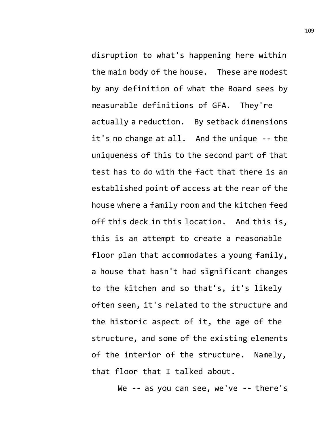disruption to what's happening here within the main body of the house. These are modest by any definition of what the Board sees by measurable definitions of GFA. They're actually a reduction. By setback dimensions it's no change at all. And the unique -- the uniqueness of this to the second part of that test has to do with the fact that there is an established point of access at the rear of the house where a family room and the kitchen feed off this deck in this location. And this is, this is an attempt to create a reasonable floor plan that accommodates a young family, a house that hasn't had significant changes to the kitchen and so that's, it's likely often seen, it's related to the structure and the historic aspect of it, the age of the structure, and some of the existing elements of the interior of the structure. Namely, that floor that I talked about.

We -- as you can see, we've -- there's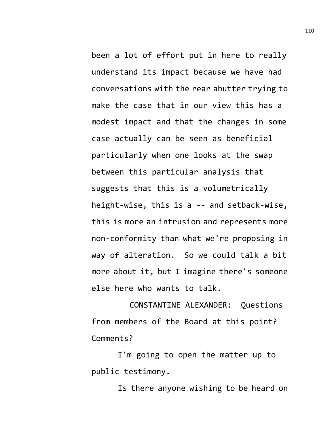been a lot of effort put in here to really understand its impact because we have had conversations with the rear abutter trying to make the case that in our view this has a modest impact and that the changes in some case actually can be seen as beneficial particularly when one looks at the swap between this particular analysis that suggests that this is a volumetrically height-wise, this is a -- and setback-wise, this is more an intrusion and represents more non-conformity than what we're proposing in way of alteration. So we could talk a bit more about it, but I imagine there's someone else here who wants to talk.

CONSTANTINE ALEXANDER: Questions from members of the Board at this point? Comments?

I'm going to open the matter up to public testimony.

Is there anyone wishing to be heard on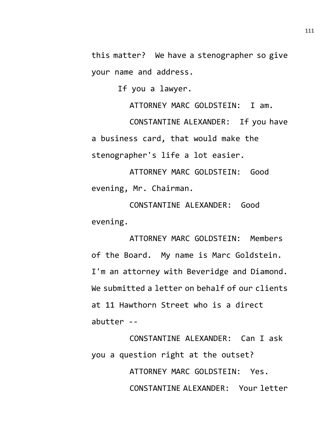this matter? We have a stenographer so give your name and address.

If you a lawyer.

ATTORNEY MARC GOLDSTEIN: I am. CONSTANTINE ALEXANDER: If you have a business card, that would make the stenographer's life a lot easier.

ATTORNEY MARC GOLDSTEIN: Good evening, Mr. Chairman.

CONSTANTINE ALEXANDER: Good evening.

ATTORNEY MARC GOLDSTEIN: Members of the Board. My name is Marc Goldstein. I'm an attorney with Beveridge and Diamond. We submitted a letter on behalf of our clients at 11 Hawthorn Street who is a direct abutter --

CONSTANTINE ALEXANDER: Can I ask you a question right at the outset? ATTORNEY MARC GOLDSTEIN: Yes. CONSTANTINE ALEXANDER: Your letter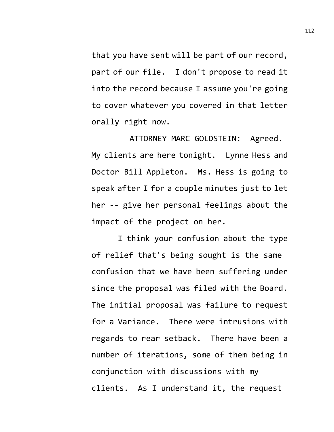that you have sent will be part of our record, part of our file. I don't propose to read it into the record because I assume you're going to cover whatever you covered in that letter orally right now.

ATTORNEY MARC GOLDSTEIN: Agreed. My clients are here tonight. Lynne Hess and Doctor Bill Appleton. Ms. Hess is going to speak after I for a couple minutes just to let her -- give her personal feelings about the impact of the project on her.

I think your confusion about the type of relief that's being sought is the same confusion that we have been suffering under since the proposal was filed with the Board. The initial proposal was failure to request for a Variance. There were intrusions with regards to rear setback. There have been a number of iterations, some of them being in conjunction with discussions with my clients. As I understand it, the request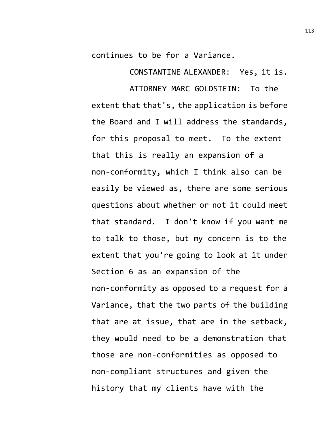continues to be for a Variance.

CONSTANTINE ALEXANDER: Yes, it is.

ATTORNEY MARC GOLDSTEIN: To the extent that that's, the application is before the Board and I will address the standards, for this proposal to meet. To the extent that this is really an expansion of a non-conformity, which I think also can be easily be viewed as, there are some serious questions about whether or not it could meet that standard. I don't know if you want me to talk to those, but my concern is to the extent that you're going to look at it under Section 6 as an expansion of the non-conformity as opposed to a request for a Variance, that the two parts of the building that are at issue, that are in the setback, they would need to be a demonstration that those are non-conformities as opposed to non-compliant structures and given the history that my clients have with the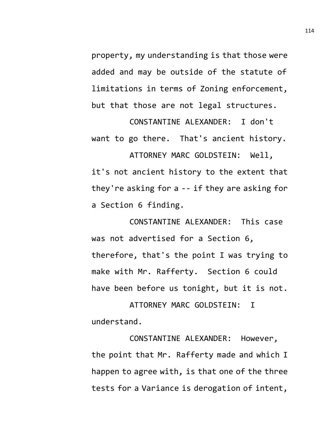property, my understanding is that those were added and may be outside of the statute of limitations in terms of Zoning enforcement, but that those are not legal structures.

CONSTANTINE ALEXANDER: I don't want to go there. That's ancient history.

ATTORNEY MARC GOLDSTEIN: Well, it's not ancient history to the extent that they're asking for a -- if they are asking for a Section 6 finding.

CONSTANTINE ALEXANDER: This case was not advertised for a Section 6, therefore, that's the point I was trying to make with Mr. Rafferty. Section 6 could have been before us tonight, but it is not.

ATTORNEY MARC GOLDSTEIN: I understand.

CONSTANTINE ALEXANDER: However, the point that Mr. Rafferty made and which I happen to agree with, is that one of the three tests for a Variance is derogation of intent,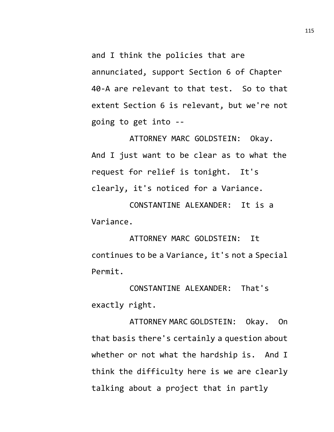and I think the policies that are annunciated, support Section 6 of Chapter 40-A are relevant to that test. So to that extent Section 6 is relevant, but we're not going to get into --

ATTORNEY MARC GOLDSTEIN: Okay. And I just want to be clear as to what the request for relief is tonight. It's clearly, it's noticed for a Variance.

CONSTANTINE ALEXANDER: It is a Variance.

ATTORNEY MARC GOLDSTEIN: It continues to be a Variance, it's not a Special Permit.

CONSTANTINE ALEXANDER: That's exactly right.

ATTORNEY MARC GOLDSTEIN: Okay. On that basis there's certainly a question about whether or not what the hardship is. And I think the difficulty here is we are clearly talking about a project that in partly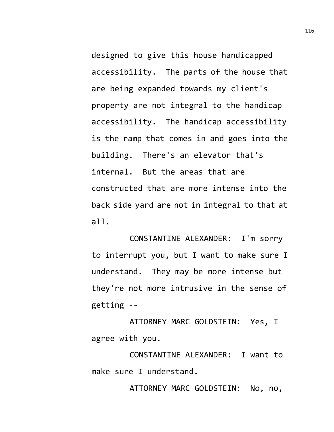designed to give this house handicapped accessibility. The parts of the house that are being expanded towards my client's property are not integral to the handicap accessibility. The handicap accessibility is the ramp that comes in and goes into the building. There's an elevator that's internal. But the areas that are constructed that are more intense into the back side yard are not in integral to that at all.

CONSTANTINE ALEXANDER: I'm sorry to interrupt you, but I want to make sure I understand. They may be more intense but they're not more intrusive in the sense of getting --

ATTORNEY MARC GOLDSTEIN: Yes, I agree with you.

CONSTANTINE ALEXANDER: I want to make sure I understand.

ATTORNEY MARC GOLDSTEIN: No, no,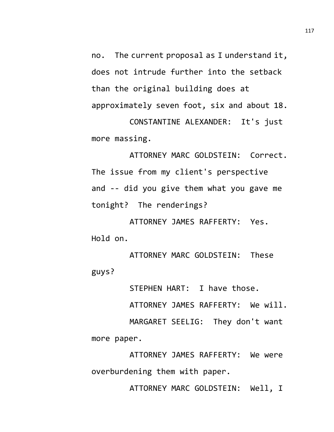no. The current proposal as I understand it, does not intrude further into the setback than the original building does at approximately seven foot, six and about 18.

CONSTANTINE ALEXANDER: It's just more massing.

ATTORNEY MARC GOLDSTEIN: Correct. The issue from my client's perspective and -- did you give them what you gave me tonight? The renderings?

ATTORNEY JAMES RAFFERTY: Yes. Hold on.

ATTORNEY MARC GOLDSTEIN: These guys?

STEPHEN HART: I have those.

ATTORNEY JAMES RAFFERTY: We will.

MARGARET SEELIG: They don't want more paper.

ATTORNEY JAMES RAFFERTY: We were overburdening them with paper.

ATTORNEY MARC GOLDSTEIN: Well, I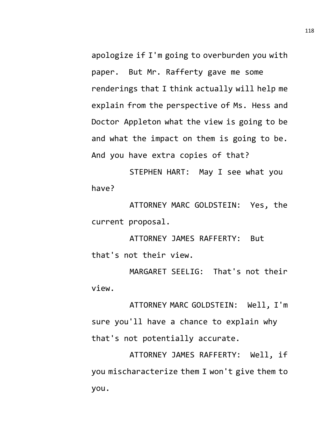apologize if I'm going to overburden you with paper. But Mr. Rafferty gave me some renderings that I think actually will help me explain from the perspective of Ms. Hess and Doctor Appleton what the view is going to be and what the impact on them is going to be. And you have extra copies of that?

STEPHEN HART: May I see what you have?

ATTORNEY MARC GOLDSTEIN: Yes, the current proposal.

ATTORNEY JAMES RAFFERTY: But that's not their view.

MARGARET SEELIG: That's not their view.

ATTORNEY MARC GOLDSTEIN: Well, I'm sure you'll have a chance to explain why that's not potentially accurate.

ATTORNEY JAMES RAFFERTY: Well, if you mischaracterize them I won't give them to you.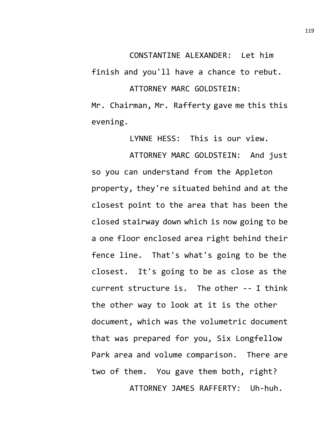finish and you'll have a chance to rebut.

## ATTORNEY MARC GOLDSTEIN:

Mr. Chairman, Mr. Rafferty gave me this this evening.

LYNNE HESS: This is our view.

ATTORNEY MARC GOLDSTEIN: And just so you can understand from the Appleton property, they're situated behind and at the closest point to the area that has been the closed stairway down which is now going to be a one floor enclosed area right behind their fence line. That's what's going to be the closest. It's going to be as close as the current structure is. The other -- I think the other way to look at it is the other document, which was the volumetric document that was prepared for you, Six Longfellow Park area and volume comparison. There are two of them. You gave them both, right? ATTORNEY JAMES RAFFERTY: Uh-huh.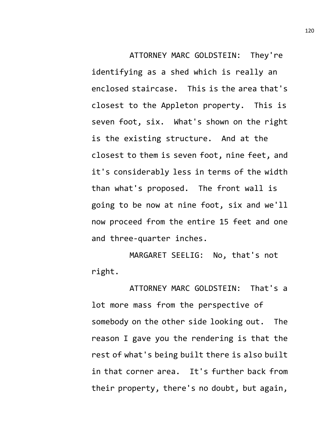ATTORNEY MARC GOLDSTEIN: They're identifying as a shed which is really an enclosed staircase. This is the area that's closest to the Appleton property. This is seven foot, six. What's shown on the right is the existing structure. And at the closest to them is seven foot, nine feet, and it's considerably less in terms of the width than what's proposed. The front wall is going to be now at nine foot, six and we'll now proceed from the entire 15 feet and one and three-quarter inches.

MARGARET SEELIG: No, that's not right.

ATTORNEY MARC GOLDSTEIN: That's a lot more mass from the perspective of somebody on the other side looking out. The reason I gave you the rendering is that the rest of what's being built there is also built in that corner area. It's further back from their property, there's no doubt, but again,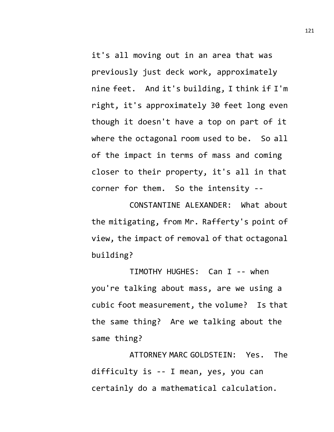it's all moving out in an area that was previously just deck work, approximately nine feet. And it's building, I think if I'm right, it's approximately 30 feet long even though it doesn't have a top on part of it where the octagonal room used to be. So all of the impact in terms of mass and coming closer to their property, it's all in that corner for them. So the intensity --

CONSTANTINE ALEXANDER: What about the mitigating, from Mr. Rafferty's point of view, the impact of removal of that octagonal building?

TIMOTHY HUGHES: Can I -- when you're talking about mass, are we using a cubic foot measurement, the volume? Is that the same thing? Are we talking about the same thing?

ATTORNEY MARC GOLDSTEIN: Yes. The difficulty is -- I mean, yes, you can certainly do a mathematical calculation.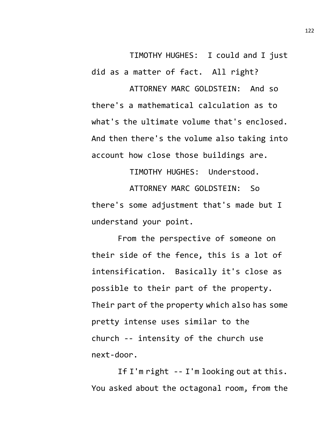TIMOTHY HUGHES: I could and I just did as a matter of fact. All right? ATTORNEY MARC GOLDSTEIN: And so

there's a mathematical calculation as to what's the ultimate volume that's enclosed. And then there's the volume also taking into account how close those buildings are.

TIMOTHY HUGHES: Understood.

ATTORNEY MARC GOLDSTEIN: So there's some adjustment that's made but I understand your point.

From the perspective of someone on their side of the fence, this is a lot of intensification. Basically it's close as possible to their part of the property. Their part of the property which also has some pretty intense uses similar to the church -- intensity of the church use next-door.

If I'm right -- I'm looking out at this. You asked about the octagonal room, from the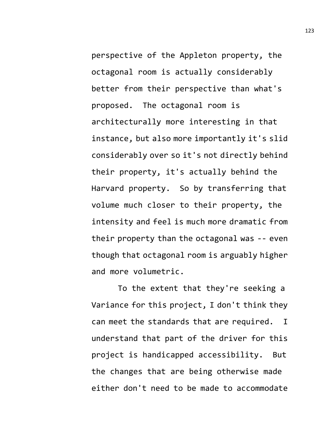perspective of the Appleton property, the octagonal room is actually considerably better from their perspective than what's proposed. The octagonal room is architecturally more interesting in that instance, but also more importantly it's slid considerably over so it's not directly behind their property, it's actually behind the Harvard property. So by transferring that volume much closer to their property, the intensity and feel is much more dramatic from their property than the octagonal was -- even though that octagonal room is arguably higher and more volumetric.

To the extent that they're seeking a Variance for this project, I don't think they can meet the standards that are required. I understand that part of the driver for this project is handicapped accessibility. But the changes that are being otherwise made either don't need to be made to accommodate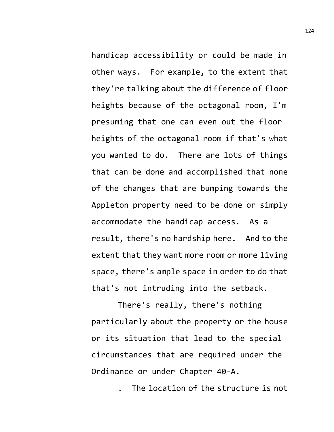handicap accessibility or could be made in other ways. For example, to the extent that they're talking about the difference of floor heights because of the octagonal room, I'm presuming that one can even out the floor heights of the octagonal room if that's what you wanted to do. There are lots of things that can be done and accomplished that none of the changes that are bumping towards the Appleton property need to be done or simply accommodate the handicap access. As a result, there's no hardship here. And to the extent that they want more room or more living space, there's ample space in order to do that that's not intruding into the setback.

There's really, there's nothing particularly about the property or the house or its situation that lead to the special circumstances that are required under the Ordinance or under Chapter 40-A.

. The location of the structure is not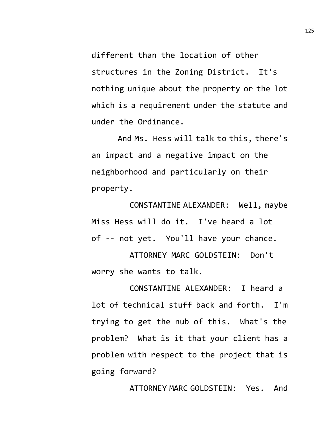different than the location of other structures in the Zoning District. It's nothing unique about the property or the lot which is a requirement under the statute and under the Ordinance.

And Ms. Hess will talk to this, there's an impact and a negative impact on the neighborhood and particularly on their property.

CONSTANTINE ALEXANDER: Well, maybe Miss Hess will do it. I've heard a lot of -- not yet. You'll have your chance.

ATTORNEY MARC GOLDSTEIN: Don't worry she wants to talk.

CONSTANTINE ALEXANDER: I heard a lot of technical stuff back and forth. I'm trying to get the nub of this. What's the problem? What is it that your client has a problem with respect to the project that is going forward?

ATTORNEY MARC GOLDSTEIN: Yes. And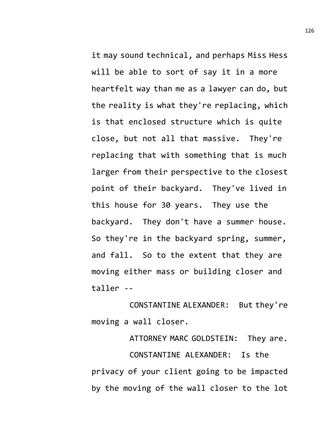it may sound technical, and perhaps Miss Hess will be able to sort of say it in a more heartfelt way than me as a lawyer can do, but the reality is what they're replacing, which is that enclosed structure which is quite close, but not all that massive. They're replacing that with something that is much larger from their perspective to the closest point of their backyard. They've lived in this house for 30 years. They use the backyard. They don't have a summer house. So they're in the backyard spring, summer, and fall. So to the extent that they are moving either mass or building closer and taller --

CONSTANTINE ALEXANDER: But they're moving a wall closer.

ATTORNEY MARC GOLDSTEIN: They are. CONSTANTINE ALEXANDER: Is the privacy of your client going to be impacted by the moving of the wall closer to the lot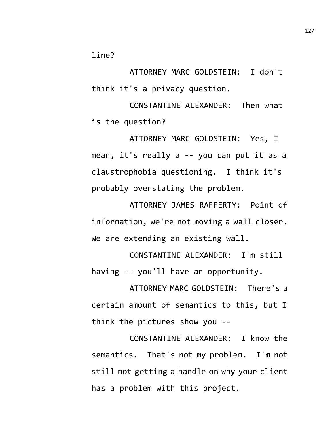line?

ATTORNEY MARC GOLDSTEIN: I don't think it's a privacy question.

CONSTANTINE ALEXANDER: Then what is the question?

ATTORNEY MARC GOLDSTEIN: Yes, I mean, it's really a -- you can put it as a claustrophobia questioning. I think it's probably overstating the problem.

ATTORNEY JAMES RAFFERTY: Point of information, we're not moving a wall closer. We are extending an existing wall.

CONSTANTINE ALEXANDER: I'm still having -- you'll have an opportunity.

ATTORNEY MARC GOLDSTEIN: There's a certain amount of semantics to this, but I think the pictures show you --

CONSTANTINE ALEXANDER: I know the semantics. That's not my problem. I'm not still not getting a handle on why your client has a problem with this project.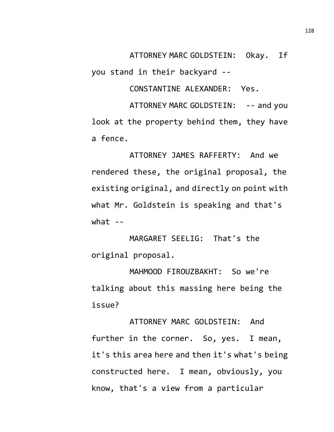ATTORNEY MARC GOLDSTEIN: Okay. If

you stand in their backyard --

CONSTANTINE ALEXANDER: Yes.

ATTORNEY MARC GOLDSTEIN: -- and you look at the property behind them, they have a fence.

ATTORNEY JAMES RAFFERTY: And we rendered these, the original proposal, the existing original, and directly on point with what Mr. Goldstein is speaking and that's what  $-$ 

MARGARET SEELIG: That's the original proposal.

MAHMOOD FIROUZBAKHT: So we're talking about this massing here being the issue?

ATTORNEY MARC GOLDSTEIN: And further in the corner. So, yes. I mean, it's this area here and then it's what's being constructed here. I mean, obviously, you know, that's a view from a particular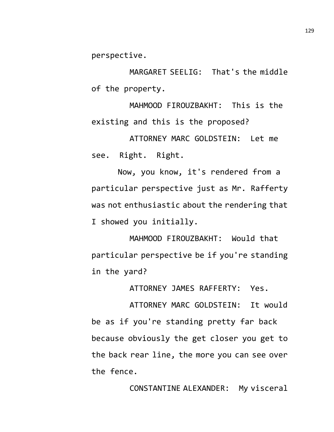perspective.

MARGARET SEELIG: That's the middle of the property.

MAHMOOD FIROUZBAKHT: This is the existing and this is the proposed?

ATTORNEY MARC GOLDSTEIN: Let me see. Right. Right.

Now, you know, it's rendered from a particular perspective just as Mr. Rafferty was not enthusiastic about the rendering that I showed you initially.

MAHMOOD FIROUZBAKHT: Would that particular perspective be if you're standing in the yard?

ATTORNEY JAMES RAFFERTY: Yes.

ATTORNEY MARC GOLDSTEIN: It would be as if you're standing pretty far back because obviously the get closer you get to the back rear line, the more you can see over the fence.

CONSTANTINE ALEXANDER: My visceral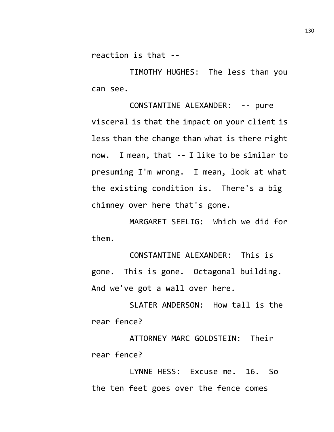reaction is that --

TIMOTHY HUGHES: The less than you can see.

CONSTANTINE ALEXANDER: -- pure visceral is that the impact on your client is less than the change than what is there right now. I mean, that -- I like to be similar to presuming I'm wrong. I mean, look at what the existing condition is. There's a big chimney over here that's gone.

MARGARET SEELIG: Which we did for them.

CONSTANTINE ALEXANDER: This is gone. This is gone. Octagonal building. And we've got a wall over here.

SLATER ANDERSON: How tall is the rear fence?

ATTORNEY MARC GOLDSTEIN: Their rear fence?

LYNNE HESS: Excuse me. 16. So the ten feet goes over the fence comes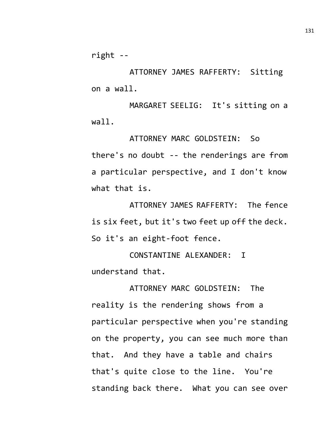right --

ATTORNEY JAMES RAFFERTY: Sitting on a wall.

MARGARET SEELIG: It's sitting on a wall.

ATTORNEY MARC GOLDSTEIN: So there's no doubt -- the renderings are from a particular perspective, and I don't know what that is.

ATTORNEY JAMES RAFFERTY: The fence is six feet, but it's two feet up off the deck. So it's an eight-foot fence.

CONSTANTINE ALEXANDER: I understand that.

ATTORNEY MARC GOLDSTEIN: The reality is the rendering shows from a particular perspective when you're standing on the property, you can see much more than that. And they have a table and chairs that's quite close to the line. You're standing back there. What you can see over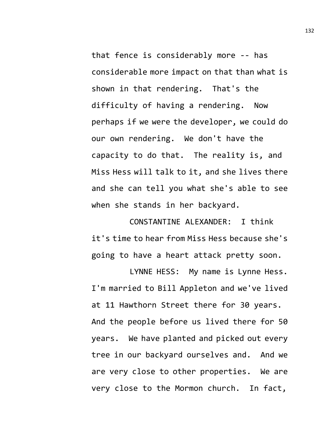that fence is considerably more -- has considerable more impact on that than what is shown in that rendering. That's the difficulty of having a rendering. Now perhaps if we were the developer, we could do our own rendering. We don't have the capacity to do that. The reality is, and Miss Hess will talk to it, and she lives there and she can tell you what she's able to see when she stands in her backyard.

CONSTANTINE ALEXANDER: I think it's time to hear from Miss Hess because she's going to have a heart attack pretty soon.

LYNNE HESS: My name is Lynne Hess. I'm married to Bill Appleton and we've lived at 11 Hawthorn Street there for 30 years. And the people before us lived there for 50 years. We have planted and picked out every tree in our backyard ourselves and. And we are very close to other properties. We are very close to the Mormon church. In fact,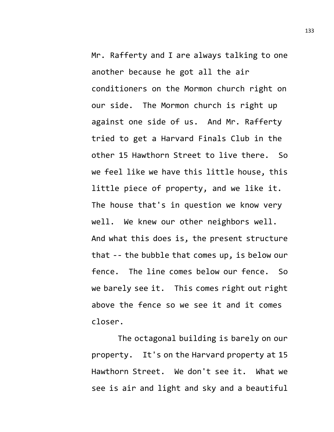Mr. Rafferty and I are always talking to one another because he got all the air conditioners on the Mormon church right on our side. The Mormon church is right up against one side of us. And Mr. Rafferty tried to get a Harvard Finals Club in the other 15 Hawthorn Street to live there. So we feel like we have this little house, this little piece of property, and we like it. The house that's in question we know very well. We knew our other neighbors well. And what this does is, the present structure that -- the bubble that comes up, is below our fence. The line comes below our fence. So we barely see it. This comes right out right above the fence so we see it and it comes closer.

The octagonal building is barely on our property. It's on the Harvard property at 15 Hawthorn Street. We don't see it. What we see is air and light and sky and a beautiful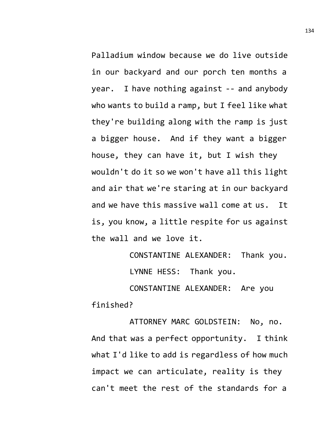Palladium window because we do live outside in our backyard and our porch ten months a year. I have nothing against -- and anybody who wants to build a ramp, but I feel like what they're building along with the ramp is just a bigger house. And if they want a bigger house, they can have it, but I wish they wouldn't do it so we won't have all this light and air that we're staring at in our backyard and we have this massive wall come at us. It is, you know, a little respite for us against the wall and we love it.

> CONSTANTINE ALEXANDER: Thank you. LYNNE HESS: Thank you.

CONSTANTINE ALEXANDER: Are you finished?

ATTORNEY MARC GOLDSTEIN: No, no. And that was a perfect opportunity. I think what I'd like to add is regardless of how much impact we can articulate, reality is they can't meet the rest of the standards for a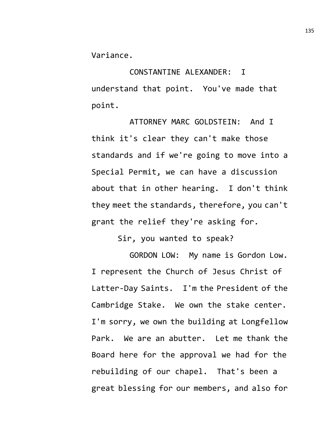Variance.

CONSTANTINE ALEXANDER: I understand that point. You've made that point.

ATTORNEY MARC GOLDSTEIN: And I think it's clear they can't make those standards and if we're going to move into a Special Permit, we can have a discussion about that in other hearing. I don't think they meet the standards, therefore, you can't grant the relief they're asking for.

Sir, you wanted to speak?

GORDON LOW: My name is Gordon Low. I represent the Church of Jesus Christ of Latter-Day Saints. I'm the President of the Cambridge Stake. We own the stake center. I'm sorry, we own the building at Longfellow Park. We are an abutter. Let me thank the Board here for the approval we had for the rebuilding of our chapel. That's been a great blessing for our members, and also for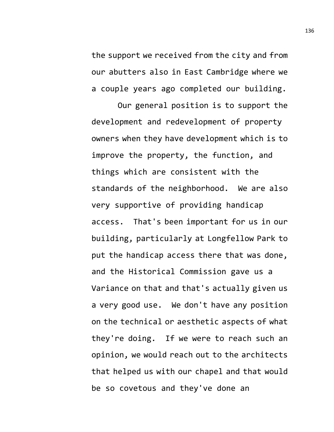the support we received from the city and from our abutters also in East Cambridge where we a couple years ago completed our building.

Our general position is to support the development and redevelopment of property owners when they have development which is to improve the property, the function, and things which are consistent with the standards of the neighborhood. We are also very supportive of providing handicap access. That's been important for us in our building, particularly at Longfellow Park to put the handicap access there that was done, and the Historical Commission gave us a Variance on that and that's actually given us a very good use. We don't have any position on the technical or aesthetic aspects of what they're doing. If we were to reach such an opinion, we would reach out to the architects that helped us with our chapel and that would be so covetous and they've done an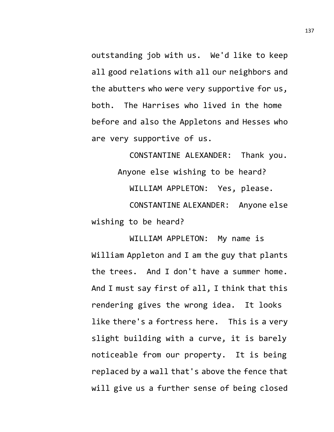outstanding job with us. We'd like to keep all good relations with all our neighbors and the abutters who were very supportive for us, both. The Harrises who lived in the home before and also the Appletons and Hesses who are very supportive of us.

CONSTANTINE ALEXANDER: Thank you. Anyone else wishing to be heard? WILLIAM APPLETON: Yes, please. CONSTANTINE ALEXANDER: Anyone else wishing to be heard?

WILLIAM APPLETON: My name is William Appleton and I am the guy that plants the trees. And I don't have a summer home. And I must say first of all, I think that this rendering gives the wrong idea. It looks like there's a fortress here. This is a very slight building with a curve, it is barely noticeable from our property. It is being replaced by a wall that's above the fence that will give us a further sense of being closed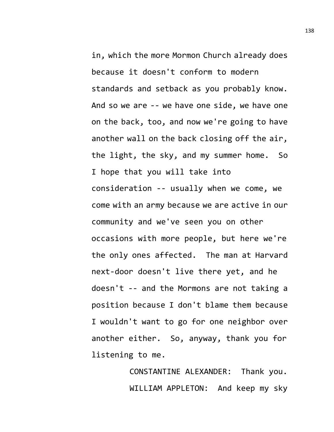in, which the more Mormon Church already does because it doesn't conform to modern standards and setback as you probably know. And so we are -- we have one side, we have one on the back, too, and now we're going to have another wall on the back closing off the air, the light, the sky, and my summer home. So I hope that you will take into consideration -- usually when we come, we come with an army because we are active in our community and we've seen you on other occasions with more people, but here we're the only ones affected. The man at Harvard next-door doesn't live there yet, and he doesn't -- and the Mormons are not taking a position because I don't blame them because I wouldn't want to go for one neighbor over another either. So, anyway, thank you for listening to me.

> CONSTANTINE ALEXANDER: Thank you. WILLIAM APPLETON: And keep my sky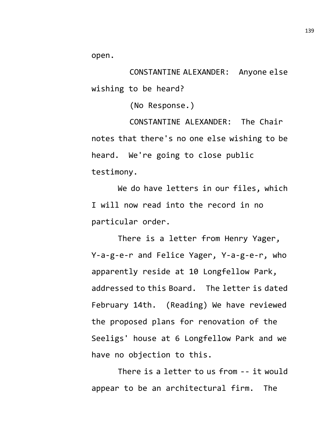open.

CONSTANTINE ALEXANDER: Anyone else wishing to be heard?

(No Response.)

CONSTANTINE ALEXANDER: The Chair notes that there's no one else wishing to be heard. We're going to close public testimony.

We do have letters in our files, which I will now read into the record in no particular order.

There is a letter from Henry Yager, Y-a-g-e-r and Felice Yager, Y-a-g-e-r, who apparently reside at 10 Longfellow Park, addressed to this Board. The letter is dated February 14th. (Reading) We have reviewed the proposed plans for renovation of the Seeligs' house at 6 Longfellow Park and we have no objection to this.

There is a letter to us from -- it would appear to be an architectural firm. The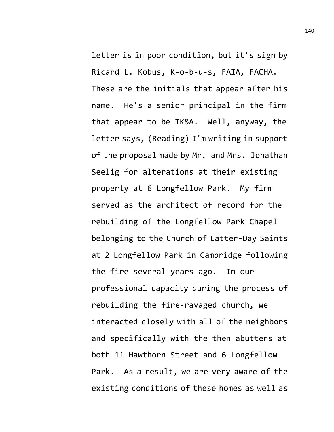letter is in poor condition, but it's sign by Ricard L. Kobus, K-o-b-u-s, FAIA, FACHA. These are the initials that appear after his name. He's a senior principal in the firm that appear to be TK&A. Well, anyway, the letter says, (Reading) I'm writing in support of the proposal made by Mr. and Mrs. Jonathan Seelig for alterations at their existing property at 6 Longfellow Park. My firm served as the architect of record for the rebuilding of the Longfellow Park Chapel belonging to the Church of Latter-Day Saints at 2 Longfellow Park in Cambridge following the fire several years ago. In our professional capacity during the process of rebuilding the fire-ravaged church, we interacted closely with all of the neighbors and specifically with the then abutters at both 11 Hawthorn Street and 6 Longfellow Park. As a result, we are very aware of the existing conditions of these homes as well as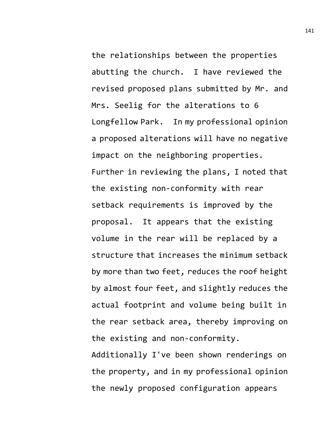the relationships between the properties abutting the church. I have reviewed the revised proposed plans submitted by Mr. and Mrs. Seelig for the alterations to 6 Longfellow Park. In my professional opinion a proposed alterations will have no negative impact on the neighboring properties. Further in reviewing the plans, I noted that the existing non-conformity with rear setback requirements is improved by the proposal. It appears that the existing volume in the rear will be replaced by a structure that increases the minimum setback by more than two feet, reduces the roof height by almost four feet, and slightly reduces the actual footprint and volume being built in the rear setback area, thereby improving on the existing and non-conformity.

Additionally I've been shown renderings on the property, and in my professional opinion the newly proposed configuration appears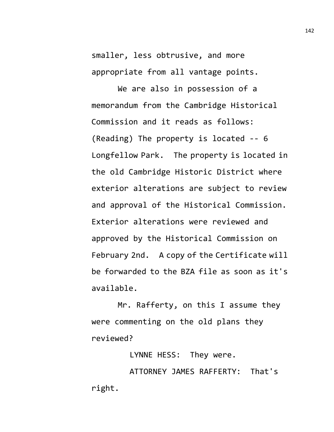smaller, less obtrusive, and more appropriate from all vantage points.

We are also in possession of a memorandum from the Cambridge Historical Commission and it reads as follows: (Reading) The property is located -- 6 Longfellow Park. The property is located in the old Cambridge Historic District where exterior alterations are subject to review and approval of the Historical Commission. Exterior alterations were reviewed and approved by the Historical Commission on February 2nd. A copy of the Certificate will be forwarded to the BZA file as soon as it's available.

Mr. Rafferty, on this I assume they were commenting on the old plans they reviewed?

LYNNE HESS: They were.

ATTORNEY JAMES RAFFERTY: That's right.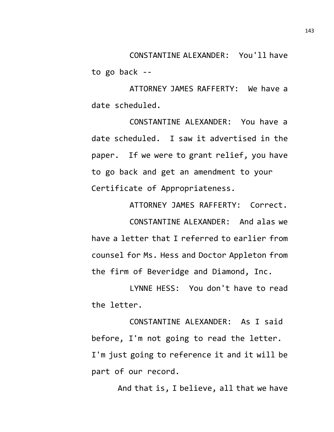CONSTANTINE ALEXANDER: You'll have to go back --

ATTORNEY JAMES RAFFERTY: We have a date scheduled.

CONSTANTINE ALEXANDER: You have a date scheduled. I saw it advertised in the paper. If we were to grant relief, you have to go back and get an amendment to your Certificate of Appropriateness.

ATTORNEY JAMES RAFFERTY: Correct. CONSTANTINE ALEXANDER: And alas we have a letter that I referred to earlier from counsel for Ms. Hess and Doctor Appleton from the firm of Beveridge and Diamond, Inc.

LYNNE HESS: You don't have to read the letter.

CONSTANTINE ALEXANDER: As I said before, I'm not going to read the letter. I'm just going to reference it and it will be part of our record.

And that is, I believe, all that we have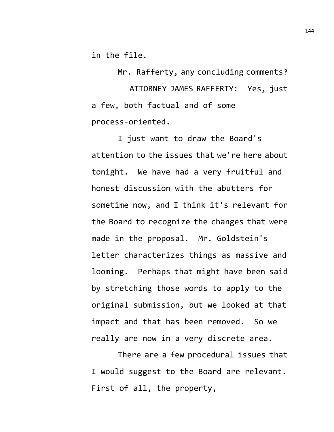in the file.

Mr. Rafferty, any concluding comments?

ATTORNEY JAMES RAFFERTY: Yes, just a few, both factual and of some process-oriented.

I just want to draw the Board's attention to the issues that we're here about tonight. We have had a very fruitful and honest discussion with the abutters for sometime now, and I think it's relevant for the Board to recognize the changes that were made in the proposal. Mr. Goldstein's letter characterizes things as massive and looming. Perhaps that might have been said by stretching those words to apply to the original submission, but we looked at that impact and that has been removed. So we really are now in a very discrete area.

There are a few procedural issues that I would suggest to the Board are relevant. First of all, the property,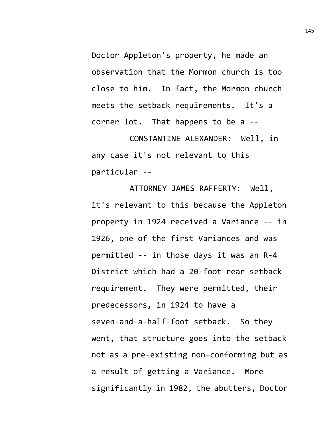Doctor Appleton's property, he made an observation that the Mormon church is too close to him. In fact, the Mormon church meets the setback requirements. It's a corner lot. That happens to be a --

CONSTANTINE ALEXANDER: Well, in any case it's not relevant to this particular --

ATTORNEY JAMES RAFFERTY: Well, it's relevant to this because the Appleton property in 1924 received a Variance -- in 1926, one of the first Variances and was permitted -- in those days it was an R-4 District which had a 20-foot rear setback requirement. They were permitted, their predecessors, in 1924 to have a seven-and-a-half-foot setback. So they went, that structure goes into the setback not as a pre-existing non-conforming but as a result of getting a Variance. More significantly in 1982, the abutters, Doctor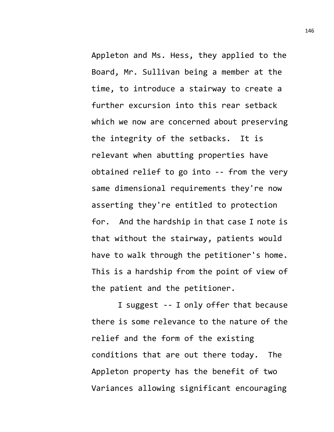Appleton and Ms. Hess, they applied to the Board, Mr. Sullivan being a member at the time, to introduce a stairway to create a further excursion into this rear setback which we now are concerned about preserving the integrity of the setbacks. It is relevant when abutting properties have obtained relief to go into -- from the very same dimensional requirements they're now asserting they're entitled to protection for. And the hardship in that case I note is that without the stairway, patients would have to walk through the petitioner's home. This is a hardship from the point of view of the patient and the petitioner.

I suggest -- I only offer that because there is some relevance to the nature of the relief and the form of the existing conditions that are out there today. The Appleton property has the benefit of two Variances allowing significant encouraging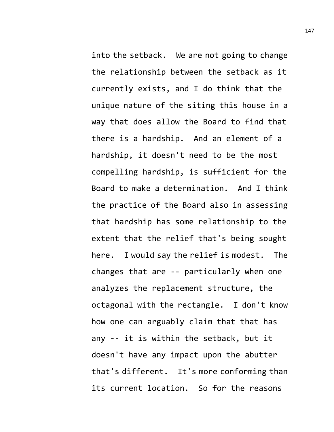into the setback. We are not going to change the relationship between the setback as it currently exists, and I do think that the unique nature of the siting this house in a way that does allow the Board to find that there is a hardship. And an element of a hardship, it doesn't need to be the most compelling hardship, is sufficient for the Board to make a determination. And I think the practice of the Board also in assessing that hardship has some relationship to the extent that the relief that's being sought here. I would say the relief is modest. The changes that are -- particularly when one analyzes the replacement structure, the octagonal with the rectangle. I don't know how one can arguably claim that that has any -- it is within the setback, but it doesn't have any impact upon the abutter that's different. It's more conforming than its current location. So for the reasons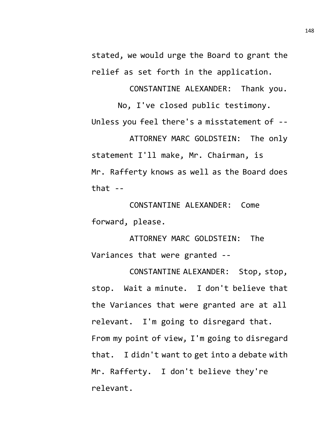stated, we would urge the Board to grant the relief as set forth in the application.

CONSTANTINE ALEXANDER: Thank you.

No, I've closed public testimony. Unless you feel there's a misstatement of --

ATTORNEY MARC GOLDSTEIN: The only statement I'll make, Mr. Chairman, is Mr. Rafferty knows as well as the Board does that  $-$ 

CONSTANTINE ALEXANDER: Come forward, please.

ATTORNEY MARC GOLDSTEIN: The Variances that were granted --

CONSTANTINE ALEXANDER: Stop, stop, stop. Wait a minute. I don't believe that the Variances that were granted are at all relevant. I'm going to disregard that. From my point of view, I'm going to disregard that. I didn't want to get into a debate with Mr. Rafferty. I don't believe they're relevant.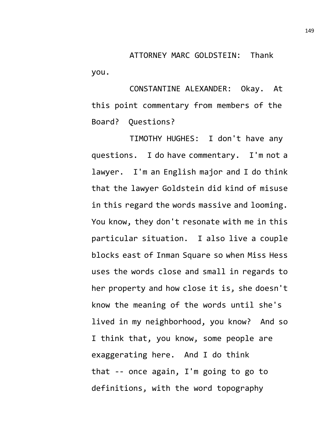ATTORNEY MARC GOLDSTEIN: Thank you.

CONSTANTINE ALEXANDER: Okay. At this point commentary from members of the Board? Questions?

TIMOTHY HUGHES: I don't have any questions. I do have commentary. I'm not a lawyer. I'm an English major and I do think that the lawyer Goldstein did kind of misuse in this regard the words massive and looming. You know, they don't resonate with me in this particular situation. I also live a couple blocks east of Inman Square so when Miss Hess uses the words close and small in regards to her property and how close it is, she doesn't know the meaning of the words until she's lived in my neighborhood, you know? And so I think that, you know, some people are exaggerating here. And I do think that -- once again, I'm going to go to definitions, with the word topography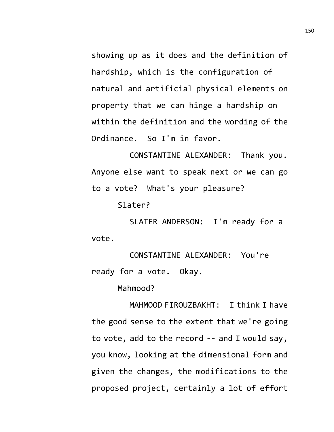showing up as it does and the definition of hardship, which is the configuration of natural and artificial physical elements on property that we can hinge a hardship on within the definition and the wording of the Ordinance. So I'm in favor.

CONSTANTINE ALEXANDER: Thank you. Anyone else want to speak next or we can go to a vote? What's your pleasure?

Slater?

SLATER ANDERSON: I'm ready for a vote.

CONSTANTINE ALEXANDER: You're ready for a vote. Okay.

Mahmood?

MAHMOOD FIROUZBAKHT: I think I have the good sense to the extent that we're going to vote, add to the record -- and I would say, you know, looking at the dimensional form and given the changes, the modifications to the proposed project, certainly a lot of effort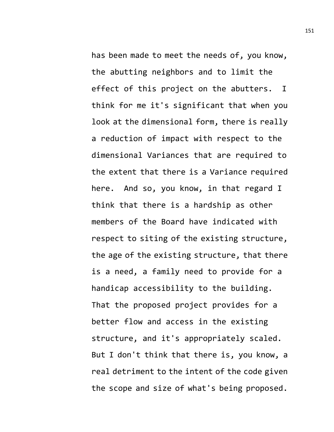has been made to meet the needs of, you know, the abutting neighbors and to limit the effect of this project on the abutters. I think for me it's significant that when you look at the dimensional form, there is really a reduction of impact with respect to the dimensional Variances that are required to the extent that there is a Variance required here. And so, you know, in that regard I think that there is a hardship as other members of the Board have indicated with respect to siting of the existing structure, the age of the existing structure, that there is a need, a family need to provide for a handicap accessibility to the building. That the proposed project provides for a better flow and access in the existing structure, and it's appropriately scaled. But I don't think that there is, you know, a real detriment to the intent of the code given the scope and size of what's being proposed.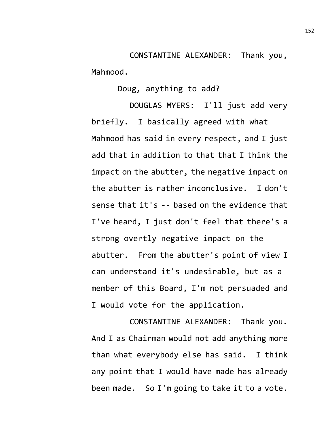CONSTANTINE ALEXANDER: Thank you, Mahmood.

Doug, anything to add?

DOUGLAS MYERS: I'll just add very briefly. I basically agreed with what Mahmood has said in every respect, and I just add that in addition to that that I think the impact on the abutter, the negative impact on the abutter is rather inconclusive. I don't sense that it's -- based on the evidence that I've heard, I just don't feel that there's a strong overtly negative impact on the abutter. From the abutter's point of view I can understand it's undesirable, but as a member of this Board, I'm not persuaded and I would vote for the application.

CONSTANTINE ALEXANDER: Thank you. And I as Chairman would not add anything more than what everybody else has said. I think any point that I would have made has already been made. So I'm going to take it to a vote.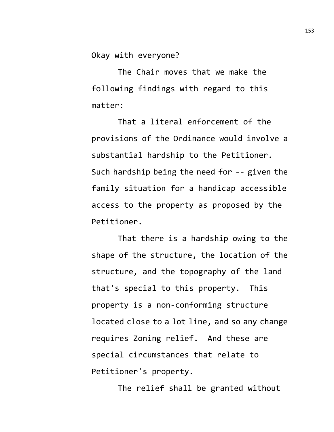Okay with everyone?

The Chair moves that we make the following findings with regard to this matter:

That a literal enforcement of the provisions of the Ordinance would involve a substantial hardship to the Petitioner. Such hardship being the need for -- given the family situation for a handicap accessible access to the property as proposed by the Petitioner.

That there is a hardship owing to the shape of the structure, the location of the structure, and the topography of the land that's special to this property. This property is a non-conforming structure located close to a lot line, and so any change requires Zoning relief. And these are special circumstances that relate to Petitioner's property.

The relief shall be granted without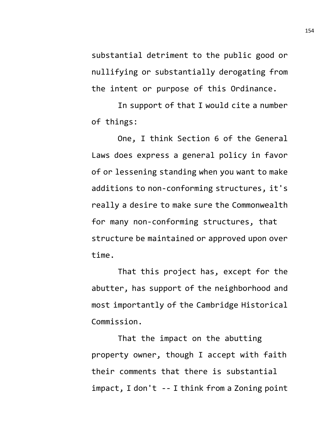substantial detriment to the public good or nullifying or substantially derogating from the intent or purpose of this Ordinance.

In support of that I would cite a number of things:

One, I think Section 6 of the General Laws does express a general policy in favor of or lessening standing when you want to make additions to non-conforming structures, it's really a desire to make sure the Commonwealth for many non-conforming structures, that structure be maintained or approved upon over time.

That this project has, except for the abutter, has support of the neighborhood and most importantly of the Cambridge Historical Commission.

That the impact on the abutting property owner, though I accept with faith their comments that there is substantial impact, I don't -- I think from a Zoning point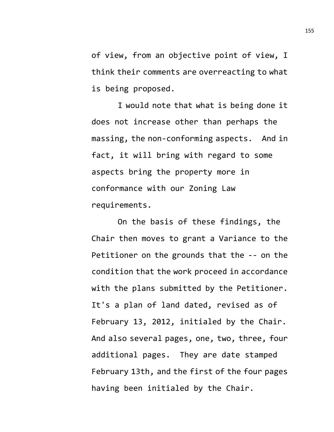of view, from an objective point of view, I think their comments are overreacting to what is being proposed.

I would note that what is being done it does not increase other than perhaps the massing, the non-conforming aspects. And in fact, it will bring with regard to some aspects bring the property more in conformance with our Zoning Law requirements.

On the basis of these findings, the Chair then moves to grant a Variance to the Petitioner on the grounds that the -- on the condition that the work proceed in accordance with the plans submitted by the Petitioner. It's a plan of land dated, revised as of February 13, 2012, initialed by the Chair. And also several pages, one, two, three, four additional pages. They are date stamped February 13th, and the first of the four pages having been initialed by the Chair.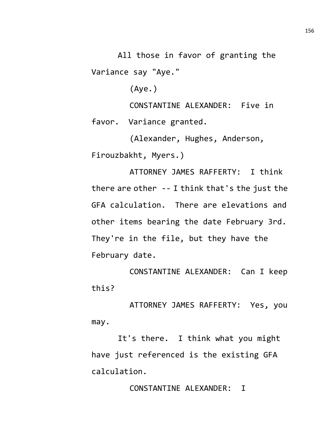All those in favor of granting the Variance say "Aye."

(Aye.)

CONSTANTINE ALEXANDER: Five in favor. Variance granted.

(Alexander, Hughes, Anderson, Firouzbakht, Myers.)

ATTORNEY JAMES RAFFERTY: I think there are other -- I think that's the just the GFA calculation. There are elevations and other items bearing the date February 3rd. They're in the file, but they have the February date.

CONSTANTINE ALEXANDER: Can I keep this?

ATTORNEY JAMES RAFFERTY: Yes, you may.

It's there. I think what you might have just referenced is the existing GFA calculation.

CONSTANTINE ALEXANDER: I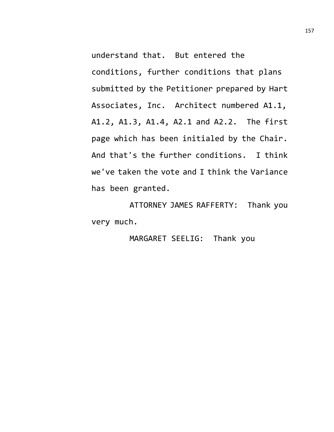understand that. But entered the conditions, further conditions that plans submitted by the Petitioner prepared by Hart Associates, Inc. Architect numbered A1.1, A1.2, A1.3, A1.4, A2.1 and A2.2. The first page which has been initialed by the Chair. And that's the further conditions. I think we've taken the vote and I think the Variance has been granted.

ATTORNEY JAMES RAFFERTY: Thank you very much.

MARGARET SEELIG: Thank you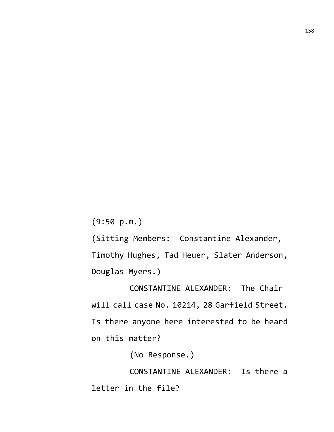(9:50 p.m.)

(Sitting Members: Constantine Alexander, Timothy Hughes, Tad Heuer, Slater Anderson, Douglas Myers.)

CONSTANTINE ALEXANDER: The Chair will call case No. 10214, 28 Garfield Street. Is there anyone here interested to be heard on this matter?

(No Response.)

CONSTANTINE ALEXANDER: Is there a letter in the file?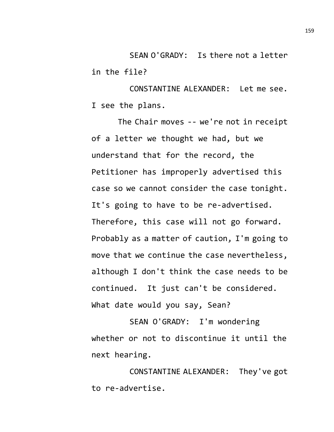SEAN O'GRADY: Is there not a letter in the file?

CONSTANTINE ALEXANDER: Let me see. I see the plans.

The Chair moves -- we're not in receipt of a letter we thought we had, but we understand that for the record, the Petitioner has improperly advertised this case so we cannot consider the case tonight. It's going to have to be re-advertised. Therefore, this case will not go forward. Probably as a matter of caution, I'm going to move that we continue the case nevertheless, although I don't think the case needs to be continued. It just can't be considered. What date would you say, Sean?

SEAN O'GRADY: I'm wondering whether or not to discontinue it until the next hearing.

CONSTANTINE ALEXANDER: They've got to re-advertise.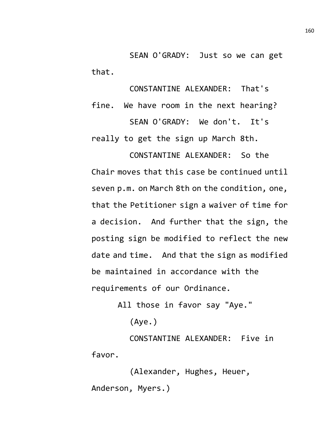SEAN O'GRADY: Just so we can get that.

CONSTANTINE ALEXANDER: That's fine. We have room in the next hearing? SEAN O'GRADY: We don't. It's really to get the sign up March 8th.

CONSTANTINE ALEXANDER: So the Chair moves that this case be continued until seven p.m. on March 8th on the condition, one, that the Petitioner sign a waiver of time for a decision. And further that the sign, the posting sign be modified to reflect the new date and time. And that the sign as modified be maintained in accordance with the requirements of our Ordinance.

All those in favor say "Aye."

(Aye.)

CONSTANTINE ALEXANDER: Five in favor.

(Alexander, Hughes, Heuer, Anderson, Myers.)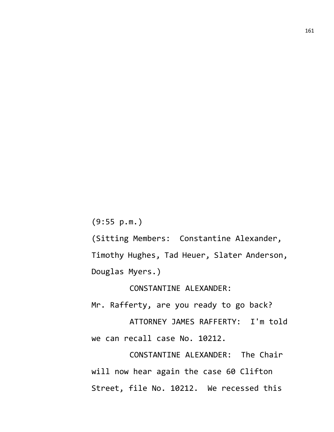(9:55 p.m.)

(Sitting Members: Constantine Alexander, Timothy Hughes, Tad Heuer, Slater Anderson, Douglas Myers.)

CONSTANTINE ALEXANDER:

Mr. Rafferty, are you ready to go back?

ATTORNEY JAMES RAFFERTY: I'm told we can recall case No. 10212.

CONSTANTINE ALEXANDER: The Chair will now hear again the case 60 Clifton Street, file No. 10212. We recessed this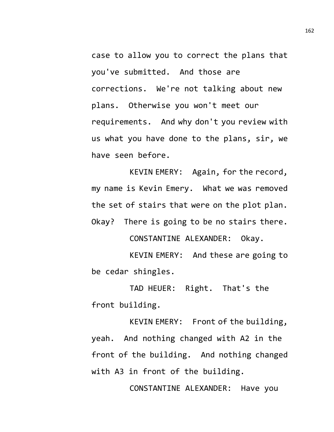case to allow you to correct the plans that you've submitted. And those are corrections. We're not talking about new plans. Otherwise you won't meet our requirements. And why don't you review with us what you have done to the plans, sir, we have seen before.

KEVIN EMERY: Again, for the record, my name is Kevin Emery. What we was removed the set of stairs that were on the plot plan. Okay? There is going to be no stairs there.

CONSTANTINE ALEXANDER: Okay.

KEVIN EMERY: And these are going to be cedar shingles.

TAD HEUER: Right. That's the front building.

KEVIN EMERY: Front of the building, yeah. And nothing changed with A2 in the front of the building. And nothing changed with A3 in front of the building.

CONSTANTINE ALEXANDER: Have you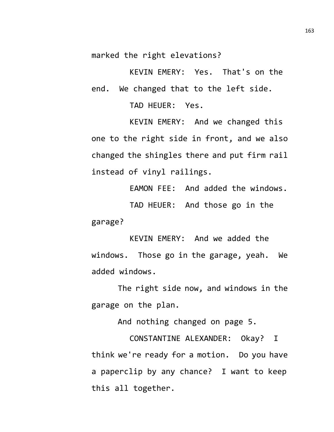marked the right elevations?

KEVIN EMERY: Yes. That's on the end. We changed that to the left side.

TAD HEUER: Yes.

KEVIN EMERY: And we changed this one to the right side in front, and we also changed the shingles there and put firm rail instead of vinyl railings.

EAMON FEE: And added the windows. TAD HEUER: And those go in the garage?

KEVIN EMERY: And we added the windows. Those go in the garage, yeah. We added windows.

The right side now, and windows in the garage on the plan.

And nothing changed on page 5.

CONSTANTINE ALEXANDER: Okay? I think we're ready for a motion. Do you have a paperclip by any chance? I want to keep this all together.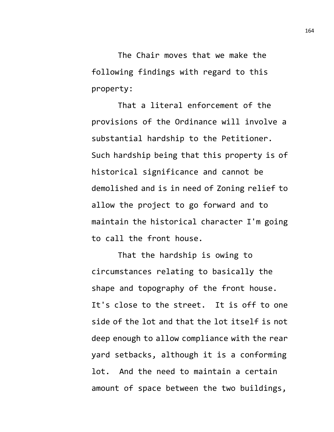The Chair moves that we make the following findings with regard to this property:

That a literal enforcement of the provisions of the Ordinance will involve a substantial hardship to the Petitioner. Such hardship being that this property is of historical significance and cannot be demolished and is in need of Zoning relief to allow the project to go forward and to maintain the historical character I'm going to call the front house.

That the hardship is owing to circumstances relating to basically the shape and topography of the front house. It's close to the street. It is off to one side of the lot and that the lot itself is not deep enough to allow compliance with the rear yard setbacks, although it is a conforming lot. And the need to maintain a certain amount of space between the two buildings,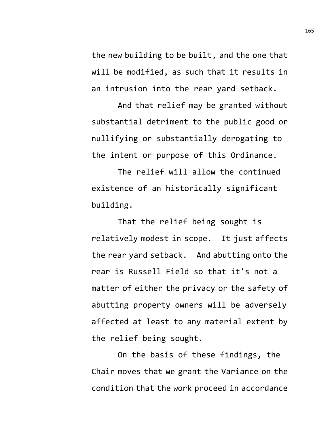the new building to be built, and the one that will be modified, as such that it results in an intrusion into the rear yard setback.

And that relief may be granted without substantial detriment to the public good or nullifying or substantially derogating to the intent or purpose of this Ordinance.

The relief will allow the continued existence of an historically significant building.

That the relief being sought is relatively modest in scope. It just affects the rear yard setback. And abutting onto the rear is Russell Field so that it's not a matter of either the privacy or the safety of abutting property owners will be adversely affected at least to any material extent by the relief being sought.

On the basis of these findings, the Chair moves that we grant the Variance on the condition that the work proceed in accordance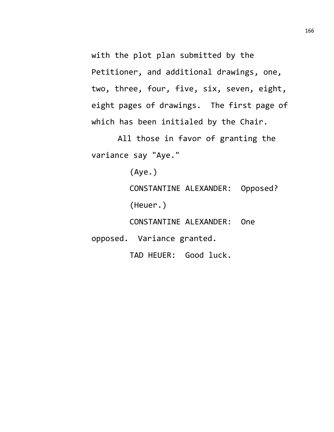with the plot plan submitted by the Petitioner, and additional drawings, one, two, three, four, five, six, seven, eight, eight pages of drawings. The first page of which has been initialed by the Chair.

All those in favor of granting the variance say "Aye."

(Aye.)

CONSTANTINE ALEXANDER: Opposed? (Heuer.)

CONSTANTINE ALEXANDER: One

opposed. Variance granted.

TAD HEUER: Good luck.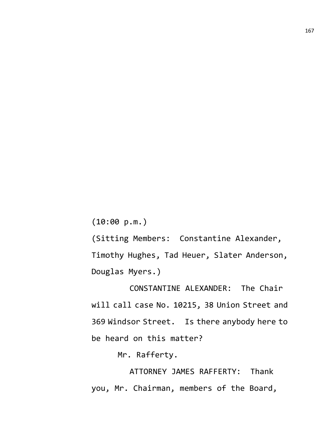(10:00 p.m.)

(Sitting Members: Constantine Alexander, Timothy Hughes, Tad Heuer, Slater Anderson, Douglas Myers.)

CONSTANTINE ALEXANDER: The Chair will call case No. 10215, 38 Union Street and 369 Windsor Street. Is there anybody here to be heard on this matter?

Mr. Rafferty.

ATTORNEY JAMES RAFFERTY: Thank you, Mr. Chairman, members of the Board,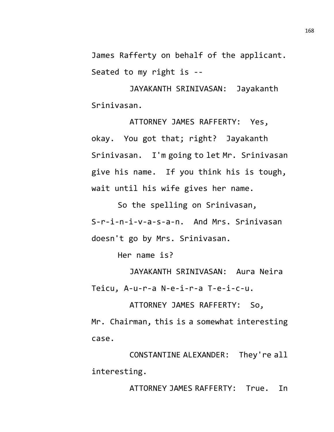James Rafferty on behalf of the applicant. Seated to my right is --

JAYAKANTH SRINIVASAN: Jayakanth Srinivasan.

ATTORNEY JAMES RAFFERTY: Yes, okay. You got that; right? Jayakanth Srinivasan. I'm going to let Mr. Srinivasan give his name. If you think his is tough, wait until his wife gives her name.

So the spelling on Srinivasan, S-r-i-n-i-v-a-s-a-n. And Mrs. Srinivasan doesn't go by Mrs. Srinivasan.

Her name is?

JAYAKANTH SRINIVASAN: Aura Neira Teicu, A-u-r-a N-e-i-r-a T-e-i-c-u.

ATTORNEY JAMES RAFFERTY: So, Mr. Chairman, this is a somewhat interesting case.

CONSTANTINE ALEXANDER: They're all interesting.

ATTORNEY JAMES RAFFERTY: True. In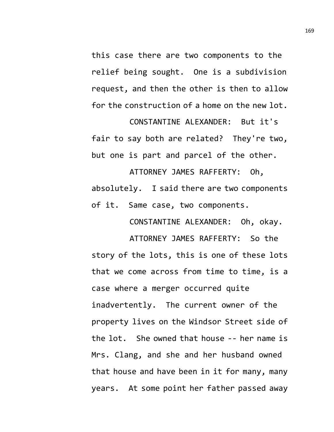this case there are two components to the relief being sought. One is a subdivision request, and then the other is then to allow for the construction of a home on the new lot.

CONSTANTINE ALEXANDER: But it's fair to say both are related? They're two, but one is part and parcel of the other.

ATTORNEY JAMES RAFFERTY: Oh, absolutely. I said there are two components of it. Same case, two components.

CONSTANTINE ALEXANDER: Oh, okay.

ATTORNEY JAMES RAFFERTY: So the story of the lots, this is one of these lots that we come across from time to time, is a case where a merger occurred quite inadvertently. The current owner of the property lives on the Windsor Street side of the lot. She owned that house -- her name is Mrs. Clang, and she and her husband owned that house and have been in it for many, many years. At some point her father passed away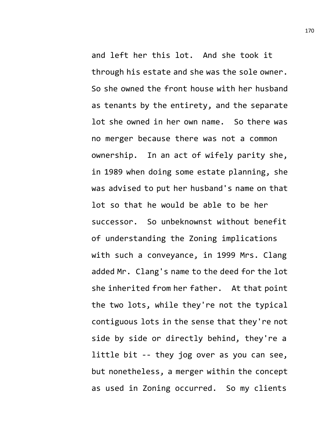and left her this lot. And she took it through his estate and she was the sole owner. So she owned the front house with her husband as tenants by the entirety, and the separate lot she owned in her own name. So there was no merger because there was not a common ownership. In an act of wifely parity she, in 1989 when doing some estate planning, she was advised to put her husband's name on that lot so that he would be able to be her successor. So unbeknownst without benefit of understanding the Zoning implications with such a conveyance, in 1999 Mrs. Clang added Mr. Clang's name to the deed for the lot she inherited from her father. At that point the two lots, while they're not the typical contiguous lots in the sense that they're not side by side or directly behind, they're a little bit -- they jog over as you can see, but nonetheless, a merger within the concept as used in Zoning occurred. So my clients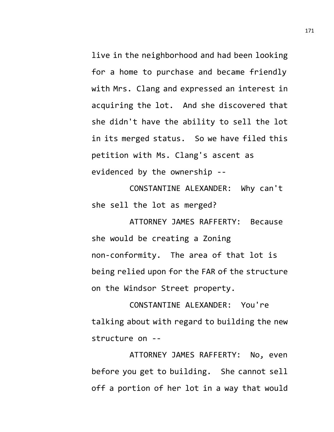live in the neighborhood and had been looking for a home to purchase and became friendly with Mrs. Clang and expressed an interest in acquiring the lot. And she discovered that she didn't have the ability to sell the lot in its merged status. So we have filed this petition with Ms. Clang's ascent as evidenced by the ownership --

CONSTANTINE ALEXANDER: Why can't she sell the lot as merged?

ATTORNEY JAMES RAFFERTY: Because she would be creating a Zoning non-conformity. The area of that lot is being relied upon for the FAR of the structure on the Windsor Street property.

CONSTANTINE ALEXANDER: You're talking about with regard to building the new structure on --

ATTORNEY JAMES RAFFERTY: No, even before you get to building. She cannot sell off a portion of her lot in a way that would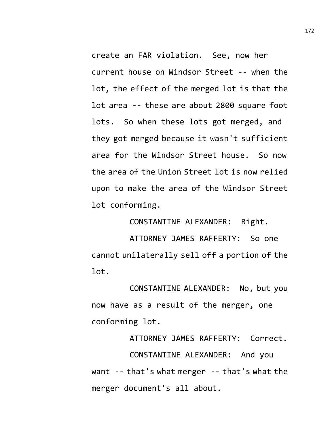create an FAR violation. See, now her current house on Windsor Street -- when the lot, the effect of the merged lot is that the lot area -- these are about 2800 square foot lots. So when these lots got merged, and they got merged because it wasn't sufficient area for the Windsor Street house. So now the area of the Union Street lot is now relied upon to make the area of the Windsor Street lot conforming.

CONSTANTINE ALEXANDER: Right.

ATTORNEY JAMES RAFFERTY: So one cannot unilaterally sell off a portion of the lot.

CONSTANTINE ALEXANDER: No, but you now have as a result of the merger, one conforming lot.

ATTORNEY JAMES RAFFERTY: Correct. CONSTANTINE ALEXANDER: And you want -- that's what merger -- that's what the merger document's all about.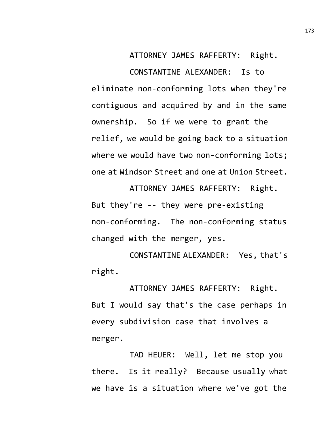ATTORNEY JAMES RAFFERTY: Right.

CONSTANTINE ALEXANDER: Is to eliminate non-conforming lots when they're contiguous and acquired by and in the same ownership. So if we were to grant the relief, we would be going back to a situation where we would have two non-conforming lots; one at Windsor Street and one at Union Street.

ATTORNEY JAMES RAFFERTY: Right. But they're -- they were pre-existing non-conforming. The non-conforming status changed with the merger, yes.

CONSTANTINE ALEXANDER: Yes, that's right.

ATTORNEY JAMES RAFFERTY: Right. But I would say that's the case perhaps in every subdivision case that involves a merger.

TAD HEUER: Well, let me stop you there. Is it really? Because usually what we have is a situation where we've got the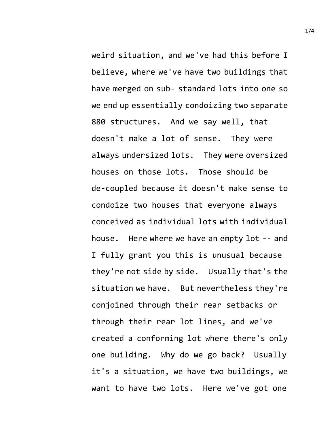weird situation, and we've had this before I believe, where we've have two buildings that have merged on sub- standard lots into one so we end up essentially condoizing two separate 880 structures. And we say well, that doesn't make a lot of sense. They were always undersized lots. They were oversized houses on those lots. Those should be de-coupled because it doesn't make sense to condoize two houses that everyone always conceived as individual lots with individual house. Here where we have an empty lot -- and I fully grant you this is unusual because they're not side by side. Usually that's the situation we have. But nevertheless they're conjoined through their rear setbacks or through their rear lot lines, and we've created a conforming lot where there's only one building. Why do we go back? Usually it's a situation, we have two buildings, we want to have two lots. Here we've got one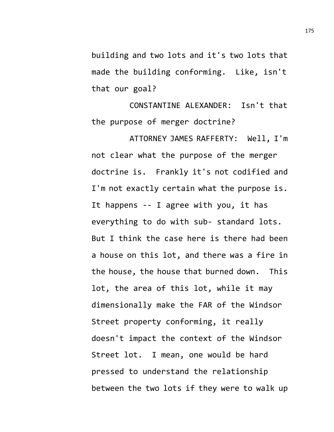building and two lots and it's two lots that made the building conforming. Like, isn't that our goal?

CONSTANTINE ALEXANDER: Isn't that the purpose of merger doctrine?

ATTORNEY JAMES RAFFERTY: Well, I'm not clear what the purpose of the merger doctrine is. Frankly it's not codified and I'm not exactly certain what the purpose is. It happens -- I agree with you, it has everything to do with sub- standard lots. But I think the case here is there had been a house on this lot, and there was a fire in the house, the house that burned down. This lot, the area of this lot, while it may dimensionally make the FAR of the Windsor Street property conforming, it really doesn't impact the context of the Windsor Street lot. I mean, one would be hard pressed to understand the relationship between the two lots if they were to walk up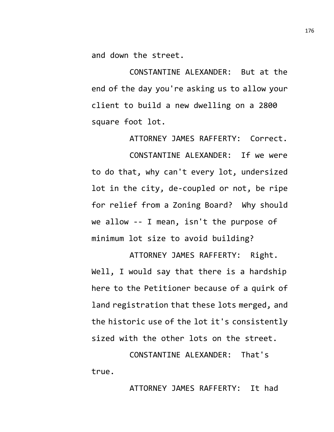and down the street.

CONSTANTINE ALEXANDER: But at the end of the day you're asking us to allow your client to build a new dwelling on a 2800 square foot lot.

ATTORNEY JAMES RAFFERTY: Correct.

CONSTANTINE ALEXANDER: If we were to do that, why can't every lot, undersized lot in the city, de-coupled or not, be ripe for relief from a Zoning Board? Why should we allow -- I mean, isn't the purpose of minimum lot size to avoid building?

ATTORNEY JAMES RAFFERTY: Right. Well, I would say that there is a hardship here to the Petitioner because of a quirk of land registration that these lots merged, and the historic use of the lot it's consistently sized with the other lots on the street.

CONSTANTINE ALEXANDER: That's true.

ATTORNEY JAMES RAFFERTY: It had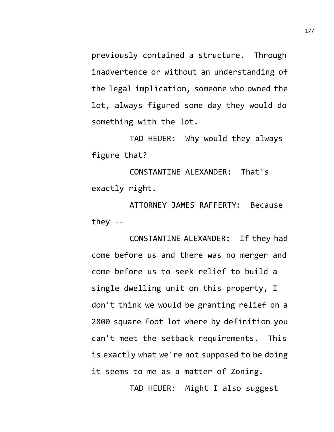previously contained a structure. Through inadvertence or without an understanding of the legal implication, someone who owned the lot, always figured some day they would do something with the lot.

TAD HEUER: Why would they always figure that?

CONSTANTINE ALEXANDER: That's exactly right.

ATTORNEY JAMES RAFFERTY: Because they --

CONSTANTINE ALEXANDER: If they had come before us and there was no merger and come before us to seek relief to build a single dwelling unit on this property, I don't think we would be granting relief on a 2800 square foot lot where by definition you can't meet the setback requirements. This is exactly what we're not supposed to be doing it seems to me as a matter of Zoning.

TAD HEUER: Might I also suggest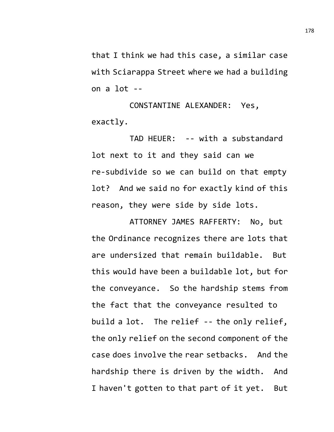that I think we had this case, a similar case with Sciarappa Street where we had a building on a lot --

CONSTANTINE ALEXANDER: Yes, exactly.

TAD HEUER: -- with a substandard lot next to it and they said can we re-subdivide so we can build on that empty lot? And we said no for exactly kind of this reason, they were side by side lots.

ATTORNEY JAMES RAFFERTY: No, but the Ordinance recognizes there are lots that are undersized that remain buildable. But this would have been a buildable lot, but for the conveyance. So the hardship stems from the fact that the conveyance resulted to build a lot. The relief -- the only relief, the only relief on the second component of the case does involve the rear setbacks. And the hardship there is driven by the width. And I haven't gotten to that part of it yet. But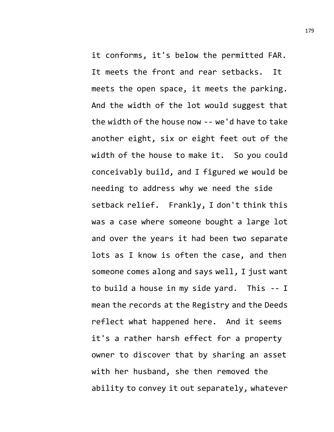it conforms, it's below the permitted FAR. It meets the front and rear setbacks. It meets the open space, it meets the parking. And the width of the lot would suggest that the width of the house now -- we'd have to take another eight, six or eight feet out of the width of the house to make it. So you could conceivably build, and I figured we would be needing to address why we need the side setback relief. Frankly, I don't think this

was a case where someone bought a large lot and over the years it had been two separate lots as I know is often the case, and then someone comes along and says well, I just want to build a house in my side yard. This -- I mean the records at the Registry and the Deeds reflect what happened here. And it seems it's a rather harsh effect for a property owner to discover that by sharing an asset with her husband, she then removed the ability to convey it out separately, whatever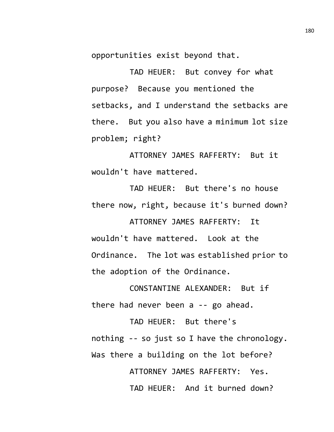opportunities exist beyond that.

TAD HEUER: But convey for what purpose? Because you mentioned the setbacks, and I understand the setbacks are there. But you also have a minimum lot size problem; right?

ATTORNEY JAMES RAFFERTY: But it wouldn't have mattered.

TAD HEUER: But there's no house there now, right, because it's burned down?

ATTORNEY JAMES RAFFERTY: It wouldn't have mattered. Look at the Ordinance. The lot was established prior to the adoption of the Ordinance.

CONSTANTINE ALEXANDER: But if there had never been a -- go ahead.

TAD HEUER: But there's nothing -- so just so I have the chronology. Was there a building on the lot before? ATTORNEY JAMES RAFFERTY: Yes. TAD HEUER: And it burned down?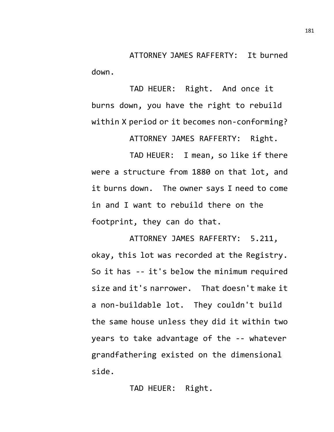ATTORNEY JAMES RAFFERTY: It burned down.

TAD HEUER: Right. And once it burns down, you have the right to rebuild within X period or it becomes non-conforming?

ATTORNEY JAMES RAFFERTY: Right.

TAD HEUER: I mean, so like if there were a structure from 1880 on that lot, and it burns down. The owner says I need to come in and I want to rebuild there on the footprint, they can do that.

ATTORNEY JAMES RAFFERTY: 5.211, okay, this lot was recorded at the Registry. So it has -- it's below the minimum required size and it's narrower. That doesn't make it a non-buildable lot. They couldn't build the same house unless they did it within two years to take advantage of the -- whatever grandfathering existed on the dimensional side.

TAD HEUER: Right.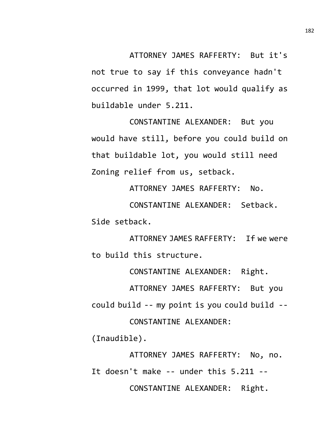ATTORNEY JAMES RAFFERTY: But it's not true to say if this conveyance hadn't occurred in 1999, that lot would qualify as buildable under 5.211.

CONSTANTINE ALEXANDER: But you would have still, before you could build on that buildable lot, you would still need Zoning relief from us, setback.

ATTORNEY JAMES RAFFERTY: No.

CONSTANTINE ALEXANDER: Setback. Side setback.

ATTORNEY JAMES RAFFERTY: If we were to build this structure.

CONSTANTINE ALEXANDER: Right.

ATTORNEY JAMES RAFFERTY: But you could build -- my point is you could build -- CONSTANTINE ALEXANDER:

(Inaudible).

ATTORNEY JAMES RAFFERTY: No, no. It doesn't make -- under this 5.211 -- CONSTANTINE ALEXANDER: Right.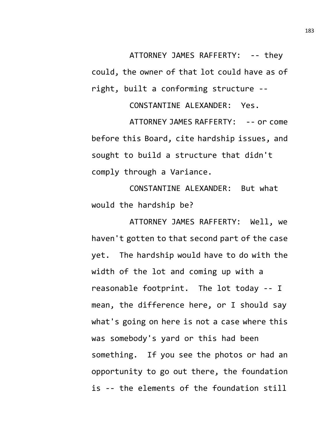ATTORNEY JAMES RAFFERTY: -- they could, the owner of that lot could have as of right, built a conforming structure --

CONSTANTINE ALEXANDER: Yes.

ATTORNEY JAMES RAFFERTY: -- or come before this Board, cite hardship issues, and sought to build a structure that didn't comply through a Variance.

CONSTANTINE ALEXANDER: But what would the hardship be?

ATTORNEY JAMES RAFFERTY: Well, we haven't gotten to that second part of the case yet. The hardship would have to do with the width of the lot and coming up with a reasonable footprint. The lot today -- I mean, the difference here, or I should say what's going on here is not a case where this was somebody's yard or this had been something. If you see the photos or had an opportunity to go out there, the foundation is -- the elements of the foundation still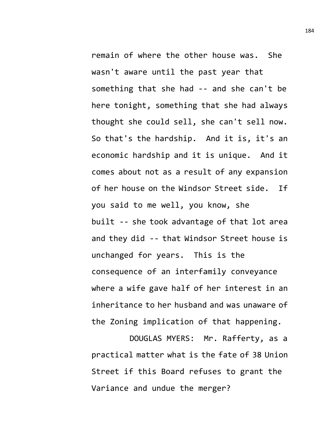remain of where the other house was. She wasn't aware until the past year that something that she had -- and she can't be here tonight, something that she had always thought she could sell, she can't sell now. So that's the hardship. And it is, it's an economic hardship and it is unique. And it comes about not as a result of any expansion of her house on the Windsor Street side. If you said to me well, you know, she built -- she took advantage of that lot area and they did -- that Windsor Street house is unchanged for years. This is the consequence of an interfamily conveyance where a wife gave half of her interest in an inheritance to her husband and was unaware of the Zoning implication of that happening.

DOUGLAS MYERS: Mr. Rafferty, as a practical matter what is the fate of 38 Union Street if this Board refuses to grant the Variance and undue the merger?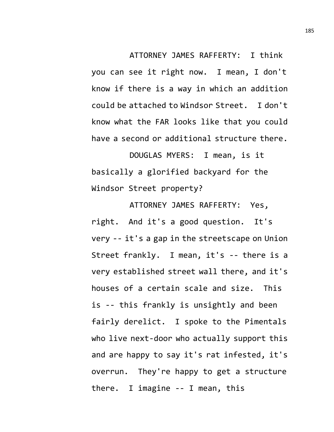ATTORNEY JAMES RAFFERTY: I think you can see it right now. I mean, I don't know if there is a way in which an addition could be attached to Windsor Street. I don't know what the FAR looks like that you could have a second or additional structure there.

DOUGLAS MYERS: I mean, is it basically a glorified backyard for the Windsor Street property?

ATTORNEY JAMES RAFFERTY: Yes, right. And it's a good question. It's very -- it's a gap in the streetscape on Union Street frankly. I mean, it's -- there is a very established street wall there, and it's houses of a certain scale and size. This is -- this frankly is unsightly and been fairly derelict. I spoke to the Pimentals who live next-door who actually support this and are happy to say it's rat infested, it's overrun. They're happy to get a structure there. I imagine -- I mean, this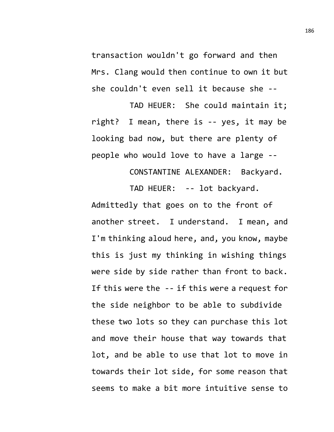transaction wouldn't go forward and then Mrs. Clang would then continue to own it but she couldn't even sell it because she --

TAD HEUER: She could maintain it; right? I mean, there is -- yes, it may be looking bad now, but there are plenty of people who would love to have a large --

> CONSTANTINE ALEXANDER: Backyard. TAD HEUER: -- lot backyard.

Admittedly that goes on to the front of another street. I understand. I mean, and I'm thinking aloud here, and, you know, maybe this is just my thinking in wishing things were side by side rather than front to back. If this were the -- if this were a request for the side neighbor to be able to subdivide these two lots so they can purchase this lot and move their house that way towards that lot, and be able to use that lot to move in towards their lot side, for some reason that seems to make a bit more intuitive sense to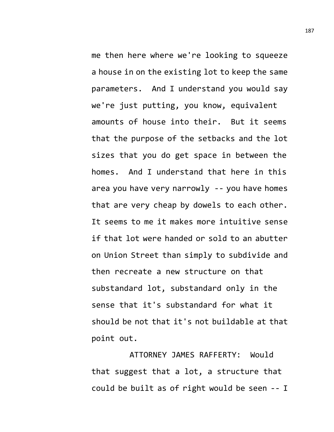me then here where we're looking to squeeze a house in on the existing lot to keep the same parameters. And I understand you would say we're just putting, you know, equivalent amounts of house into their. But it seems that the purpose of the setbacks and the lot sizes that you do get space in between the homes. And I understand that here in this area you have very narrowly -- you have homes that are very cheap by dowels to each other. It seems to me it makes more intuitive sense if that lot were handed or sold to an abutter on Union Street than simply to subdivide and then recreate a new structure on that substandard lot, substandard only in the sense that it's substandard for what it should be not that it's not buildable at that point out.

ATTORNEY JAMES RAFFERTY: Would that suggest that a lot, a structure that could be built as of right would be seen -- I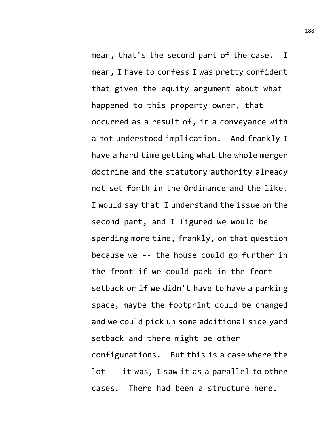mean, that's the second part of the case. I mean, I have to confess I was pretty confident that given the equity argument about what happened to this property owner, that occurred as a result of, in a conveyance with a not understood implication. And frankly I have a hard time getting what the whole merger doctrine and the statutory authority already not set forth in the Ordinance and the like. I would say that I understand the issue on the second part, and I figured we would be spending more time, frankly, on that question because we -- the house could go further in the front if we could park in the front setback or if we didn't have to have a parking space, maybe the footprint could be changed and we could pick up some additional side yard setback and there might be other configurations. But this is a case where the lot -- it was, I saw it as a parallel to other cases. There had been a structure here.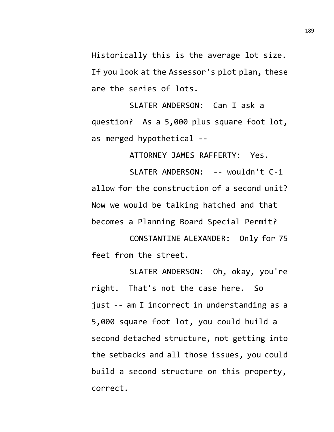Historically this is the average lot size. If you look at the Assessor's plot plan, these are the series of lots.

SLATER ANDERSON: Can I ask a question? As a 5,000 plus square foot lot, as merged hypothetical --

ATTORNEY JAMES RAFFERTY: Yes.

SLATER ANDERSON: -- wouldn't C-1 allow for the construction of a second unit? Now we would be talking hatched and that becomes a Planning Board Special Permit?

CONSTANTINE ALEXANDER: Only for 75 feet from the street.

SLATER ANDERSON: Oh, okay, you're right. That's not the case here. So just -- am I incorrect in understanding as a 5,000 square foot lot, you could build a second detached structure, not getting into the setbacks and all those issues, you could build a second structure on this property, correct.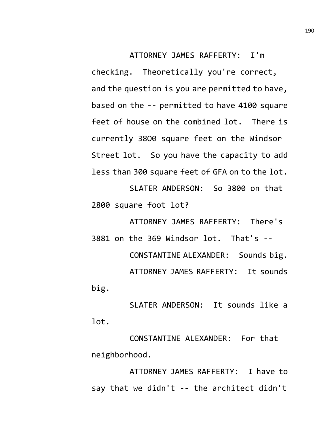ATTORNEY JAMES RAFFERTY: I'm checking. Theoretically you're correct, and the question is you are permitted to have, based on the -- permitted to have 4100 square feet of house on the combined lot. There is currently 38O0 square feet on the Windsor Street lot. So you have the capacity to add less than 300 square feet of GFA on to the lot.

SLATER ANDERSON: So 3800 on that 2800 square foot lot?

ATTORNEY JAMES RAFFERTY: There's 3881 on the 369 Windsor lot. That's -- CONSTANTINE ALEXANDER: Sounds big. ATTORNEY JAMES RAFFERTY: It sounds big.

SLATER ANDERSON: It sounds like a lot.

CONSTANTINE ALEXANDER: For that neighborhood.

ATTORNEY JAMES RAFFERTY: I have to say that we didn't -- the architect didn't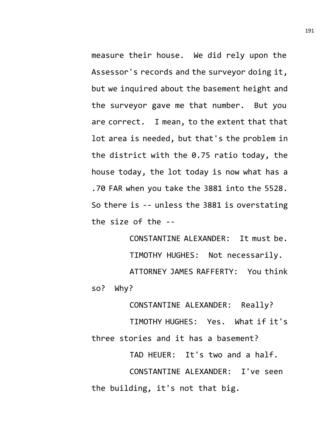measure their house. We did rely upon the Assessor's records and the surveyor doing it, but we inquired about the basement height and the surveyor gave me that number. But you are correct. I mean, to the extent that that lot area is needed, but that's the problem in the district with the 0.75 ratio today, the house today, the lot today is now what has a .70 FAR when you take the 3881 into the 5528. So there is -- unless the 3881 is overstating the size of the --

CONSTANTINE ALEXANDER: It must be. TIMOTHY HUGHES: Not necessarily. ATTORNEY JAMES RAFFERTY: You think so? Why?

CONSTANTINE ALEXANDER: Really? TIMOTHY HUGHES: Yes. What if it's three stories and it has a basement?

TAD HEUER: It's two and a half. CONSTANTINE ALEXANDER: I've seen the building, it's not that big.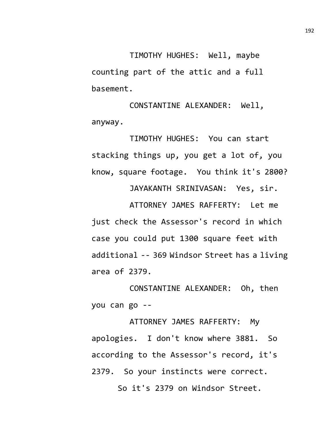TIMOTHY HUGHES: Well, maybe counting part of the attic and a full basement.

CONSTANTINE ALEXANDER: Well, anyway.

TIMOTHY HUGHES: You can start stacking things up, you get a lot of, you know, square footage. You think it's 2800?

JAYAKANTH SRINIVASAN: Yes, sir.

ATTORNEY JAMES RAFFERTY: Let me just check the Assessor's record in which case you could put 1300 square feet with additional -- 369 Windsor Street has a living area of 2379.

CONSTANTINE ALEXANDER: Oh, then you can go --

ATTORNEY JAMES RAFFERTY: My apologies. I don't know where 3881. So according to the Assessor's record, it's 2379. So your instincts were correct.

So it's 2379 on Windsor Street.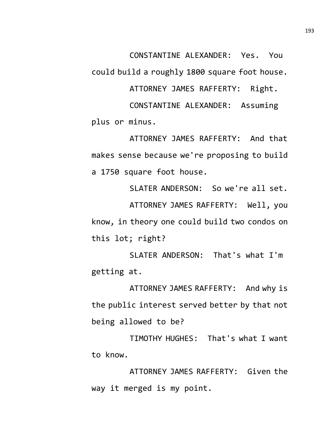CONSTANTINE ALEXANDER: Yes. You

could build a roughly 1800 square foot house.

ATTORNEY JAMES RAFFERTY: Right.

CONSTANTINE ALEXANDER: Assuming plus or minus.

ATTORNEY JAMES RAFFERTY: And that makes sense because we're proposing to build a 1750 square foot house.

SLATER ANDERSON: So we're all set. ATTORNEY JAMES RAFFERTY: Well, you know, in theory one could build two condos on this lot; right?

SLATER ANDERSON: That's what I'm getting at.

ATTORNEY JAMES RAFFERTY: And why is the public interest served better by that not being allowed to be?

TIMOTHY HUGHES: That's what I want to know.

ATTORNEY JAMES RAFFERTY: Given the way it merged is my point.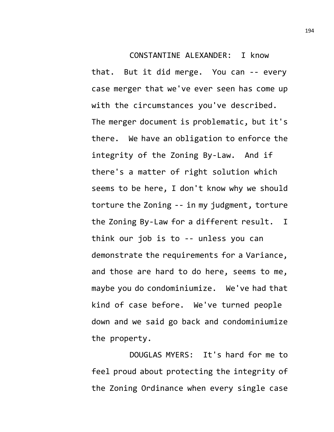## CONSTANTINE ALEXANDER: I know

that. But it did merge. You can -- every case merger that we've ever seen has come up with the circumstances you've described. The merger document is problematic, but it's there. We have an obligation to enforce the integrity of the Zoning By-Law. And if there's a matter of right solution which seems to be here, I don't know why we should torture the Zoning -- in my judgment, torture the Zoning By-Law for a different result. I think our job is to -- unless you can demonstrate the requirements for a Variance, and those are hard to do here, seems to me, maybe you do condominiumize. We've had that kind of case before. We've turned people down and we said go back and condominiumize the property.

DOUGLAS MYERS: It's hard for me to feel proud about protecting the integrity of the Zoning Ordinance when every single case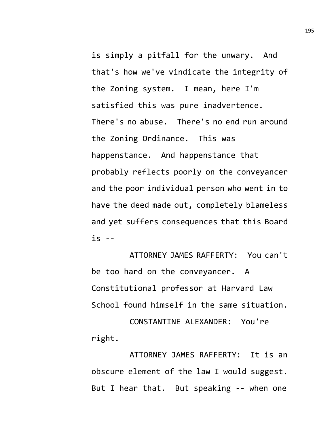is simply a pitfall for the unwary. And that's how we've vindicate the integrity of the Zoning system. I mean, here I'm satisfied this was pure inadvertence. There's no abuse. There's no end run around the Zoning Ordinance. This was happenstance. And happenstance that probably reflects poorly on the conveyancer and the poor individual person who went in to have the deed made out, completely blameless and yet suffers consequences that this Board is --

ATTORNEY JAMES RAFFERTY: You can't be too hard on the conveyancer. A Constitutional professor at Harvard Law School found himself in the same situation.

CONSTANTINE ALEXANDER: You're right.

ATTORNEY JAMES RAFFERTY: It is an obscure element of the law I would suggest. But I hear that. But speaking -- when one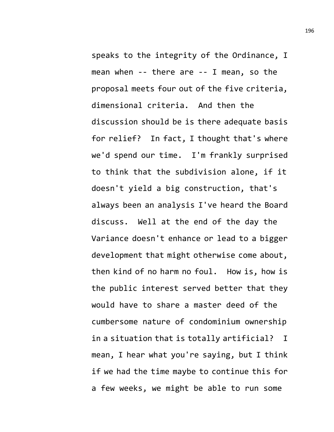speaks to the integrity of the Ordinance, I mean when -- there are -- I mean, so the proposal meets four out of the five criteria, dimensional criteria. And then the discussion should be is there adequate basis for relief? In fact, I thought that's where we'd spend our time. I'm frankly surprised to think that the subdivision alone, if it doesn't yield a big construction, that's always been an analysis I've heard the Board discuss. Well at the end of the day the Variance doesn't enhance or lead to a bigger development that might otherwise come about, then kind of no harm no foul. How is, how is the public interest served better that they would have to share a master deed of the cumbersome nature of condominium ownership in a situation that is totally artificial? I mean, I hear what you're saying, but I think if we had the time maybe to continue this for a few weeks, we might be able to run some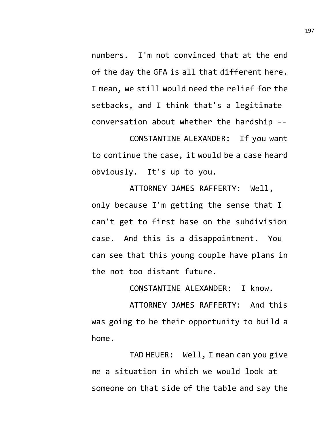numbers. I'm not convinced that at the end of the day the GFA is all that different here. I mean, we still would need the relief for the setbacks, and I think that's a legitimate conversation about whether the hardship --

CONSTANTINE ALEXANDER: If you want to continue the case, it would be a case heard obviously. It's up to you.

ATTORNEY JAMES RAFFERTY: Well, only because I'm getting the sense that I can't get to first base on the subdivision case. And this is a disappointment. You can see that this young couple have plans in the not too distant future.

CONSTANTINE ALEXANDER: I know.

ATTORNEY JAMES RAFFERTY: And this was going to be their opportunity to build a home.

TAD HEUER: Well, I mean can you give me a situation in which we would look at someone on that side of the table and say the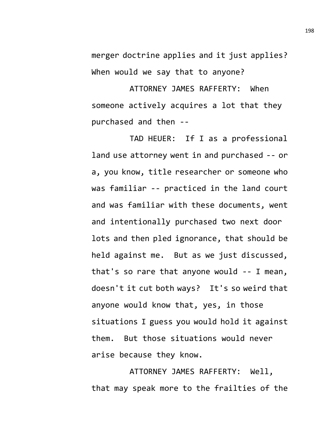merger doctrine applies and it just applies? When would we say that to anyone?

ATTORNEY JAMES RAFFERTY: When someone actively acquires a lot that they purchased and then --

TAD HEUER: If I as a professional land use attorney went in and purchased -- or a, you know, title researcher or someone who was familiar -- practiced in the land court and was familiar with these documents, went and intentionally purchased two next door lots and then pled ignorance, that should be held against me. But as we just discussed, that's so rare that anyone would -- I mean, doesn't it cut both ways? It's so weird that anyone would know that, yes, in those situations I guess you would hold it against them. But those situations would never arise because they know.

ATTORNEY JAMES RAFFERTY: Well, that may speak more to the frailties of the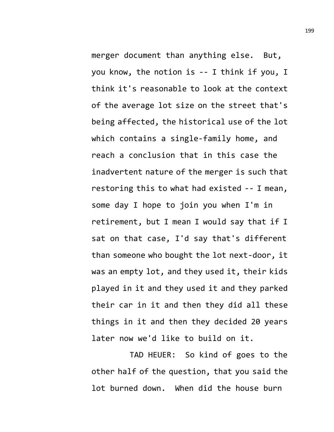merger document than anything else. But, you know, the notion is -- I think if you, I think it's reasonable to look at the context of the average lot size on the street that's being affected, the historical use of the lot which contains a single-family home, and reach a conclusion that in this case the inadvertent nature of the merger is such that restoring this to what had existed -- I mean, some day I hope to join you when I'm in retirement, but I mean I would say that if I sat on that case, I'd say that's different than someone who bought the lot next-door, it was an empty lot, and they used it, their kids played in it and they used it and they parked their car in it and then they did all these things in it and then they decided 20 years later now we'd like to build on it.

TAD HEUER: So kind of goes to the other half of the question, that you said the lot burned down. When did the house burn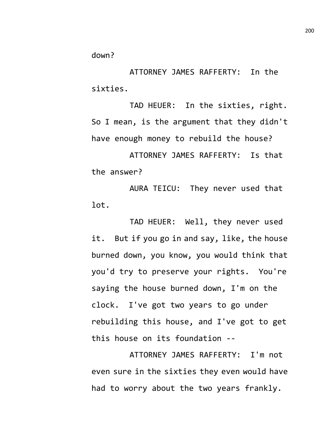down?

ATTORNEY JAMES RAFFERTY: In the sixties.

TAD HEUER: In the sixties, right. So I mean, is the argument that they didn't have enough money to rebuild the house?

ATTORNEY JAMES RAFFERTY: Is that the answer?

AURA TEICU: They never used that lot.

TAD HEUER: Well, they never used it. But if you go in and say, like, the house burned down, you know, you would think that you'd try to preserve your rights. You're saying the house burned down, I'm on the clock. I've got two years to go under rebuilding this house, and I've got to get this house on its foundation --

ATTORNEY JAMES RAFFERTY: I'm not even sure in the sixties they even would have had to worry about the two years frankly.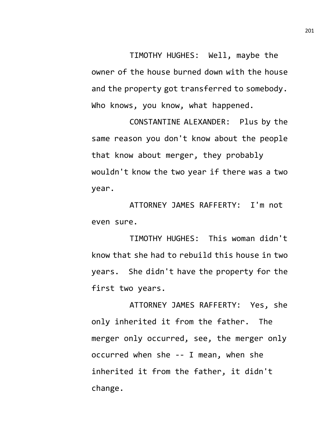TIMOTHY HUGHES: Well, maybe the owner of the house burned down with the house and the property got transferred to somebody. Who knows, you know, what happened.

CONSTANTINE ALEXANDER: Plus by the same reason you don't know about the people that know about merger, they probably wouldn't know the two year if there was a two year.

ATTORNEY JAMES RAFFERTY: I'm not even sure.

TIMOTHY HUGHES: This woman didn't know that she had to rebuild this house in two years. She didn't have the property for the first two years.

ATTORNEY JAMES RAFFERTY: Yes, she only inherited it from the father. The merger only occurred, see, the merger only occurred when she -- I mean, when she inherited it from the father, it didn't change.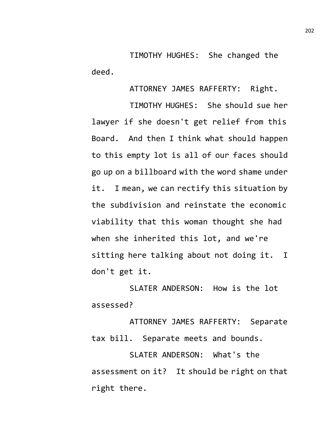TIMOTHY HUGHES: She changed the deed.

ATTORNEY JAMES RAFFERTY: Right.

TIMOTHY HUGHES: She should sue her lawyer if she doesn't get relief from this Board. And then I think what should happen to this empty lot is all of our faces should go up on a billboard with the word shame under it. I mean, we can rectify this situation by the subdivision and reinstate the economic viability that this woman thought she had when she inherited this lot, and we're sitting here talking about not doing it. I don't get it.

SLATER ANDERSON: How is the lot assessed?

ATTORNEY JAMES RAFFERTY: Separate tax bill. Separate meets and bounds.

SLATER ANDERSON: What's the assessment on it? It should be right on that right there.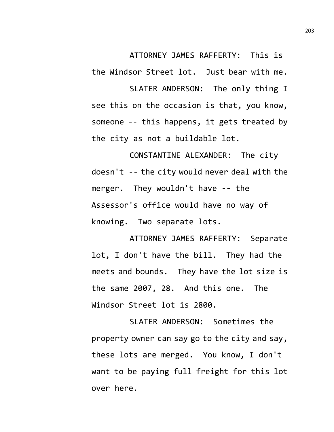ATTORNEY JAMES RAFFERTY: This is the Windsor Street lot. Just bear with me.

SLATER ANDERSON: The only thing I see this on the occasion is that, you know, someone -- this happens, it gets treated by the city as not a buildable lot.

CONSTANTINE ALEXANDER: The city doesn't -- the city would never deal with the merger. They wouldn't have -- the Assessor's office would have no way of knowing. Two separate lots.

ATTORNEY JAMES RAFFERTY: Separate lot, I don't have the bill. They had the meets and bounds. They have the lot size is the same 2007, 28. And this one. The Windsor Street lot is 2800.

SLATER ANDERSON: Sometimes the property owner can say go to the city and say, these lots are merged. You know, I don't want to be paying full freight for this lot over here.

203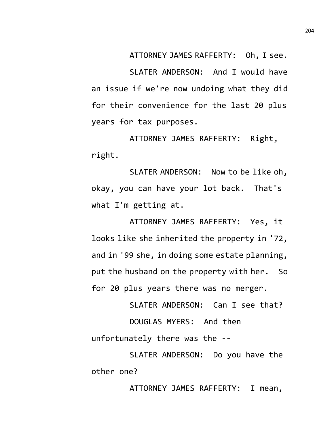ATTORNEY JAMES RAFFERTY: Oh, I see.

SLATER ANDERSON: And I would have an issue if we're now undoing what they did for their convenience for the last 20 plus years for tax purposes.

ATTORNEY JAMES RAFFERTY: Right, right.

SLATER ANDERSON: Now to be like oh, okay, you can have your lot back. That's what I'm getting at.

ATTORNEY JAMES RAFFERTY: Yes, it looks like she inherited the property in '72, and in '99 she, in doing some estate planning, put the husband on the property with her. So for 20 plus years there was no merger.

SLATER ANDERSON: Can I see that? DOUGLAS MYERS: And then unfortunately there was the --

SLATER ANDERSON: Do you have the other one?

ATTORNEY JAMES RAFFERTY: I mean,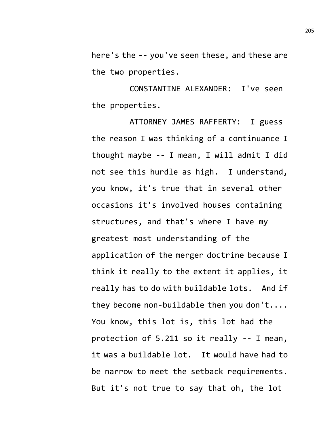here's the -- you've seen these, and these are the two properties.

CONSTANTINE ALEXANDER: I've seen the properties.

ATTORNEY JAMES RAFFERTY: I guess the reason I was thinking of a continuance I thought maybe -- I mean, I will admit I did not see this hurdle as high. I understand, you know, it's true that in several other occasions it's involved houses containing structures, and that's where I have my greatest most understanding of the application of the merger doctrine because I think it really to the extent it applies, it really has to do with buildable lots. And if they become non-buildable then you don't.... You know, this lot is, this lot had the protection of 5.211 so it really -- I mean, it was a buildable lot. It would have had to be narrow to meet the setback requirements. But it's not true to say that oh, the lot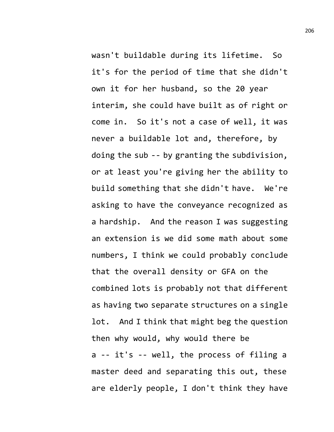wasn't buildable during its lifetime. So it's for the period of time that she didn't own it for her husband, so the 20 year interim, she could have built as of right or come in. So it's not a case of well, it was never a buildable lot and, therefore, by doing the sub -- by granting the subdivision, or at least you're giving her the ability to build something that she didn't have. We're asking to have the conveyance recognized as a hardship. And the reason I was suggesting an extension is we did some math about some numbers, I think we could probably conclude that the overall density or GFA on the combined lots is probably not that different as having two separate structures on a single lot. And I think that might beg the question then why would, why would there be a -- it's -- well, the process of filing a master deed and separating this out, these are elderly people, I don't think they have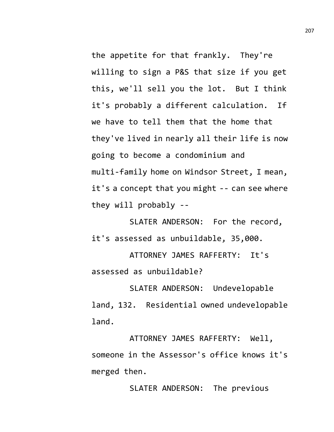the appetite for that frankly. They're willing to sign a P&S that size if you get this, we'll sell you the lot. But I think it's probably a different calculation. If we have to tell them that the home that they've lived in nearly all their life is now going to become a condominium and multi-family home on Windsor Street, I mean, it's a concept that you might -- can see where they will probably --

SLATER ANDERSON: For the record, it's assessed as unbuildable, 35,000.

ATTORNEY JAMES RAFFERTY: It's assessed as unbuildable?

SLATER ANDERSON: Undevelopable land, 132. Residential owned undevelopable land.

ATTORNEY JAMES RAFFERTY: Well, someone in the Assessor's office knows it's merged then.

SLATER ANDERSON: The previous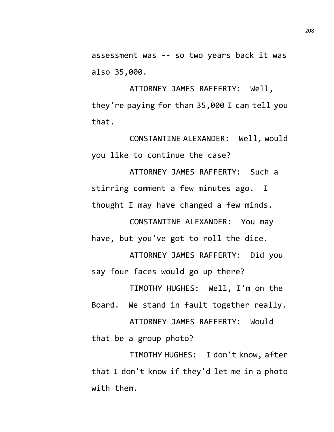assessment was -- so two years back it was also 35,000.

ATTORNEY JAMES RAFFERTY: Well, they're paying for than 35,000 I can tell you that.

CONSTANTINE ALEXANDER: Well, would you like to continue the case?

ATTORNEY JAMES RAFFERTY: Such a stirring comment a few minutes ago. I thought I may have changed a few minds.

CONSTANTINE ALEXANDER: You may have, but you've got to roll the dice.

ATTORNEY JAMES RAFFERTY: Did you say four faces would go up there?

TIMOTHY HUGHES: Well, I'm on the Board. We stand in fault together really. ATTORNEY JAMES RAFFERTY: Would that be a group photo?

TIMOTHY HUGHES: I don't know, after

that I don't know if they'd let me in a photo with them.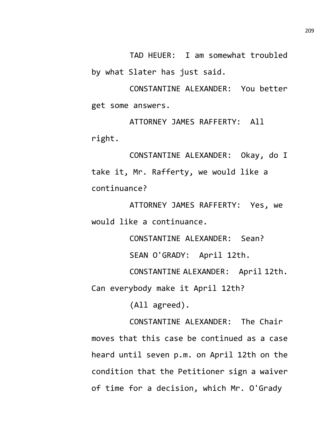TAD HEUER: I am somewhat troubled by what Slater has just said.

CONSTANTINE ALEXANDER: You better get some answers.

ATTORNEY JAMES RAFFERTY: All right.

CONSTANTINE ALEXANDER: Okay, do I take it, Mr. Rafferty, we would like a continuance?

ATTORNEY JAMES RAFFERTY: Yes, we would like a continuance.

CONSTANTINE ALEXANDER: Sean?

SEAN O'GRADY: April 12th.

CONSTANTINE ALEXANDER: April 12th. Can everybody make it April 12th?

(All agreed).

CONSTANTINE ALEXANDER: The Chair moves that this case be continued as a case heard until seven p.m. on April 12th on the condition that the Petitioner sign a waiver of time for a decision, which Mr. O'Grady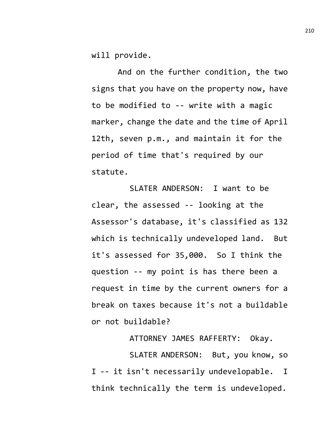will provide.

And on the further condition, the two signs that you have on the property now, have to be modified to -- write with a magic marker, change the date and the time of April 12th, seven p.m., and maintain it for the period of time that's required by our statute.

SLATER ANDERSON: I want to be clear, the assessed -- looking at the Assessor's database, it's classified as 132 which is technically undeveloped land. But it's assessed for 35,000. So I think the question -- my point is has there been a request in time by the current owners for a break on taxes because it's not a buildable or not buildable?

ATTORNEY JAMES RAFFERTY: Okay.

SLATER ANDERSON: But, you know, so I -- it isn't necessarily undevelopable. I think technically the term is undeveloped.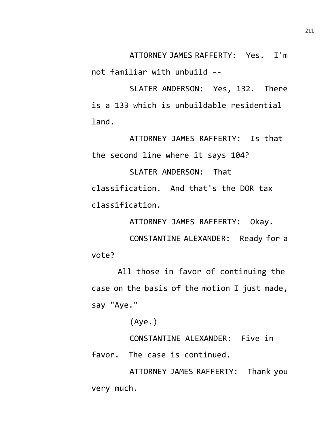ATTORNEY JAMES RAFFERTY: Yes. I'm

not familiar with unbuild --

SLATER ANDERSON: Yes, 132. There is a 133 which is unbuildable residential land.

ATTORNEY JAMES RAFFERTY: Is that the second line where it says 104?

SLATER ANDERSON: That classification. And that's the DOR tax classification.

ATTORNEY JAMES RAFFERTY: Okay.

CONSTANTINE ALEXANDER: Ready for a vote?

All those in favor of continuing the case on the basis of the motion I just made, say "Aye."

(Aye.)

CONSTANTINE ALEXANDER: Five in favor. The case is continued.

ATTORNEY JAMES RAFFERTY: Thank you very much.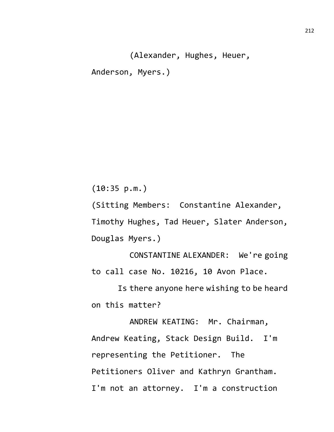(Alexander, Hughes, Heuer, Anderson, Myers.)

(10:35 p.m.)

(Sitting Members: Constantine Alexander, Timothy Hughes, Tad Heuer, Slater Anderson, Douglas Myers.)

CONSTANTINE ALEXANDER: We're going to call case No. 10216, 10 Avon Place.

Is there anyone here wishing to be heard on this matter?

ANDREW KEATING: Mr. Chairman, Andrew Keating, Stack Design Build. I'm representing the Petitioner. The Petitioners Oliver and Kathryn Grantham. I'm not an attorney. I'm a construction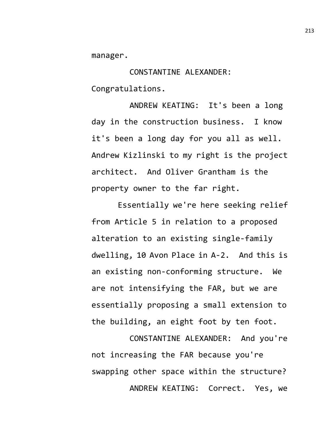manager.

CONSTANTINE ALEXANDER: Congratulations.

ANDREW KEATING: It's been a long day in the construction business. I know it's been a long day for you all as well. Andrew Kizlinski to my right is the project architect. And Oliver Grantham is the property owner to the far right.

Essentially we're here seeking relief from Article 5 in relation to a proposed alteration to an existing single-family dwelling, 10 Avon Place in A-2. And this is an existing non-conforming structure. We are not intensifying the FAR, but we are essentially proposing a small extension to the building, an eight foot by ten foot.

CONSTANTINE ALEXANDER: And you're not increasing the FAR because you're swapping other space within the structure? ANDREW KEATING: Correct. Yes, we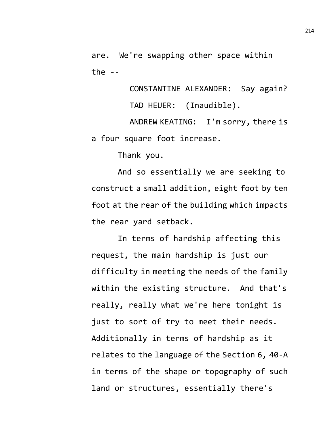are. We're swapping other space within the  $-$ 

> CONSTANTINE ALEXANDER: Say again? TAD HEUER: (Inaudible).

ANDREW KEATING: I'm sorry, there is a four square foot increase.

Thank you.

And so essentially we are seeking to construct a small addition, eight foot by ten foot at the rear of the building which impacts the rear yard setback.

In terms of hardship affecting this request, the main hardship is just our difficulty in meeting the needs of the family within the existing structure. And that's really, really what we're here tonight is just to sort of try to meet their needs. Additionally in terms of hardship as it relates to the language of the Section 6, 40-A in terms of the shape or topography of such land or structures, essentially there's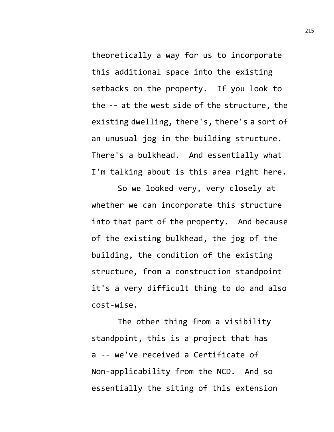theoretically a way for us to incorporate this additional space into the existing setbacks on the property. If you look to the -- at the west side of the structure, the existing dwelling, there's, there's a sort of an unusual jog in the building structure. There's a bulkhead. And essentially what I'm talking about is this area right here.

So we looked very, very closely at whether we can incorporate this structure into that part of the property. And because of the existing bulkhead, the jog of the building, the condition of the existing structure, from a construction standpoint it's a very difficult thing to do and also cost-wise.

The other thing from a visibility standpoint, this is a project that has a -- we've received a Certificate of Non-applicability from the NCD. And so essentially the siting of this extension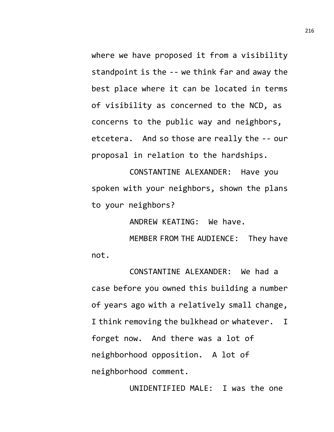where we have proposed it from a visibility standpoint is the -- we think far and away the best place where it can be located in terms of visibility as concerned to the NCD, as concerns to the public way and neighbors, etcetera. And so those are really the -- our proposal in relation to the hardships.

CONSTANTINE ALEXANDER: Have you spoken with your neighbors, shown the plans to your neighbors?

ANDREW KEATING: We have.

MEMBER FROM THE AUDIENCE: They have not.

CONSTANTINE ALEXANDER: We had a case before you owned this building a number of years ago with a relatively small change, I think removing the bulkhead or whatever. I forget now. And there was a lot of neighborhood opposition. A lot of neighborhood comment.

UNIDENTIFIED MALE: I was the one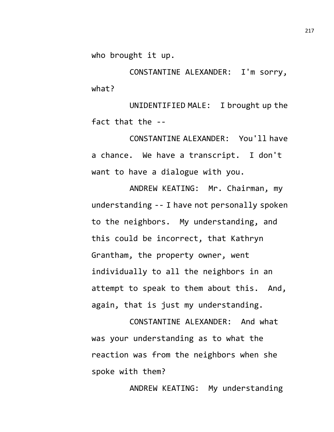who brought it up.

CONSTANTINE ALEXANDER: I'm sorry, what?

UNIDENTIFIED MALE: I brought up the fact that the --

CONSTANTINE ALEXANDER: You'll have a chance. We have a transcript. I don't want to have a dialogue with you.

ANDREW KEATING: Mr. Chairman, my understanding -- I have not personally spoken to the neighbors. My understanding, and this could be incorrect, that Kathryn Grantham, the property owner, went individually to all the neighbors in an attempt to speak to them about this. And, again, that is just my understanding.

CONSTANTINE ALEXANDER: And what was your understanding as to what the reaction was from the neighbors when she spoke with them?

ANDREW KEATING: My understanding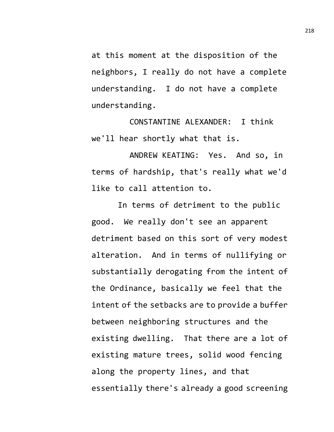at this moment at the disposition of the neighbors, I really do not have a complete understanding. I do not have a complete understanding.

CONSTANTINE ALEXANDER: I think we'll hear shortly what that is.

ANDREW KEATING: Yes. And so, in terms of hardship, that's really what we'd like to call attention to.

In terms of detriment to the public good. We really don't see an apparent detriment based on this sort of very modest alteration. And in terms of nullifying or substantially derogating from the intent of the Ordinance, basically we feel that the intent of the setbacks are to provide a buffer between neighboring structures and the existing dwelling. That there are a lot of existing mature trees, solid wood fencing along the property lines, and that essentially there's already a good screening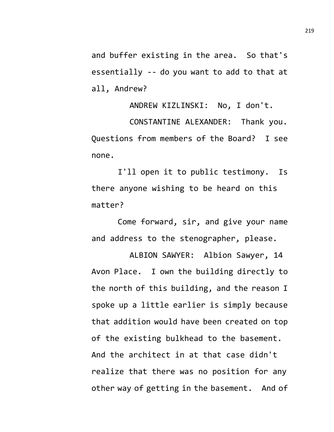and buffer existing in the area. So that's essentially -- do you want to add to that at all, Andrew?

ANDREW KIZLINSKI: No, I don't. CONSTANTINE ALEXANDER: Thank you. Questions from members of the Board? I see none.

I'll open it to public testimony. Is there anyone wishing to be heard on this matter?

Come forward, sir, and give your name and address to the stenographer, please.

ALBION SAWYER: Albion Sawyer, 14 Avon Place. I own the building directly to the north of this building, and the reason I spoke up a little earlier is simply because that addition would have been created on top of the existing bulkhead to the basement. And the architect in at that case didn't realize that there was no position for any other way of getting in the basement. And of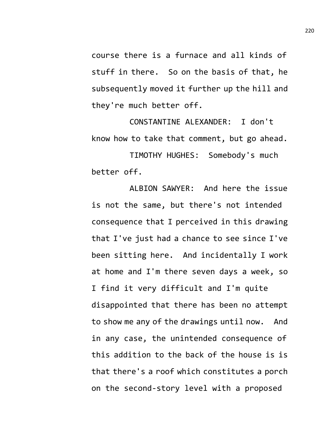course there is a furnace and all kinds of stuff in there. So on the basis of that, he subsequently moved it further up the hill and they're much better off.

CONSTANTINE ALEXANDER: I don't know how to take that comment, but go ahead.

TIMOTHY HUGHES: Somebody's much better off.

ALBION SAWYER: And here the issue is not the same, but there's not intended consequence that I perceived in this drawing that I've just had a chance to see since I've been sitting here. And incidentally I work at home and I'm there seven days a week, so I find it very difficult and I'm quite disappointed that there has been no attempt to show me any of the drawings until now. And in any case, the unintended consequence of this addition to the back of the house is is that there's a roof which constitutes a porch on the second-story level with a proposed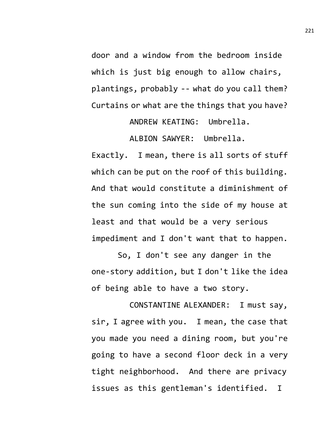door and a window from the bedroom inside which is just big enough to allow chairs, plantings, probably -- what do you call them? Curtains or what are the things that you have?

ANDREW KEATING: Umbrella.

ALBION SAWYER: Umbrella.

Exactly. I mean, there is all sorts of stuff which can be put on the roof of this building. And that would constitute a diminishment of the sun coming into the side of my house at least and that would be a very serious impediment and I don't want that to happen.

So, I don't see any danger in the one-story addition, but I don't like the idea of being able to have a two story.

CONSTANTINE ALEXANDER: I must say, sir, I agree with you. I mean, the case that you made you need a dining room, but you're going to have a second floor deck in a very tight neighborhood. And there are privacy issues as this gentleman's identified. I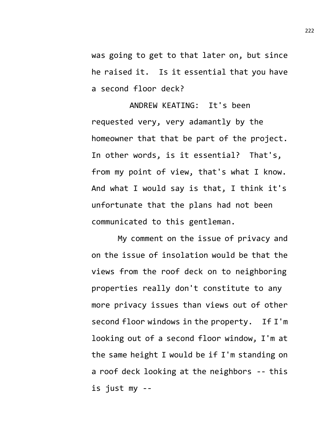was going to get to that later on, but since he raised it. Is it essential that you have a second floor deck?

ANDREW KEATING: It's been requested very, very adamantly by the homeowner that that be part of the project. In other words, is it essential? That's, from my point of view, that's what I know. And what I would say is that, I think it's unfortunate that the plans had not been communicated to this gentleman.

My comment on the issue of privacy and on the issue of insolation would be that the views from the roof deck on to neighboring properties really don't constitute to any more privacy issues than views out of other second floor windows in the property. If I'm looking out of a second floor window, I'm at the same height I would be if I'm standing on a roof deck looking at the neighbors -- this is just my --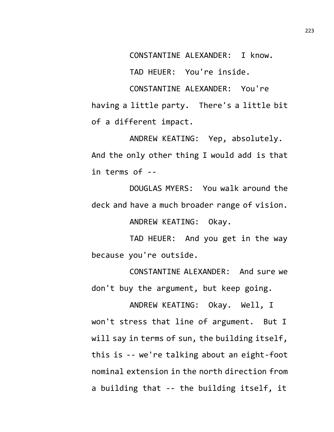CONSTANTINE ALEXANDER: I know.

TAD HEUER: You're inside.

CONSTANTINE ALEXANDER: You're having a little party. There's a little bit of a different impact.

ANDREW KEATING: Yep, absolutely. And the only other thing I would add is that in terms of --

DOUGLAS MYERS: You walk around the deck and have a much broader range of vision.

ANDREW KEATING: Okay.

TAD HEUER: And you get in the way because you're outside.

CONSTANTINE ALEXANDER: And sure we don't buy the argument, but keep going.

ANDREW KEATING: Okay. Well, I won't stress that line of argument. But I will say in terms of sun, the building itself, this is -- we're talking about an eight-foot nominal extension in the north direction from a building that -- the building itself, it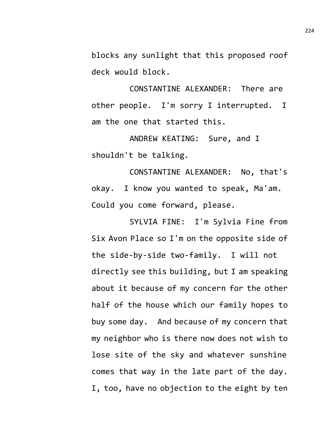blocks any sunlight that this proposed roof deck would block.

CONSTANTINE ALEXANDER: There are other people. I'm sorry I interrupted. I am the one that started this.

ANDREW KEATING: Sure, and I shouldn't be talking.

CONSTANTINE ALEXANDER: No, that's okay. I know you wanted to speak, Ma'am. Could you come forward, please.

SYLVIA FINE: I'm Sylvia Fine from Six Avon Place so I'm on the opposite side of the side-by-side two-family. I will not directly see this building, but I am speaking about it because of my concern for the other half of the house which our family hopes to buy some day. And because of my concern that my neighbor who is there now does not wish to lose site of the sky and whatever sunshine comes that way in the late part of the day. I, too, have no objection to the eight by ten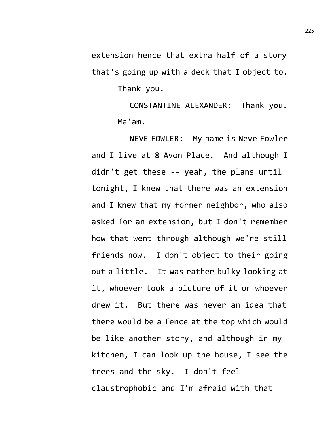extension hence that extra half of a story that's going up with a deck that I object to. Thank you.

> CONSTANTINE ALEXANDER: Thank you. Ma'am.

NEVE FOWLER: My name is Neve Fowler and I live at 8 Avon Place. And although I didn't get these -- yeah, the plans until tonight, I knew that there was an extension and I knew that my former neighbor, who also asked for an extension, but I don't remember how that went through although we're still friends now. I don't object to their going out a little. It was rather bulky looking at it, whoever took a picture of it or whoever drew it. But there was never an idea that there would be a fence at the top which would be like another story, and although in my kitchen, I can look up the house, I see the trees and the sky. I don't feel claustrophobic and I'm afraid with that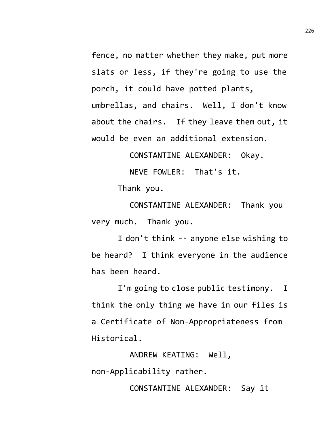fence, no matter whether they make, put more slats or less, if they're going to use the porch, it could have potted plants, umbrellas, and chairs. Well, I don't know about the chairs. If they leave them out, it would be even an additional extension.

CONSTANTINE ALEXANDER: Okay.

NEVE FOWLER: That's it.

Thank you.

CONSTANTINE ALEXANDER: Thank you very much. Thank you.

I don't think -- anyone else wishing to be heard? I think everyone in the audience has been heard.

I'm going to close public testimony. I think the only thing we have in our files is a Certificate of Non-Appropriateness from Historical.

ANDREW KEATING: Well, non-Applicability rather.

CONSTANTINE ALEXANDER: Say it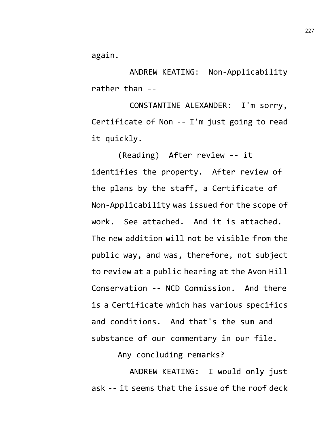again.

ANDREW KEATING: Non-Applicability rather than --

CONSTANTINE ALEXANDER: I'm sorry, Certificate of Non -- I'm just going to read it quickly.

(Reading) After review -- it identifies the property. After review of the plans by the staff, a Certificate of Non-Applicability was issued for the scope of work. See attached. And it is attached. The new addition will not be visible from the public way, and was, therefore, not subject to review at a public hearing at the Avon Hill Conservation -- NCD Commission. And there is a Certificate which has various specifics and conditions. And that's the sum and substance of our commentary in our file.

Any concluding remarks?

ANDREW KEATING: I would only just ask -- it seems that the issue of the roof deck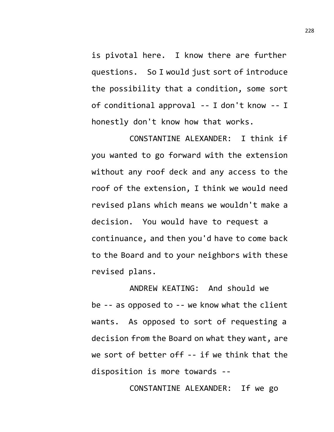is pivotal here. I know there are further questions. So I would just sort of introduce the possibility that a condition, some sort of conditional approval -- I don't know -- I honestly don't know how that works.

CONSTANTINE ALEXANDER: I think if you wanted to go forward with the extension without any roof deck and any access to the roof of the extension, I think we would need revised plans which means we wouldn't make a decision. You would have to request a continuance, and then you'd have to come back to the Board and to your neighbors with these revised plans.

ANDREW KEATING: And should we be -- as opposed to -- we know what the client wants. As opposed to sort of requesting a decision from the Board on what they want, are we sort of better off -- if we think that the disposition is more towards --

CONSTANTINE ALEXANDER: If we go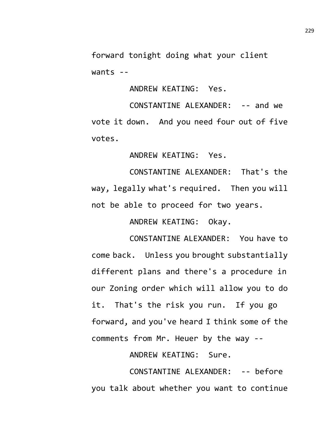forward tonight doing what your client wants --

ANDREW KEATING: Yes.

CONSTANTINE ALEXANDER: -- and we vote it down. And you need four out of five votes.

ANDREW KEATING: Yes.

CONSTANTINE ALEXANDER: That's the way, legally what's required. Then you will not be able to proceed for two years.

ANDREW KEATING: Okay.

CONSTANTINE ALEXANDER: You have to come back. Unless you brought substantially different plans and there's a procedure in our Zoning order which will allow you to do it. That's the risk you run. If you go forward, and you've heard I think some of the comments from Mr. Heuer by the way --

ANDREW KEATING: Sure.

CONSTANTINE ALEXANDER: -- before you talk about whether you want to continue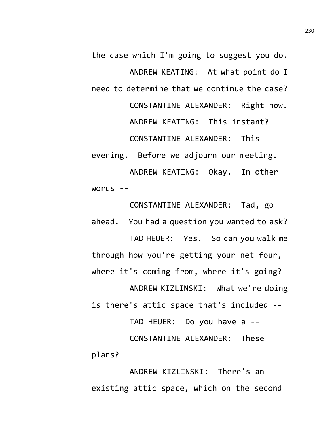the case which I'm going to suggest you do. ANDREW KEATING: At what point do I need to determine that we continue the case? CONSTANTINE ALEXANDER: Right now. ANDREW KEATING: This instant? CONSTANTINE ALEXANDER: This evening. Before we adjourn our meeting. ANDREW KEATING: Okay. In other words --

ahead. You had a question you wanted to ask? TAD HEUER: Yes. So can you walk me through how you're getting your net four, where it's coming from, where it's going? ANDREW KIZLINSKI: What we're doing is there's attic space that's included --

CONSTANTINE ALEXANDER: Tad, go

TAD HEUER: Do you have a -- CONSTANTINE ALEXANDER: These plans?

ANDREW KIZLINSKI: There's an existing attic space, which on the second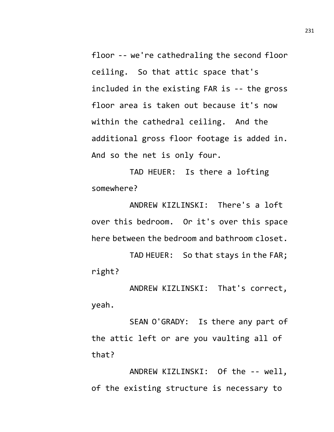floor -- we're cathedraling the second floor ceiling. So that attic space that's included in the existing FAR is -- the gross floor area is taken out because it's now within the cathedral ceiling. And the additional gross floor footage is added in. And so the net is only four.

TAD HEUER: Is there a lofting somewhere?

ANDREW KIZLINSKI: There's a loft over this bedroom. Or it's over this space here between the bedroom and bathroom closet.

TAD HEUER: So that stays in the FAR; right?

ANDREW KIZLINSKI: That's correct, yeah.

SEAN O'GRADY: Is there any part of the attic left or are you vaulting all of that?

ANDREW KIZLINSKI: Of the -- well, of the existing structure is necessary to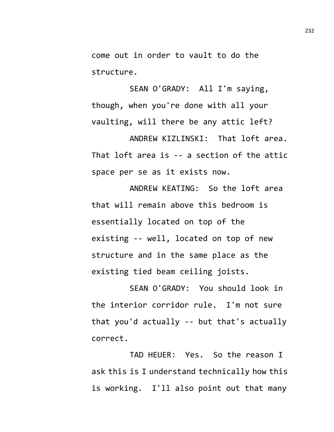come out in order to vault to do the structure.

SEAN O'GRADY: All I'm saying, though, when you're done with all your vaulting, will there be any attic left?

ANDREW KIZLINSKI: That loft area. That loft area is -- a section of the attic space per se as it exists now.

ANDREW KEATING: So the loft area that will remain above this bedroom is essentially located on top of the existing -- well, located on top of new structure and in the same place as the existing tied beam ceiling joists.

SEAN O'GRADY: You should look in the interior corridor rule. I'm not sure that you'd actually -- but that's actually correct.

TAD HEUER: Yes. So the reason I ask this is I understand technically how this is working. I'll also point out that many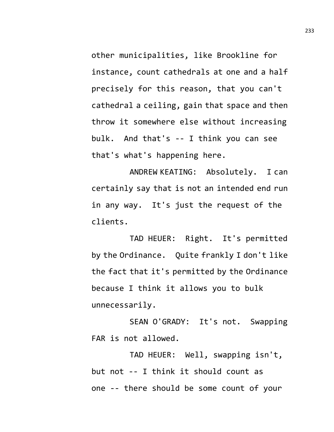other municipalities, like Brookline for instance, count cathedrals at one and a half precisely for this reason, that you can't cathedral a ceiling, gain that space and then throw it somewhere else without increasing bulk. And that's -- I think you can see that's what's happening here.

ANDREW KEATING: Absolutely. I can certainly say that is not an intended end run in any way. It's just the request of the clients.

TAD HEUER: Right. It's permitted by the Ordinance. Quite frankly I don't like the fact that it's permitted by the Ordinance because I think it allows you to bulk unnecessarily.

SEAN O'GRADY: It's not. Swapping FAR is not allowed.

TAD HEUER: Well, swapping isn't, but not -- I think it should count as one -- there should be some count of your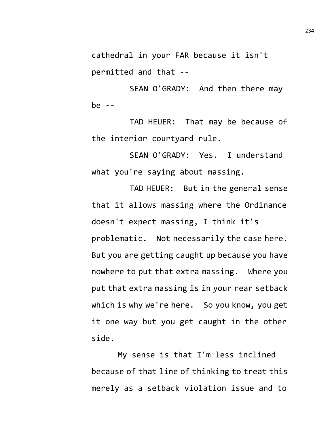cathedral in your FAR because it isn't permitted and that --

SEAN O'GRADY: And then there may be --

TAD HEUER: That may be because of the interior courtyard rule.

SEAN O'GRADY: Yes. I understand what you're saying about massing.

TAD HEUER: But in the general sense that it allows massing where the Ordinance doesn't expect massing, I think it's problematic. Not necessarily the case here. But you are getting caught up because you have nowhere to put that extra massing. Where you put that extra massing is in your rear setback which is why we're here. So you know, you get it one way but you get caught in the other side.

My sense is that I'm less inclined because of that line of thinking to treat this merely as a setback violation issue and to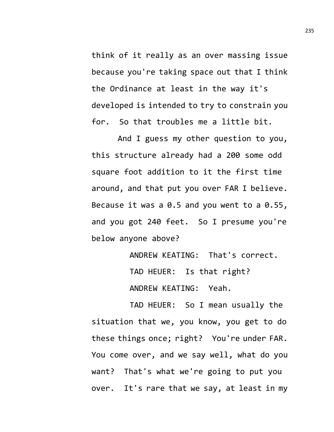think of it really as an over massing issue because you're taking space out that I think the Ordinance at least in the way it's developed is intended to try to constrain you for. So that troubles me a little bit.

And I guess my other question to you, this structure already had a 200 some odd square foot addition to it the first time around, and that put you over FAR I believe. Because it was a 0.5 and you went to a 0.55, and you got 240 feet. So I presume you're below anyone above?

> ANDREW KEATING: That's correct. TAD HEUER: Is that right? ANDREW KEATING: Yeah.

TAD HEUER: So I mean usually the situation that we, you know, you get to do these things once; right? You're under FAR. You come over, and we say well, what do you want? That's what we're going to put you over. It's rare that we say, at least in my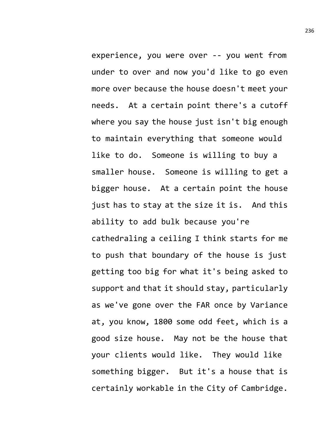experience, you were over -- you went from under to over and now you'd like to go even more over because the house doesn't meet your needs. At a certain point there's a cutoff where you say the house just isn't big enough to maintain everything that someone would like to do. Someone is willing to buy a smaller house. Someone is willing to get a bigger house. At a certain point the house just has to stay at the size it is. And this ability to add bulk because you're cathedraling a ceiling I think starts for me to push that boundary of the house is just getting too big for what it's being asked to support and that it should stay, particularly as we've gone over the FAR once by Variance at, you know, 1800 some odd feet, which is a good size house. May not be the house that your clients would like. They would like something bigger. But it's a house that is certainly workable in the City of Cambridge.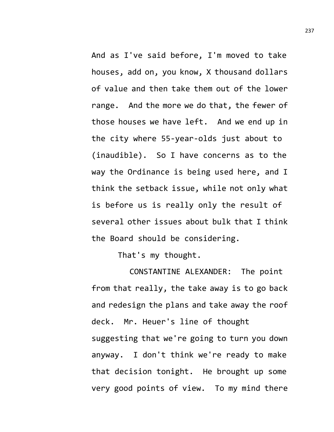And as I've said before, I'm moved to take houses, add on, you know, X thousand dollars of value and then take them out of the lower range. And the more we do that, the fewer of those houses we have left. And we end up in the city where 55-year-olds just about to (inaudible). So I have concerns as to the way the Ordinance is being used here, and I think the setback issue, while not only what is before us is really only the result of several other issues about bulk that I think the Board should be considering.

That's my thought.

CONSTANTINE ALEXANDER: The point from that really, the take away is to go back and redesign the plans and take away the roof deck. Mr. Heuer's line of thought suggesting that we're going to turn you down anyway. I don't think we're ready to make that decision tonight. He brought up some very good points of view. To my mind there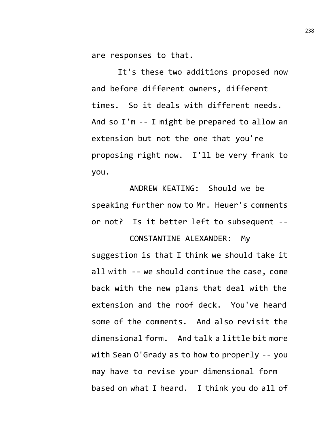are responses to that.

It's these two additions proposed now and before different owners, different times. So it deals with different needs. And so I'm -- I might be prepared to allow an extension but not the one that you're proposing right now. I'll be very frank to you.

ANDREW KEATING: Should we be speaking further now to Mr. Heuer's comments or not? Is it better left to subsequent --

## CONSTANTINE ALEXANDER: My

suggestion is that I think we should take it all with -- we should continue the case, come back with the new plans that deal with the extension and the roof deck. You've heard some of the comments. And also revisit the dimensional form. And talk a little bit more with Sean O'Grady as to how to properly -- you may have to revise your dimensional form based on what I heard. I think you do all of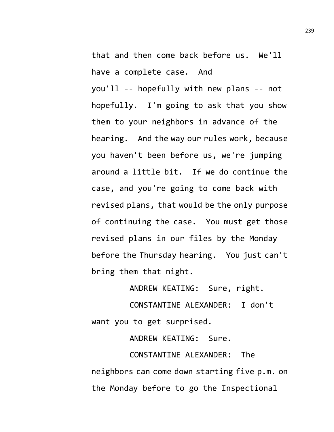that and then come back before us. We'll have a complete case. And you'll -- hopefully with new plans -- not hopefully. I'm going to ask that you show them to your neighbors in advance of the hearing. And the way our rules work, because you haven't been before us, we're jumping around a little bit. If we do continue the case, and you're going to come back with revised plans, that would be the only purpose of continuing the case. You must get those revised plans in our files by the Monday before the Thursday hearing. You just can't bring them that night.

ANDREW KEATING: Sure, right.

CONSTANTINE ALEXANDER: I don't want you to get surprised.

ANDREW KEATING: Sure. CONSTANTINE ALEXANDER: The neighbors can come down starting five p.m. on the Monday before to go the Inspectional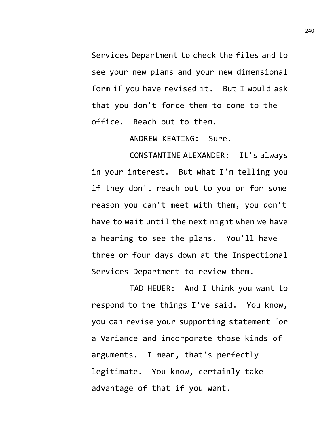Services Department to check the files and to see your new plans and your new dimensional form if you have revised it. But I would ask that you don't force them to come to the office. Reach out to them.

ANDREW KEATING: Sure.

CONSTANTINE ALEXANDER: It's always in your interest. But what I'm telling you if they don't reach out to you or for some reason you can't meet with them, you don't have to wait until the next night when we have a hearing to see the plans. You'll have three or four days down at the Inspectional Services Department to review them.

TAD HEUER: And I think you want to respond to the things I've said. You know, you can revise your supporting statement for a Variance and incorporate those kinds of arguments. I mean, that's perfectly legitimate. You know, certainly take advantage of that if you want.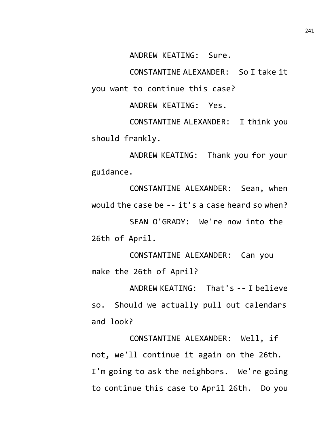ANDREW KEATING: Sure.

CONSTANTINE ALEXANDER: So I take it you want to continue this case?

ANDREW KEATING: Yes.

CONSTANTINE ALEXANDER: I think you should frankly.

ANDREW KEATING: Thank you for your guidance.

CONSTANTINE ALEXANDER: Sean, when would the case be -- it's a case heard so when?

SEAN O'GRADY: We're now into the 26th of April.

CONSTANTINE ALEXANDER: Can you make the 26th of April?

ANDREW KEATING: That's -- I believe so. Should we actually pull out calendars and look?

CONSTANTINE ALEXANDER: Well, if not, we'll continue it again on the 26th. I'm going to ask the neighbors. We're going to continue this case to April 26th. Do you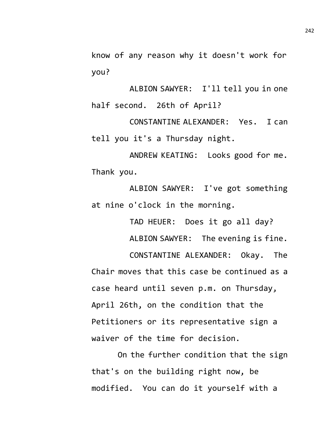know of any reason why it doesn't work for you?

ALBION SAWYER: I'll tell you in one half second. 26th of April?

CONSTANTINE ALEXANDER: Yes. I can tell you it's a Thursday night.

ANDREW KEATING: Looks good for me. Thank you.

ALBION SAWYER: I've got something at nine o'clock in the morning.

> TAD HEUER: Does it go all day? ALBION SAWYER: The evening is fine.

CONSTANTINE ALEXANDER: Okay. The Chair moves that this case be continued as a case heard until seven p.m. on Thursday, April 26th, on the condition that the Petitioners or its representative sign a waiver of the time for decision.

On the further condition that the sign that's on the building right now, be modified. You can do it yourself with a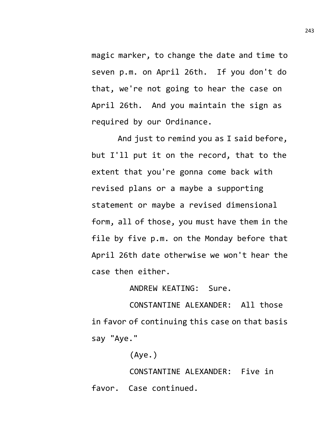magic marker, to change the date and time to seven p.m. on April 26th. If you don't do that, we're not going to hear the case on April 26th. And you maintain the sign as required by our Ordinance.

And just to remind you as I said before, but I'll put it on the record, that to the extent that you're gonna come back with revised plans or a maybe a supporting statement or maybe a revised dimensional form, all of those, you must have them in the file by five p.m. on the Monday before that April 26th date otherwise we won't hear the case then either.

## ANDREW KEATING: Sure.

CONSTANTINE ALEXANDER: All those in favor of continuing this case on that basis say "Aye."

(Aye.)

CONSTANTINE ALEXANDER: Five in favor. Case continued.

243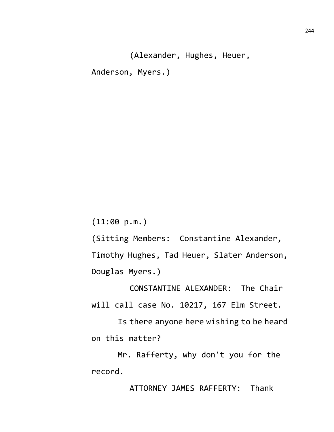(Alexander, Hughes, Heuer, Anderson, Myers.)

(11:00 p.m.)

(Sitting Members: Constantine Alexander, Timothy Hughes, Tad Heuer, Slater Anderson, Douglas Myers.)

CONSTANTINE ALEXANDER: The Chair will call case No. 10217, 167 Elm Street.

Is there anyone here wishing to be heard on this matter?

Mr. Rafferty, why don't you for the record.

ATTORNEY JAMES RAFFERTY: Thank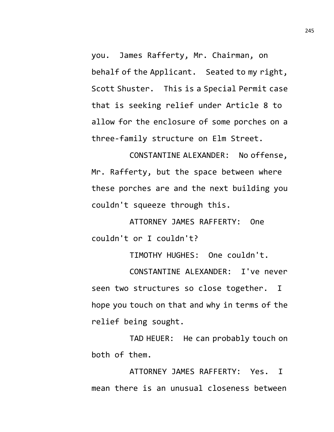you. James Rafferty, Mr. Chairman, on behalf of the Applicant. Seated to my right, Scott Shuster. This is a Special Permit case that is seeking relief under Article 8 to allow for the enclosure of some porches on a three-family structure on Elm Street.

CONSTANTINE ALEXANDER: No offense, Mr. Rafferty, but the space between where these porches are and the next building you couldn't squeeze through this.

ATTORNEY JAMES RAFFERTY: One couldn't or I couldn't?

TIMOTHY HUGHES: One couldn't.

CONSTANTINE ALEXANDER: I've never seen two structures so close together. I hope you touch on that and why in terms of the relief being sought.

TAD HEUER: He can probably touch on both of them.

ATTORNEY JAMES RAFFERTY: Yes. I mean there is an unusual closeness between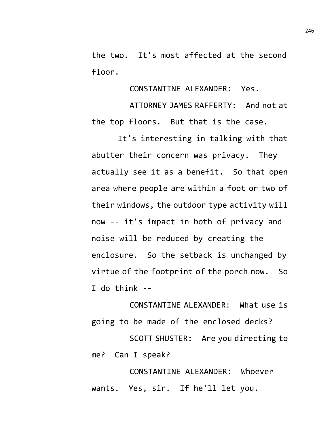the two. It's most affected at the second floor.

CONSTANTINE ALEXANDER: Yes.

ATTORNEY JAMES RAFFERTY: And not at the top floors. But that is the case.

It's interesting in talking with that abutter their concern was privacy. They actually see it as a benefit. So that open area where people are within a foot or two of their windows, the outdoor type activity will now -- it's impact in both of privacy and noise will be reduced by creating the enclosure. So the setback is unchanged by virtue of the footprint of the porch now. So I do think --

CONSTANTINE ALEXANDER: What use is going to be made of the enclosed decks?

SCOTT SHUSTER: Are you directing to me? Can I speak?

CONSTANTINE ALEXANDER: Whoever wants. Yes, sir. If he'll let you.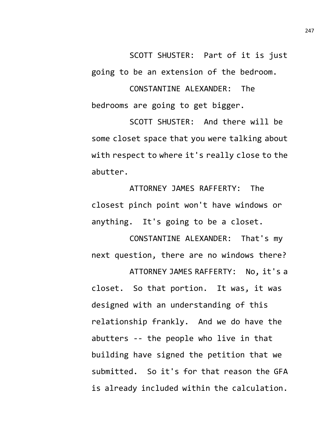SCOTT SHUSTER: Part of it is just going to be an extension of the bedroom.

CONSTANTINE ALEXANDER: The bedrooms are going to get bigger.

SCOTT SHUSTER: And there will be some closet space that you were talking about with respect to where it's really close to the abutter.

ATTORNEY JAMES RAFFERTY: The closest pinch point won't have windows or anything. It's going to be a closet.

CONSTANTINE ALEXANDER: That's my next question, there are no windows there?

ATTORNEY JAMES RAFFERTY: No, it's a closet. So that portion. It was, it was designed with an understanding of this relationship frankly. And we do have the abutters -- the people who live in that building have signed the petition that we submitted. So it's for that reason the GFA is already included within the calculation.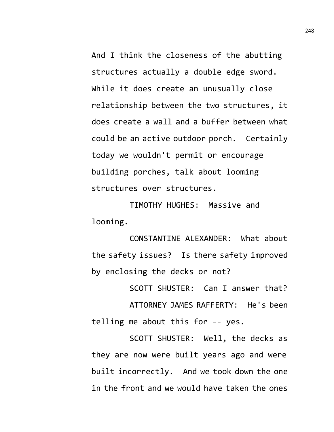And I think the closeness of the abutting structures actually a double edge sword. While it does create an unusually close relationship between the two structures, it does create a wall and a buffer between what could be an active outdoor porch. Certainly today we wouldn't permit or encourage building porches, talk about looming structures over structures.

TIMOTHY HUGHES: Massive and looming.

CONSTANTINE ALEXANDER: What about the safety issues? Is there safety improved by enclosing the decks or not?

SCOTT SHUSTER: Can I answer that? ATTORNEY JAMES RAFFERTY: He's been telling me about this for -- yes.

SCOTT SHUSTER: Well, the decks as they are now were built years ago and were built incorrectly. And we took down the one in the front and we would have taken the ones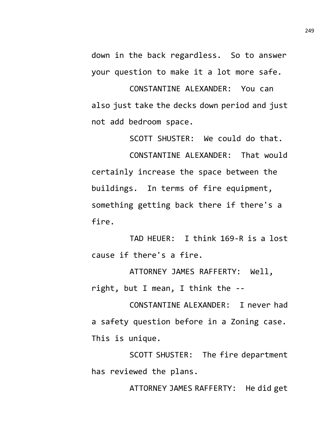down in the back regardless. So to answer your question to make it a lot more safe.

CONSTANTINE ALEXANDER: You can also just take the decks down period and just not add bedroom space.

SCOTT SHUSTER: We could do that.

CONSTANTINE ALEXANDER: That would certainly increase the space between the buildings. In terms of fire equipment, something getting back there if there's a fire.

TAD HEUER: I think 169-R is a lost cause if there's a fire.

ATTORNEY JAMES RAFFERTY: Well, right, but I mean, I think the --

CONSTANTINE ALEXANDER: I never had a safety question before in a Zoning case. This is unique.

SCOTT SHUSTER: The fire department has reviewed the plans.

ATTORNEY JAMES RAFFERTY: He did get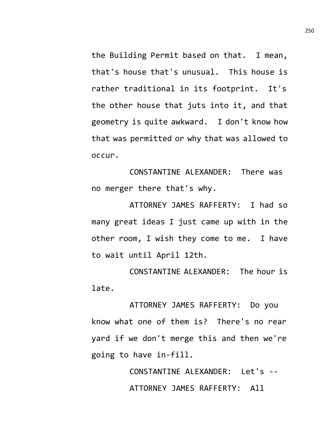the Building Permit based on that. I mean, that's house that's unusual. This house is rather traditional in its footprint. It's the other house that juts into it, and that geometry is quite awkward. I don't know how that was permitted or why that was allowed to occur.

CONSTANTINE ALEXANDER: There was no merger there that's why.

ATTORNEY JAMES RAFFERTY: I had so many great ideas I just came up with in the other room, I wish they come to me. I have to wait until April 12th.

CONSTANTINE ALEXANDER: The hour is late.

ATTORNEY JAMES RAFFERTY: Do you know what one of them is? There's no rear yard if we don't merge this and then we're going to have in-fill.

> CONSTANTINE ALEXANDER: Let's -- ATTORNEY JAMES RAFFERTY: All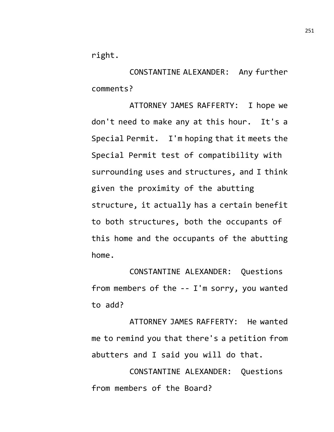right.

CONSTANTINE ALEXANDER: Any further comments?

ATTORNEY JAMES RAFFERTY: I hope we don't need to make any at this hour. It's a Special Permit. I'm hoping that it meets the Special Permit test of compatibility with surrounding uses and structures, and I think given the proximity of the abutting structure, it actually has a certain benefit to both structures, both the occupants of this home and the occupants of the abutting home.

CONSTANTINE ALEXANDER: Questions from members of the -- I'm sorry, you wanted to add?

ATTORNEY JAMES RAFFERTY: He wanted me to remind you that there's a petition from abutters and I said you will do that.

CONSTANTINE ALEXANDER: Questions from members of the Board?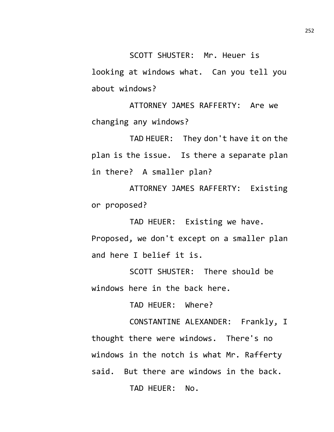SCOTT SHUSTER: Mr. Heuer is looking at windows what. Can you tell you about windows?

ATTORNEY JAMES RAFFERTY: Are we changing any windows?

TAD HEUER: They don't have it on the plan is the issue. Is there a separate plan in there? A smaller plan?

ATTORNEY JAMES RAFFERTY: Existing or proposed?

TAD HEUER: Existing we have. Proposed, we don't except on a smaller plan and here I belief it is.

SCOTT SHUSTER: There should be windows here in the back here.

TAD HEUER: Where?

CONSTANTINE ALEXANDER: Frankly, I thought there were windows. There's no windows in the notch is what Mr. Rafferty said. But there are windows in the back. TAD HEUER: No.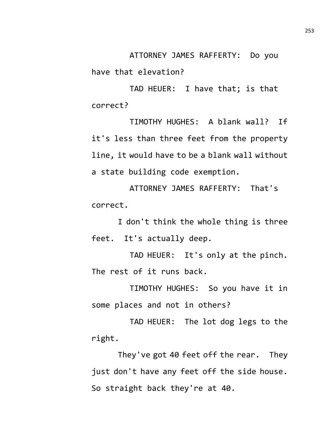ATTORNEY JAMES RAFFERTY: Do you have that elevation?

TAD HEUER: I have that; is that correct?

TIMOTHY HUGHES: A blank wall? If it's less than three feet from the property line, it would have to be a blank wall without a state building code exemption.

ATTORNEY JAMES RAFFERTY: That's correct.

I don't think the whole thing is three feet. It's actually deep.

TAD HEUER: It's only at the pinch. The rest of it runs back.

TIMOTHY HUGHES: So you have it in some places and not in others?

TAD HEUER: The lot dog legs to the right.

They've got 40 feet off the rear. They just don't have any feet off the side house. So straight back they're at 40.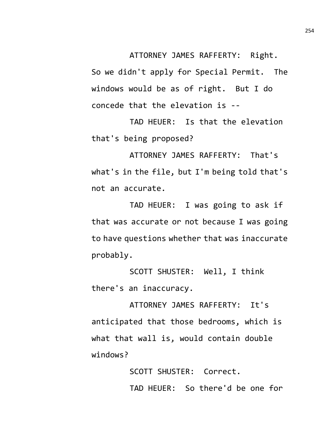ATTORNEY JAMES RAFFERTY: Right.

So we didn't apply for Special Permit. The windows would be as of right. But I do concede that the elevation is --

TAD HEUER: Is that the elevation that's being proposed?

ATTORNEY JAMES RAFFERTY: That's what's in the file, but I'm being told that's not an accurate.

TAD HEUER: I was going to ask if that was accurate or not because I was going to have questions whether that was inaccurate probably.

SCOTT SHUSTER: Well, I think there's an inaccuracy.

ATTORNEY JAMES RAFFERTY: It's anticipated that those bedrooms, which is what that wall is, would contain double windows?

> SCOTT SHUSTER: Correct. TAD HEUER: So there'd be one for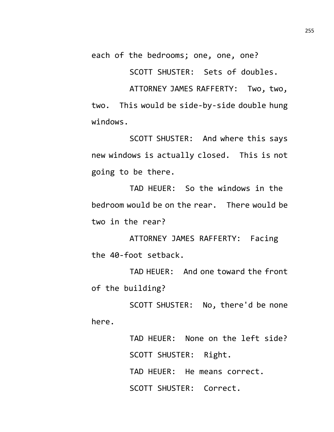each of the bedrooms; one, one, one?

SCOTT SHUSTER: Sets of doubles.

ATTORNEY JAMES RAFFERTY: Two, two, two. This would be side-by-side double hung windows.

SCOTT SHUSTER: And where this says new windows is actually closed. This is not going to be there.

TAD HEUER: So the windows in the bedroom would be on the rear. There would be two in the rear?

ATTORNEY JAMES RAFFERTY: Facing the 40-foot setback.

TAD HEUER: And one toward the front of the building?

SCOTT SHUSTER: No, there'd be none here.

> TAD HEUER: None on the left side? SCOTT SHUSTER: Right. TAD HEUER: He means correct. SCOTT SHUSTER: Correct.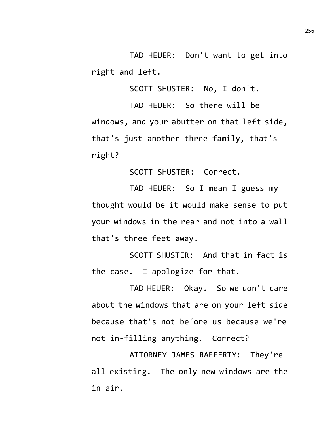TAD HEUER: Don't want to get into right and left.

SCOTT SHUSTER: No, I don't.

TAD HEUER: So there will be windows, and your abutter on that left side, that's just another three-family, that's right?

SCOTT SHUSTER: Correct.

TAD HEUER: So I mean I guess my thought would be it would make sense to put your windows in the rear and not into a wall that's three feet away.

SCOTT SHUSTER: And that in fact is the case. I apologize for that.

TAD HEUER: Okay. So we don't care about the windows that are on your left side because that's not before us because we're not in-filling anything. Correct?

ATTORNEY JAMES RAFFERTY: They're all existing. The only new windows are the in air.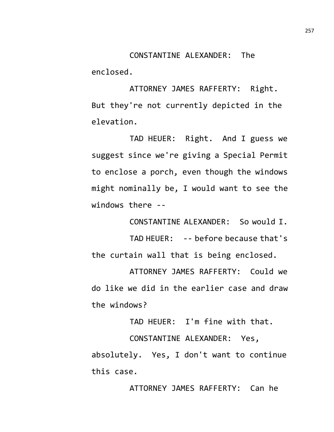CONSTANTINE ALEXANDER: The enclosed.

ATTORNEY JAMES RAFFERTY: Right. But they're not currently depicted in the elevation.

TAD HEUER: Right. And I guess we suggest since we're giving a Special Permit to enclose a porch, even though the windows might nominally be, I would want to see the windows there --

CONSTANTINE ALEXANDER: So would I.

TAD HEUER: -- before because that's the curtain wall that is being enclosed.

ATTORNEY JAMES RAFFERTY: Could we do like we did in the earlier case and draw the windows?

TAD HEUER: I'm fine with that.

CONSTANTINE ALEXANDER: Yes, absolutely. Yes, I don't want to continue this case.

ATTORNEY JAMES RAFFERTY: Can he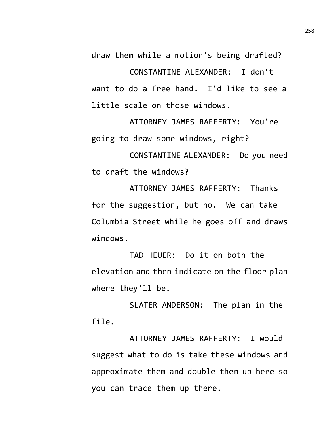draw them while a motion's being drafted?

CONSTANTINE ALEXANDER: I don't want to do a free hand. I'd like to see a little scale on those windows.

ATTORNEY JAMES RAFFERTY: You're going to draw some windows, right?

CONSTANTINE ALEXANDER: Do you need to draft the windows?

ATTORNEY JAMES RAFFERTY: Thanks for the suggestion, but no. We can take Columbia Street while he goes off and draws windows.

TAD HEUER: Do it on both the elevation and then indicate on the floor plan where they'll be.

SLATER ANDERSON: The plan in the file.

ATTORNEY JAMES RAFFERTY: I would suggest what to do is take these windows and approximate them and double them up here so you can trace them up there.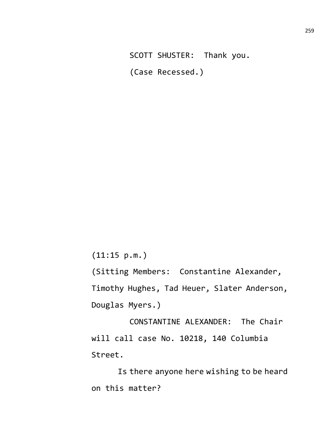SCOTT SHUSTER: Thank you. (Case Recessed.)

(11:15 p.m.)

(Sitting Members: Constantine Alexander, Timothy Hughes, Tad Heuer, Slater Anderson, Douglas Myers.)

CONSTANTINE ALEXANDER: The Chair will call case No. 10218, 140 Columbia Street.

Is there anyone here wishing to be heard on this matter?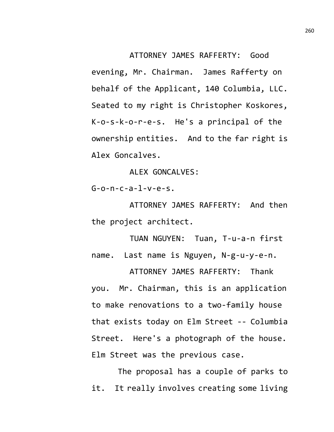ATTORNEY JAMES RAFFERTY: Good evening, Mr. Chairman. James Rafferty on behalf of the Applicant, 140 Columbia, LLC. Seated to my right is Christopher Koskores, K-o-s-k-o-r-e-s. He's a principal of the ownership entities. And to the far right is Alex Goncalves.

ALEX GONCALVES:

 $G - 0 - n - c - a - 1 - v - e - s$ .

ATTORNEY JAMES RAFFERTY: And then the project architect.

TUAN NGUYEN: Tuan, T-u-a-n first name. Last name is Nguyen, N-g-u-y-e-n.

ATTORNEY JAMES RAFFERTY: Thank you. Mr. Chairman, this is an application to make renovations to a two-family house that exists today on Elm Street -- Columbia Street. Here's a photograph of the house. Elm Street was the previous case.

The proposal has a couple of parks to it. It really involves creating some living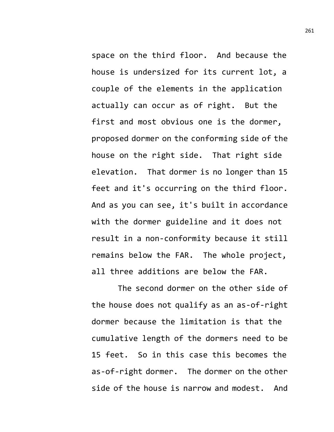space on the third floor. And because the house is undersized for its current lot, a couple of the elements in the application actually can occur as of right. But the first and most obvious one is the dormer, proposed dormer on the conforming side of the house on the right side. That right side elevation. That dormer is no longer than 15 feet and it's occurring on the third floor. And as you can see, it's built in accordance with the dormer guideline and it does not result in a non-conformity because it still remains below the FAR. The whole project, all three additions are below the FAR.

The second dormer on the other side of the house does not qualify as an as-of-right dormer because the limitation is that the cumulative length of the dormers need to be 15 feet. So in this case this becomes the as-of-right dormer. The dormer on the other side of the house is narrow and modest. And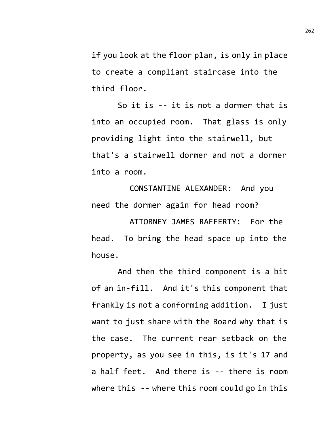if you look at the floor plan, is only in place to create a compliant staircase into the third floor.

So it is -- it is not a dormer that is into an occupied room. That glass is only providing light into the stairwell, but that's a stairwell dormer and not a dormer into a room.

CONSTANTINE ALEXANDER: And you need the dormer again for head room?

ATTORNEY JAMES RAFFERTY: For the head. To bring the head space up into the house.

And then the third component is a bit of an in-fill. And it's this component that frankly is not a conforming addition. I just want to just share with the Board why that is the case. The current rear setback on the property, as you see in this, is it's 17 and a half feet. And there is -- there is room where this -- where this room could go in this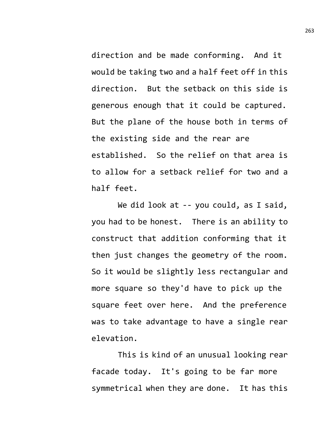direction and be made conforming. And it would be taking two and a half feet off in this direction. But the setback on this side is generous enough that it could be captured. But the plane of the house both in terms of the existing side and the rear are established. So the relief on that area is to allow for a setback relief for two and a half feet.

We did look at -- you could, as I said, you had to be honest. There is an ability to construct that addition conforming that it then just changes the geometry of the room. So it would be slightly less rectangular and more square so they'd have to pick up the square feet over here. And the preference was to take advantage to have a single rear elevation.

This is kind of an unusual looking rear facade today. It's going to be far more symmetrical when they are done. It has this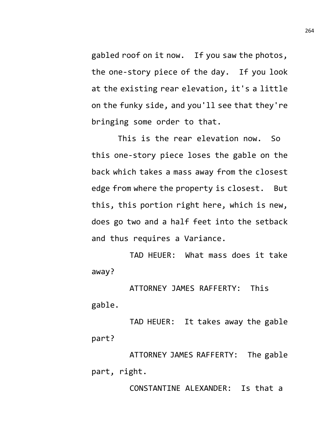gabled roof on it now. If you saw the photos, the one-story piece of the day. If you look at the existing rear elevation, it's a little on the funky side, and you'll see that they're bringing some order to that.

This is the rear elevation now. So this one-story piece loses the gable on the back which takes a mass away from the closest edge from where the property is closest. But this, this portion right here, which is new, does go two and a half feet into the setback and thus requires a Variance.

TAD HEUER: What mass does it take away?

ATTORNEY JAMES RAFFERTY: This gable.

TAD HEUER: It takes away the gable part?

ATTORNEY JAMES RAFFERTY: The gable part, right.

CONSTANTINE ALEXANDER: Is that a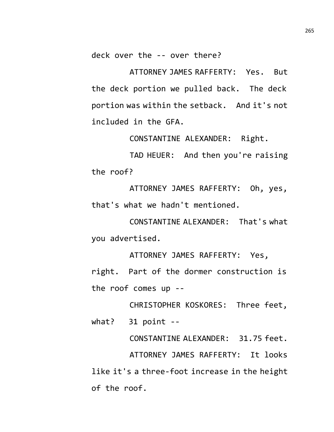deck over the -- over there?

ATTORNEY JAMES RAFFERTY: Yes. But the deck portion we pulled back. The deck portion was within the setback. And it's not included in the GFA.

CONSTANTINE ALEXANDER: Right.

TAD HEUER: And then you're raising the roof?

ATTORNEY JAMES RAFFERTY: Oh, yes, that's what we hadn't mentioned.

CONSTANTINE ALEXANDER: That's what you advertised.

ATTORNEY JAMES RAFFERTY: Yes, right. Part of the dormer construction is the roof comes up --

CHRISTOPHER KOSKORES: Three feet, what? 31 point --

CONSTANTINE ALEXANDER: 31.75 feet. ATTORNEY JAMES RAFFERTY: It looks like it's a three-foot increase in the height of the roof.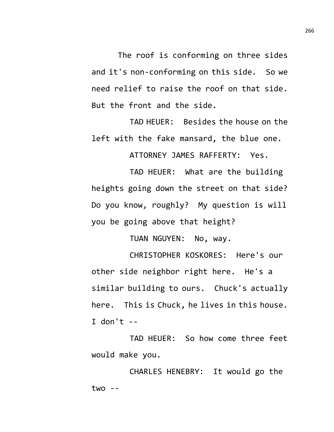The roof is conforming on three sides and it's non-conforming on this side. So we need relief to raise the roof on that side. But the front and the side.

TAD HEUER: Besides the house on the left with the fake mansard, the blue one.

ATTORNEY JAMES RAFFERTY: Yes.

TAD HEUER: What are the building heights going down the street on that side? Do you know, roughly? My question is will you be going above that height?

TUAN NGUYEN: No, way.

CHRISTOPHER KOSKORES: Here's our other side neighbor right here. He's a similar building to ours. Chuck's actually here. This is Chuck, he lives in this house. I don't  $-$ 

TAD HEUER: So how come three feet would make you.

CHARLES HENEBRY: It would go the  $two - -$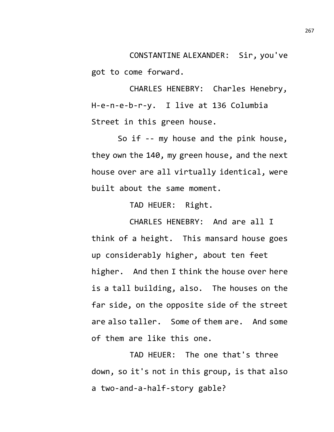CONSTANTINE ALEXANDER: Sir, you've got to come forward.

CHARLES HENEBRY: Charles Henebry, H-e-n-e-b-r-y. I live at 136 Columbia Street in this green house.

So if -- my house and the pink house, they own the 140, my green house, and the next house over are all virtually identical, were built about the same moment.

TAD HEUER: Right.

CHARLES HENEBRY: And are all I think of a height. This mansard house goes up considerably higher, about ten feet higher. And then I think the house over here is a tall building, also. The houses on the far side, on the opposite side of the street are also taller. Some of them are. And some of them are like this one.

TAD HEUER: The one that's three down, so it's not in this group, is that also a two-and-a-half-story gable?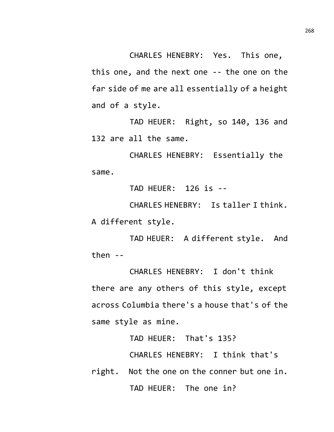CHARLES HENEBRY: Yes. This one, this one, and the next one -- the one on the far side of me are all essentially of a height and of a style.

TAD HEUER: Right, so 140, 136 and 132 are all the same.

CHARLES HENEBRY: Essentially the same.

TAD HEUER: 126 is --

CHARLES HENEBRY: Is taller I think. A different style.

TAD HEUER: A different style. And then  $-$ 

CHARLES HENEBRY: I don't think there are any others of this style, except across Columbia there's a house that's of the same style as mine.

TAD HEUER: That's 135?

CHARLES HENEBRY: I think that's

right. Not the one on the conner but one in. TAD HEUER: The one in?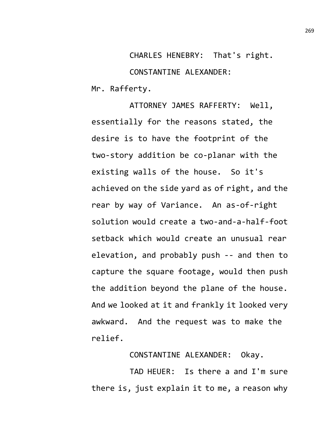CHARLES HENEBRY: That's right. CONSTANTINE ALEXANDER: Mr. Rafferty.

ATTORNEY JAMES RAFFERTY: Well, essentially for the reasons stated, the desire is to have the footprint of the two-story addition be co-planar with the existing walls of the house. So it's achieved on the side yard as of right, and the rear by way of Variance. An as-of-right solution would create a two-and-a-half-foot setback which would create an unusual rear elevation, and probably push -- and then to capture the square footage, would then push the addition beyond the plane of the house. And we looked at it and frankly it looked very awkward. And the request was to make the relief.

CONSTANTINE ALEXANDER: Okay.

TAD HEUER: Is there a and I'm sure there is, just explain it to me, a reason why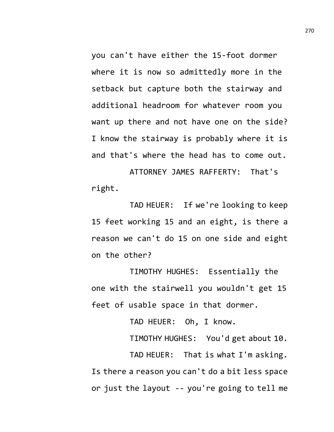you can't have either the 15-foot dormer where it is now so admittedly more in the setback but capture both the stairway and additional headroom for whatever room you want up there and not have one on the side? I know the stairway is probably where it is and that's where the head has to come out.

ATTORNEY JAMES RAFFERTY: That's right.

TAD HEUER: If we're looking to keep 15 feet working 15 and an eight, is there a reason we can't do 15 on one side and eight on the other?

TIMOTHY HUGHES: Essentially the one with the stairwell you wouldn't get 15 feet of usable space in that dormer.

TAD HEUER: Oh, I know.

TIMOTHY HUGHES: You'd get about 10.

TAD HEUER: That is what I'm asking. Is there a reason you can't do a bit less space or just the layout -- you're going to tell me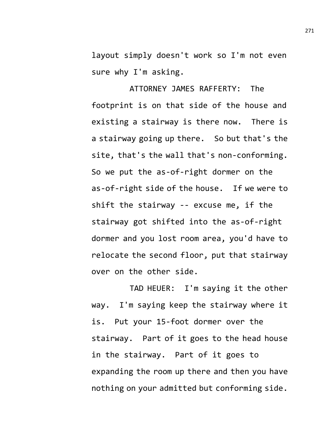layout simply doesn't work so I'm not even sure why I'm asking.

ATTORNEY JAMES RAFFERTY: The footprint is on that side of the house and existing a stairway is there now. There is a stairway going up there. So but that's the site, that's the wall that's non-conforming. So we put the as-of-right dormer on the as-of-right side of the house. If we were to shift the stairway -- excuse me, if the stairway got shifted into the as-of-right dormer and you lost room area, you'd have to relocate the second floor, put that stairway over on the other side.

TAD HEUER: I'm saying it the other way. I'm saying keep the stairway where it is. Put your 15-foot dormer over the stairway. Part of it goes to the head house in the stairway. Part of it goes to expanding the room up there and then you have nothing on your admitted but conforming side.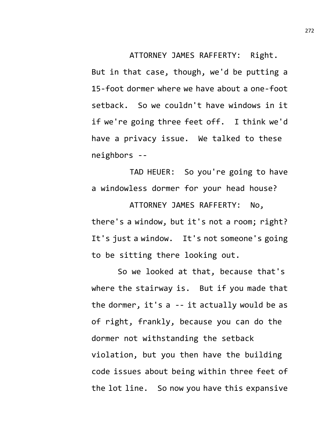ATTORNEY JAMES RAFFERTY: Right. But in that case, though, we'd be putting a 15-foot dormer where we have about a one-foot setback. So we couldn't have windows in it if we're going three feet off. I think we'd have a privacy issue. We talked to these neighbors --

TAD HEUER: So you're going to have a windowless dormer for your head house?

ATTORNEY JAMES RAFFERTY: No, there's a window, but it's not a room; right? It's just a window. It's not someone's going to be sitting there looking out.

So we looked at that, because that's where the stairway is. But if you made that the dormer, it's a -- it actually would be as of right, frankly, because you can do the dormer not withstanding the setback violation, but you then have the building code issues about being within three feet of the lot line. So now you have this expansive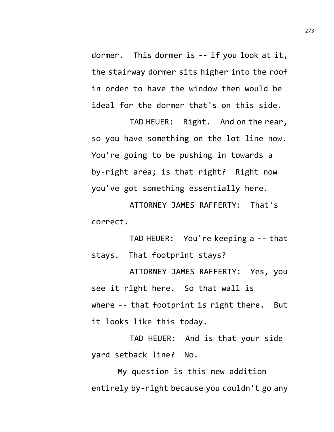dormer. This dormer is -- if you look at it, the stairway dormer sits higher into the roof in order to have the window then would be ideal for the dormer that's on this side.

TAD HEUER: Right. And on the rear, so you have something on the lot line now. You're going to be pushing in towards a by-right area; is that right? Right now you've got something essentially here.

ATTORNEY JAMES RAFFERTY: That's correct.

TAD HEUER: You're keeping a -- that stays. That footprint stays?

ATTORNEY JAMES RAFFERTY: Yes, you see it right here. So that wall is where -- that footprint is right there. But it looks like this today.

TAD HEUER: And is that your side yard setback line? No.

My question is this new addition entirely by-right because you couldn't go any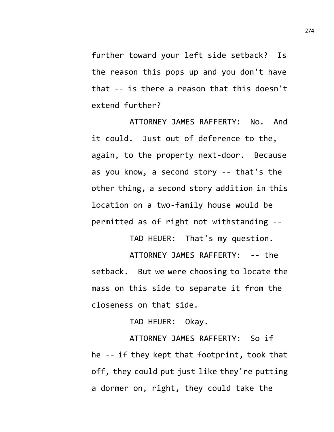further toward your left side setback? Is the reason this pops up and you don't have that -- is there a reason that this doesn't extend further?

ATTORNEY JAMES RAFFERTY: No. And it could. Just out of deference to the, again, to the property next-door. Because as you know, a second story -- that's the other thing, a second story addition in this location on a two-family house would be permitted as of right not withstanding --

TAD HEUER: That's my question.

ATTORNEY JAMES RAFFERTY: -- the setback. But we were choosing to locate the mass on this side to separate it from the closeness on that side.

TAD HEUER: Okay.

ATTORNEY JAMES RAFFERTY: So if he -- if they kept that footprint, took that off, they could put just like they're putting a dormer on, right, they could take the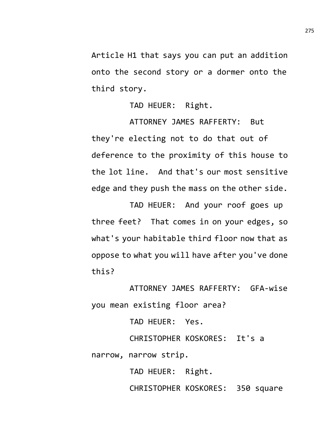Article H1 that says you can put an addition onto the second story or a dormer onto the third story.

TAD HEUER: Right.

ATTORNEY JAMES RAFFERTY: But they're electing not to do that out of deference to the proximity of this house to the lot line. And that's our most sensitive edge and they push the mass on the other side.

TAD HEUER: And your roof goes up three feet? That comes in on your edges, so what's your habitable third floor now that as oppose to what you will have after you've done this?

ATTORNEY JAMES RAFFERTY: GFA-wise you mean existing floor area?

TAD HEUER: Yes.

CHRISTOPHER KOSKORES: It's a narrow, narrow strip.

TAD HEUER: Right.

CHRISTOPHER KOSKORES: 350 square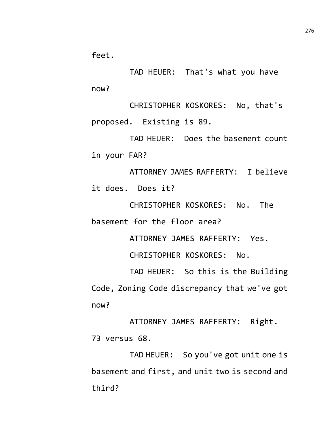feet.

TAD HEUER: That's what you have now?

CHRISTOPHER KOSKORES: No, that's proposed. Existing is 89.

TAD HEUER: Does the basement count in your FAR?

ATTORNEY JAMES RAFFERTY: I believe it does. Does it?

CHRISTOPHER KOSKORES: No. The basement for the floor area?

ATTORNEY JAMES RAFFERTY: Yes.

CHRISTOPHER KOSKORES: No.

TAD HEUER: So this is the Building Code, Zoning Code discrepancy that we've got now?

ATTORNEY JAMES RAFFERTY: Right. 73 versus 68.

TAD HEUER: So you've got unit one is basement and first, and unit two is second and third?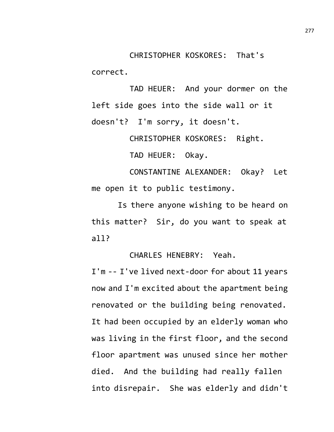CHRISTOPHER KOSKORES: That's correct.

TAD HEUER: And your dormer on the left side goes into the side wall or it doesn't? I'm sorry, it doesn't.

CHRISTOPHER KOSKORES: Right.

TAD HEUER: Okay.

CONSTANTINE ALEXANDER: Okay? Let me open it to public testimony.

Is there anyone wishing to be heard on this matter? Sir, do you want to speak at all?

CHARLES HENEBRY: Yeah.

I'm -- I've lived next-door for about 11 years now and I'm excited about the apartment being renovated or the building being renovated. It had been occupied by an elderly woman who was living in the first floor, and the second floor apartment was unused since her mother died. And the building had really fallen into disrepair. She was elderly and didn't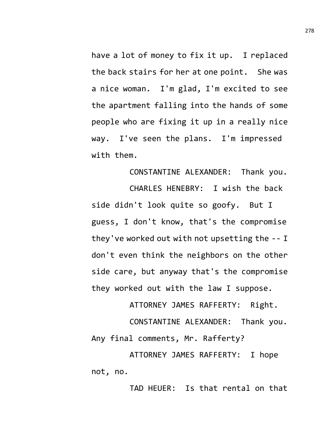have a lot of money to fix it up. I replaced the back stairs for her at one point. She was a nice woman. I'm glad, I'm excited to see the apartment falling into the hands of some people who are fixing it up in a really nice way. I've seen the plans. I'm impressed with them.

CONSTANTINE ALEXANDER: Thank you. CHARLES HENEBRY: I wish the back side didn't look quite so goofy. But I guess, I don't know, that's the compromise they've worked out with not upsetting the -- I don't even think the neighbors on the other side care, but anyway that's the compromise they worked out with the law I suppose.

ATTORNEY JAMES RAFFERTY: Right. CONSTANTINE ALEXANDER: Thank you.

Any final comments, Mr. Rafferty?

ATTORNEY JAMES RAFFERTY: I hope not, no.

TAD HEUER: Is that rental on that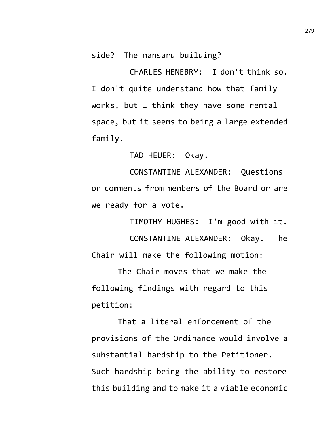side? The mansard building?

CHARLES HENEBRY: I don't think so. I don't quite understand how that family works, but I think they have some rental space, but it seems to being a large extended family.

TAD HEUER: Okay.

CONSTANTINE ALEXANDER: Questions or comments from members of the Board or are we ready for a vote.

TIMOTHY HUGHES: I'm good with it.

CONSTANTINE ALEXANDER: Okay. The Chair will make the following motion:

The Chair moves that we make the following findings with regard to this petition:

That a literal enforcement of the provisions of the Ordinance would involve a substantial hardship to the Petitioner. Such hardship being the ability to restore this building and to make it a viable economic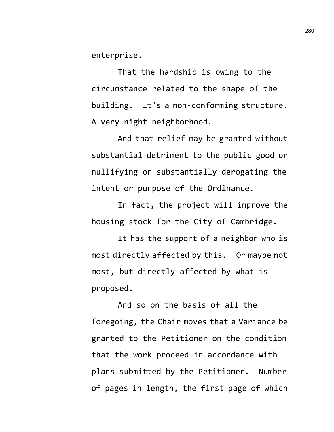enterprise.

That the hardship is owing to the circumstance related to the shape of the building. It's a non-conforming structure. A very night neighborhood.

And that relief may be granted without substantial detriment to the public good or nullifying or substantially derogating the intent or purpose of the Ordinance.

In fact, the project will improve the housing stock for the City of Cambridge.

It has the support of a neighbor who is most directly affected by this. Or maybe not most, but directly affected by what is proposed.

And so on the basis of all the foregoing, the Chair moves that a Variance be granted to the Petitioner on the condition that the work proceed in accordance with plans submitted by the Petitioner. Number of pages in length, the first page of which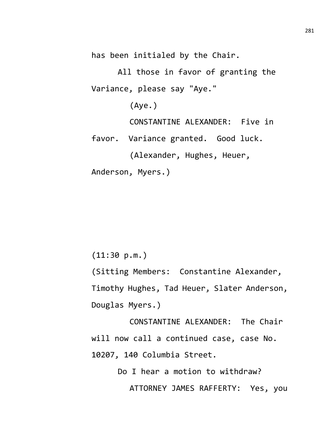has been initialed by the Chair.

All those in favor of granting the Variance, please say "Aye."

(Aye.)

CONSTANTINE ALEXANDER: Five in

favor. Variance granted. Good luck.

(Alexander, Hughes, Heuer,

Anderson, Myers.)

(11:30 p.m.)

(Sitting Members: Constantine Alexander, Timothy Hughes, Tad Heuer, Slater Anderson, Douglas Myers.)

CONSTANTINE ALEXANDER: The Chair will now call a continued case, case No. 10207, 140 Columbia Street.

> Do I hear a motion to withdraw? ATTORNEY JAMES RAFFERTY: Yes, you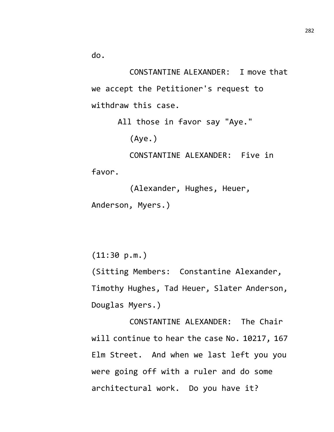do.

CONSTANTINE ALEXANDER: I move that we accept the Petitioner's request to withdraw this case.

All those in favor say "Aye."

(Aye.)

CONSTANTINE ALEXANDER: Five in favor.

(Alexander, Hughes, Heuer, Anderson, Myers.)

(11:30 p.m.)

(Sitting Members: Constantine Alexander, Timothy Hughes, Tad Heuer, Slater Anderson, Douglas Myers.)

CONSTANTINE ALEXANDER: The Chair will continue to hear the case No. 10217, 167 Elm Street. And when we last left you you were going off with a ruler and do some architectural work. Do you have it?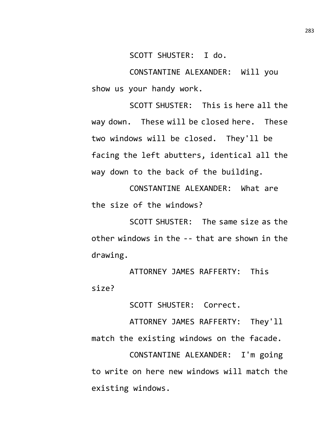SCOTT SHUSTER: I do.

CONSTANTINE ALEXANDER: Will you show us your handy work.

SCOTT SHUSTER: This is here all the way down. These will be closed here. These two windows will be closed. They'll be facing the left abutters, identical all the way down to the back of the building.

CONSTANTINE ALEXANDER: What are the size of the windows?

SCOTT SHUSTER: The same size as the other windows in the -- that are shown in the drawing.

ATTORNEY JAMES RAFFERTY: This size?

SCOTT SHUSTER: Correct.

ATTORNEY JAMES RAFFERTY: They'll match the existing windows on the facade.

CONSTANTINE ALEXANDER: I'm going to write on here new windows will match the existing windows.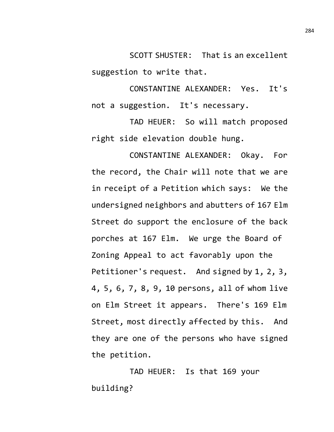SCOTT SHUSTER: That is an excellent suggestion to write that.

CONSTANTINE ALEXANDER: Yes. It's not a suggestion. It's necessary.

TAD HEUER: So will match proposed right side elevation double hung.

CONSTANTINE ALEXANDER: Okay. For the record, the Chair will note that we are in receipt of a Petition which says: We the undersigned neighbors and abutters of 167 Elm Street do support the enclosure of the back porches at 167 Elm. We urge the Board of Zoning Appeal to act favorably upon the Petitioner's request. And signed by 1, 2, 3, 4, 5, 6, 7, 8, 9, 10 persons, all of whom live on Elm Street it appears. There's 169 Elm Street, most directly affected by this. And they are one of the persons who have signed the petition.

TAD HEUER: Is that 169 your building?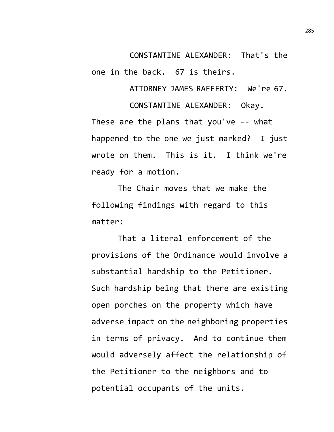CONSTANTINE ALEXANDER: That's the one in the back. 67 is theirs.

ATTORNEY JAMES RAFFERTY: We're 67.

CONSTANTINE ALEXANDER: Okay. These are the plans that you've -- what happened to the one we just marked? I just wrote on them. This is it. I think we're ready for a motion.

The Chair moves that we make the following findings with regard to this matter:

That a literal enforcement of the provisions of the Ordinance would involve a substantial hardship to the Petitioner. Such hardship being that there are existing open porches on the property which have adverse impact on the neighboring properties in terms of privacy. And to continue them would adversely affect the relationship of the Petitioner to the neighbors and to potential occupants of the units.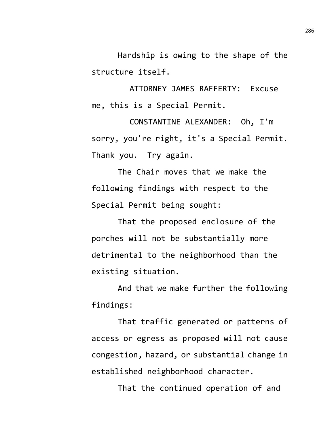Hardship is owing to the shape of the structure itself.

ATTORNEY JAMES RAFFERTY: Excuse me, this is a Special Permit.

CONSTANTINE ALEXANDER: Oh, I'm sorry, you're right, it's a Special Permit. Thank you. Try again.

The Chair moves that we make the following findings with respect to the Special Permit being sought:

That the proposed enclosure of the porches will not be substantially more detrimental to the neighborhood than the existing situation.

And that we make further the following findings:

That traffic generated or patterns of access or egress as proposed will not cause congestion, hazard, or substantial change in established neighborhood character.

That the continued operation of and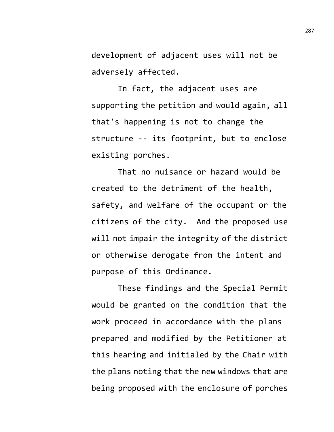development of adjacent uses will not be adversely affected.

In fact, the adjacent uses are supporting the petition and would again, all that's happening is not to change the structure -- its footprint, but to enclose existing porches.

That no nuisance or hazard would be created to the detriment of the health, safety, and welfare of the occupant or the citizens of the city. And the proposed use will not impair the integrity of the district or otherwise derogate from the intent and purpose of this Ordinance.

These findings and the Special Permit would be granted on the condition that the work proceed in accordance with the plans prepared and modified by the Petitioner at this hearing and initialed by the Chair with the plans noting that the new windows that are being proposed with the enclosure of porches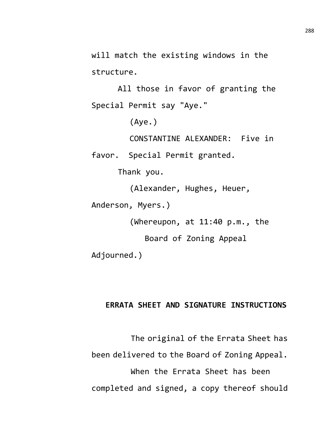will match the existing windows in the structure.

All those in favor of granting the Special Permit say "Aye."

(Aye.)

CONSTANTINE ALEXANDER: Five in

favor. Special Permit granted.

Thank you.

(Alexander, Hughes, Heuer,

Anderson, Myers.)

(Whereupon, at 11:40 p.m., the

Board of Zoning Appeal

Adjourned.)

## **ERRATA SHEET AND SIGNATURE INSTRUCTIONS**

The original of the Errata Sheet has been delivered to the Board of Zoning Appeal. When the Errata Sheet has been completed and signed, a copy thereof should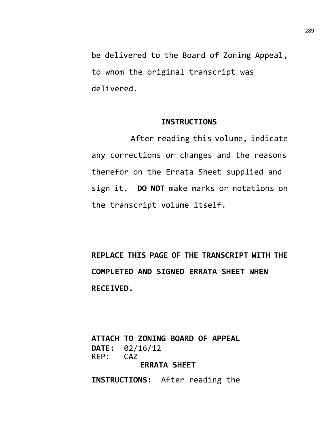be delivered to the Board of Zoning Appeal, to whom the original transcript was delivered.

## **INSTRUCTIONS**

After reading this volume, indicate any corrections or changes and the reasons therefor on the Errata Sheet supplied and sign it. **DO NOT** make marks or notations on the transcript volume itself.

**REPLACE THIS PAGE OF THE TRANSCRIPT WITH THE COMPLETED AND SIGNED ERRATA SHEET WHEN RECEIVED.**

**ATTACH TO ZONING BOARD OF APPEAL DATE:** 02/16/12<br>REP: CAZ  $REP:$ **ERRATA SHEET**

**INSTRUCTIONS:** After reading the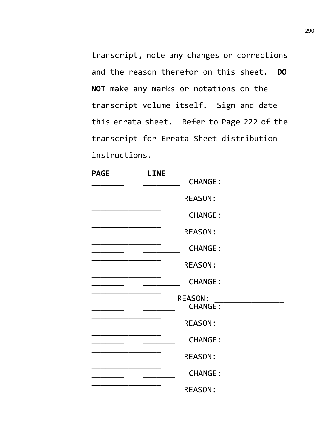transcript, note any changes or corrections and the reason therefor on this sheet. **DO NOT** make any marks or notations on the transcript volume itself. Sign and date this errata sheet. Refer to Page 222 of the transcript for Errata Sheet distribution instructions.

| <b>PAGE</b> | <b>LINE</b> |                                  |  |
|-------------|-------------|----------------------------------|--|
|             |             | <b>CHANGE:</b>                   |  |
|             |             | <b>REASON:</b>                   |  |
|             |             | <b>CHANGE:</b>                   |  |
|             |             | <b>REASON:</b>                   |  |
|             |             | <b>CHANGE:</b>                   |  |
|             |             | <b>REASON:</b>                   |  |
|             |             | <b>CHANGE:</b>                   |  |
|             |             | <b>REASON:</b><br><b>CHANGE:</b> |  |
|             |             | <b>REASON:</b>                   |  |
|             |             | <b>CHANGE:</b>                   |  |
|             |             | <b>REASON:</b>                   |  |
|             |             | <b>CHANGE:</b>                   |  |
|             |             | <b>REASON:</b>                   |  |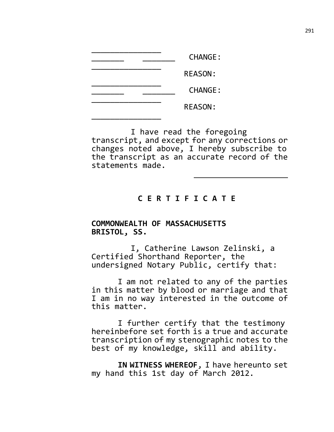| <b>CHANGE:</b> |
|----------------|
| <b>REASON:</b> |
| <b>CHANGE:</b> |
| <b>REASON:</b> |
|                |

I have read the foregoing transcript, and except for any corrections or changes noted above, I hereby subscribe to the transcript as an accurate record of the statements made.

## **C E R T I F I C A T E**

## **COMMONWEALTH OF MASSACHUSETTS BRISTOL, SS.**

I, Catherine Lawson Zelinski, a Certified Shorthand Reporter, the undersigned Notary Public, certify that:

I am not related to any of the parties in this matter by blood or marriage and that I am in no way interested in the outcome of this matter.

I further certify that the testimony hereinbefore set forth is a true and accurate transcription of my stenographic notes to the best of my knowledge, skill and ability.

**IN WITNESS WHEREOF**, I have hereunto set my hand this 1st day of March 2012.